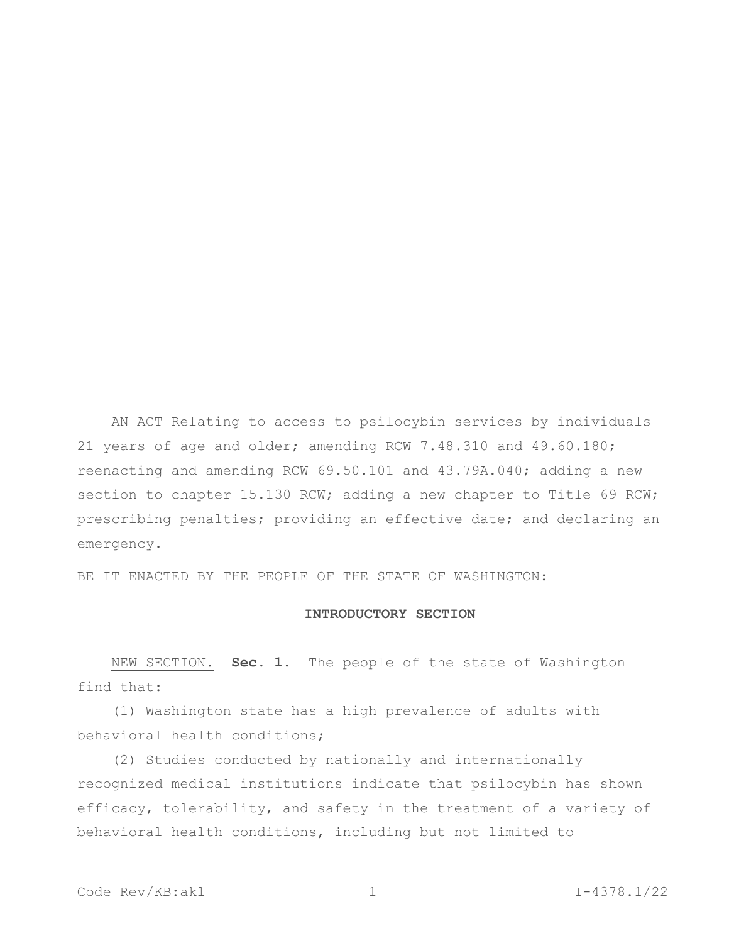AN ACT Relating to access to psilocybin services by individuals 21 years of age and older; amending RCW 7.48.310 and 49.60.180; reenacting and amending RCW 69.50.101 and 43.79A.040; adding a new section to chapter 15.130 RCW; adding a new chapter to Title 69 RCW; prescribing penalties; providing an effective date; and declaring an emergency.

BE IT ENACTED BY THE PEOPLE OF THE STATE OF WASHINGTON:

#### **INTRODUCTORY SECTION**

NEW SECTION. **Sec. 1.** The people of the state of Washington find that:

(1) Washington state has a high prevalence of adults with behavioral health conditions;

(2) Studies conducted by nationally and internationally recognized medical institutions indicate that psilocybin has shown efficacy, tolerability, and safety in the treatment of a variety of behavioral health conditions, including but not limited to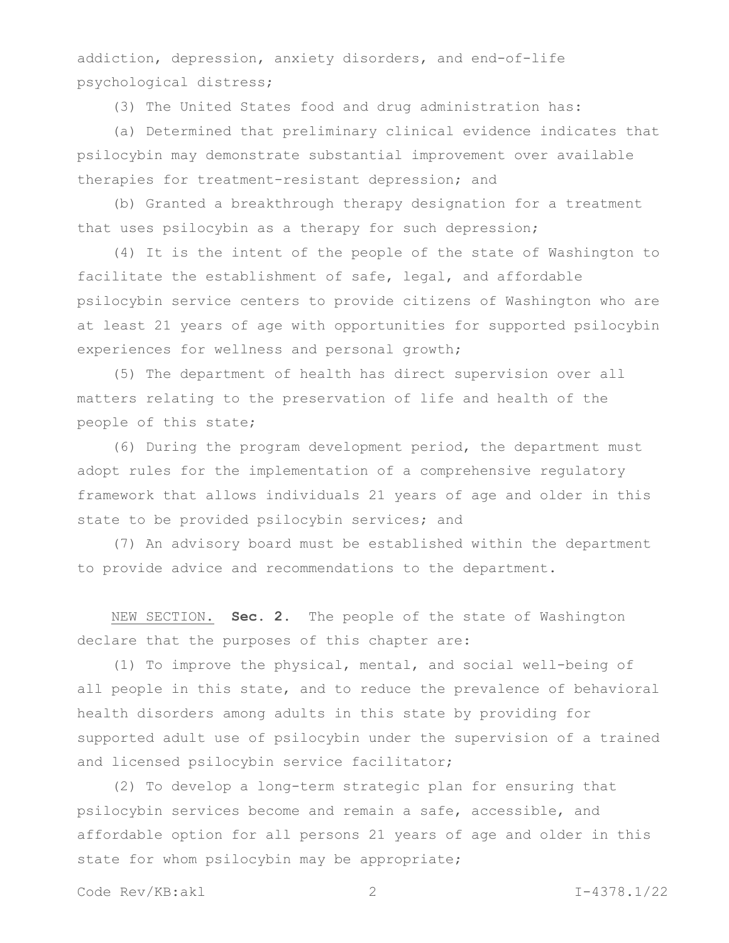addiction, depression, anxiety disorders, and end-of-life psychological distress;

(3) The United States food and drug administration has:

(a) Determined that preliminary clinical evidence indicates that psilocybin may demonstrate substantial improvement over available therapies for treatment-resistant depression; and

(b) Granted a breakthrough therapy designation for a treatment that uses psilocybin as a therapy for such depression;

(4) It is the intent of the people of the state of Washington to facilitate the establishment of safe, legal, and affordable psilocybin service centers to provide citizens of Washington who are at least 21 years of age with opportunities for supported psilocybin experiences for wellness and personal growth;

(5) The department of health has direct supervision over all matters relating to the preservation of life and health of the people of this state;

(6) During the program development period, the department must adopt rules for the implementation of a comprehensive regulatory framework that allows individuals 21 years of age and older in this state to be provided psilocybin services; and

(7) An advisory board must be established within the department to provide advice and recommendations to the department.

NEW SECTION. **Sec. 2.** The people of the state of Washington declare that the purposes of this chapter are:

(1) To improve the physical, mental, and social well-being of all people in this state, and to reduce the prevalence of behavioral health disorders among adults in this state by providing for supported adult use of psilocybin under the supervision of a trained and licensed psilocybin service facilitator;

(2) To develop a long-term strategic plan for ensuring that psilocybin services become and remain a safe, accessible, and affordable option for all persons 21 years of age and older in this state for whom psilocybin may be appropriate;

Code Rev/KB:akl 2 I-4378.1/22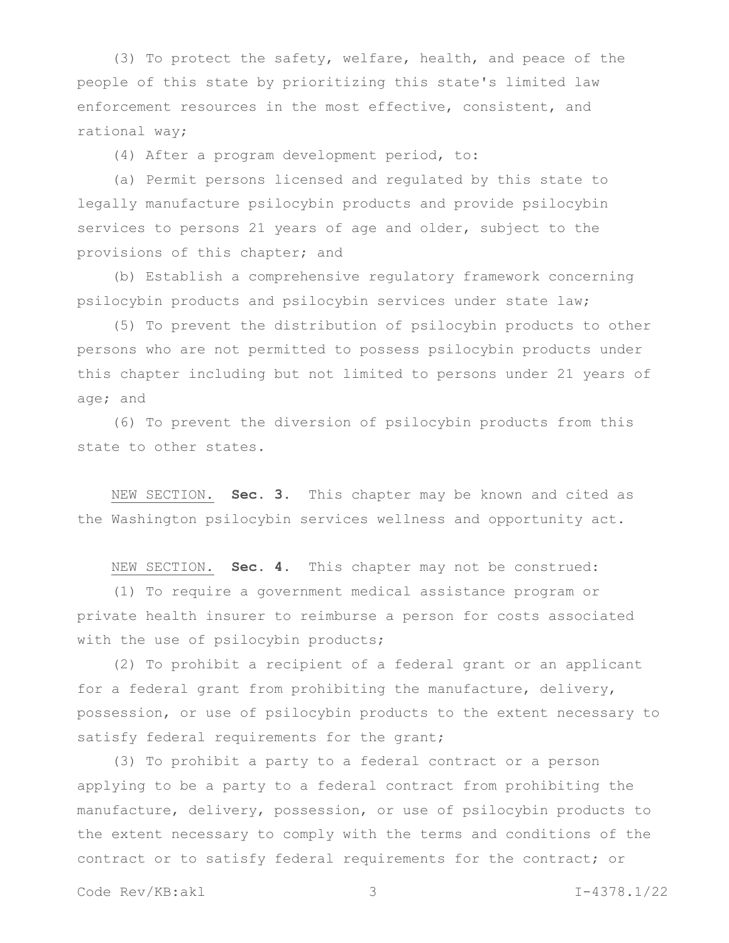(3) To protect the safety, welfare, health, and peace of the people of this state by prioritizing this state's limited law enforcement resources in the most effective, consistent, and rational way;

(4) After a program development period, to:

(a) Permit persons licensed and regulated by this state to legally manufacture psilocybin products and provide psilocybin services to persons 21 years of age and older, subject to the provisions of this chapter; and

(b) Establish a comprehensive regulatory framework concerning psilocybin products and psilocybin services under state law;

(5) To prevent the distribution of psilocybin products to other persons who are not permitted to possess psilocybin products under this chapter including but not limited to persons under 21 years of age; and

(6) To prevent the diversion of psilocybin products from this state to other states.

NEW SECTION. **Sec. 3.** This chapter may be known and cited as the Washington psilocybin services wellness and opportunity act.

NEW SECTION. **Sec. 4.** This chapter may not be construed:

(1) To require a government medical assistance program or private health insurer to reimburse a person for costs associated with the use of psilocybin products;

(2) To prohibit a recipient of a federal grant or an applicant for a federal grant from prohibiting the manufacture, delivery, possession, or use of psilocybin products to the extent necessary to satisfy federal requirements for the grant;

(3) To prohibit a party to a federal contract or a person applying to be a party to a federal contract from prohibiting the manufacture, delivery, possession, or use of psilocybin products to the extent necessary to comply with the terms and conditions of the contract or to satisfy federal requirements for the contract; or

Code Rev/KB:akl 3 I-4378.1/22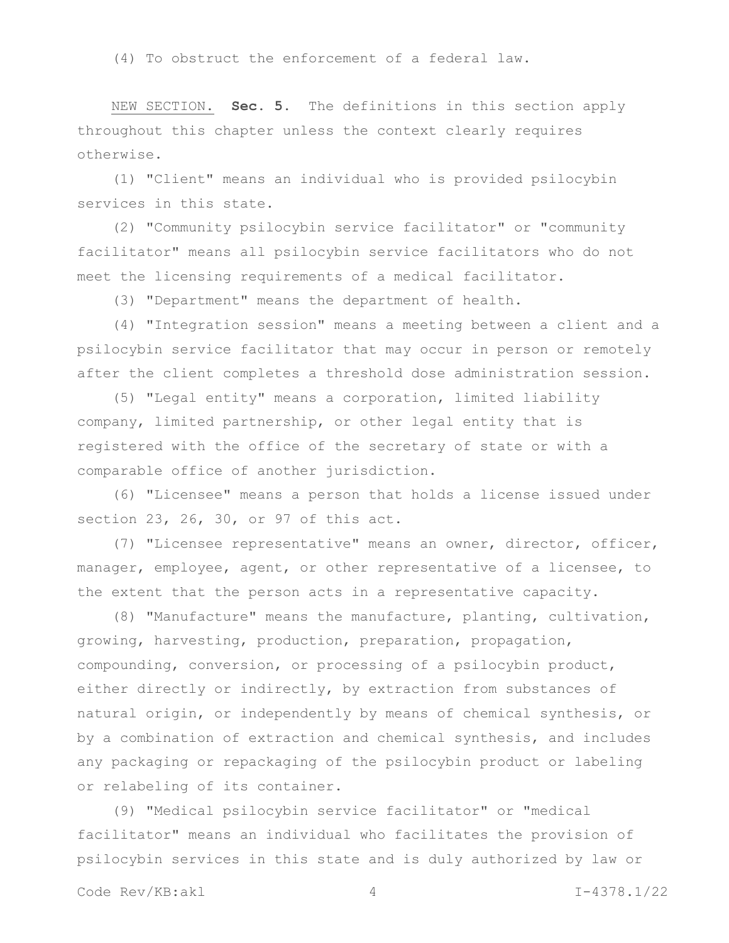(4) To obstruct the enforcement of a federal law.

NEW SECTION. **Sec. 5.** The definitions in this section apply throughout this chapter unless the context clearly requires otherwise.

(1) "Client" means an individual who is provided psilocybin services in this state.

(2) "Community psilocybin service facilitator" or "community facilitator" means all psilocybin service facilitators who do not meet the licensing requirements of a medical facilitator.

(3) "Department" means the department of health.

(4) "Integration session" means a meeting between a client and a psilocybin service facilitator that may occur in person or remotely after the client completes a threshold dose administration session.

(5) "Legal entity" means a corporation, limited liability company, limited partnership, or other legal entity that is registered with the office of the secretary of state or with a comparable office of another jurisdiction.

(6) "Licensee" means a person that holds a license issued under section 23, 26, 30, or 97 of this act.

(7) "Licensee representative" means an owner, director, officer, manager, employee, agent, or other representative of a licensee, to the extent that the person acts in a representative capacity.

(8) "Manufacture" means the manufacture, planting, cultivation, growing, harvesting, production, preparation, propagation, compounding, conversion, or processing of a psilocybin product, either directly or indirectly, by extraction from substances of natural origin, or independently by means of chemical synthesis, or by a combination of extraction and chemical synthesis, and includes any packaging or repackaging of the psilocybin product or labeling or relabeling of its container.

(9) "Medical psilocybin service facilitator" or "medical facilitator" means an individual who facilitates the provision of psilocybin services in this state and is duly authorized by law or

Code Rev/KB:akl 4 1-4378.1/22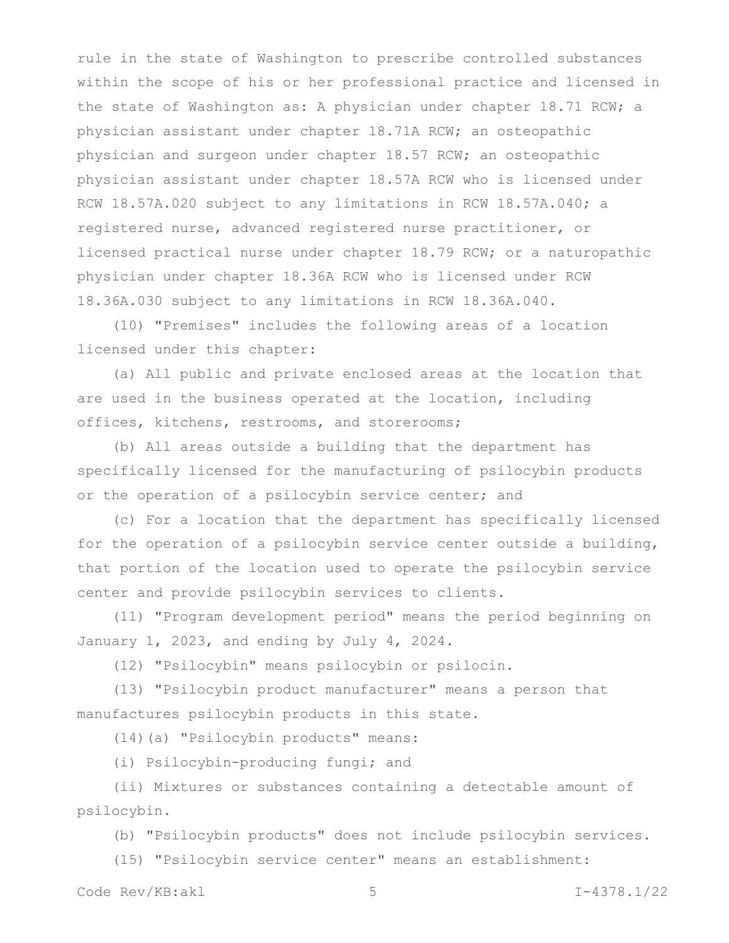rule in the state of Washington to prescribe controlled substances within the scope of his or her professional practice and licensed in the state of Washington as: A physician under chapter 18.71 RCW; a physician assistant under chapter 18.71A RCW; an osteopathic physician and surgeon under chapter 18.57 RCW; an osteopathic physician assistant under chapter 18.57A RCW who is licensed under RCW 18.57A.020 subject to any limitations in RCW 18.57A.040; a registered nurse, advanced registered nurse practitioner, or licensed practical nurse under chapter 18.79 RCW; or a naturopathic physician under chapter 18.36A RCW who is licensed under RCW 18.36A.030 subject to any limitations in RCW 18.36A.040.

(10) "Premises" includes the following areas of a location licensed under this chapter:

(a) All public and private enclosed areas at the location that are used in the business operated at the location, including offices, kitchens, restrooms, and storerooms;

(b) All areas outside a building that the department has specifically licensed for the manufacturing of psilocybin products or the operation of a psilocybin service center; and

(c) For a location that the department has specifically licensed for the operation of a psilocybin service center outside a building, that portion of the location used to operate the psilocybin service center and provide psilocybin services to clients.

(11) "Program development period" means the period beginning on January 1, 2023, and ending by July 4, 2024.

(12) "Psilocybin" means psilocybin or psilocin.

(13) "Psilocybin product manufacturer" means a person that manufactures psilocybin products in this state.

(14)(a) "Psilocybin products" means:

(i) Psilocybin-producing fungi; and

(ii) Mixtures or substances containing a detectable amount of psilocybin.

(b) "Psilocybin products" does not include psilocybin services.

(15) "Psilocybin service center" means an establishment:

Code Rev/KB:akl 5 1-4378.1/22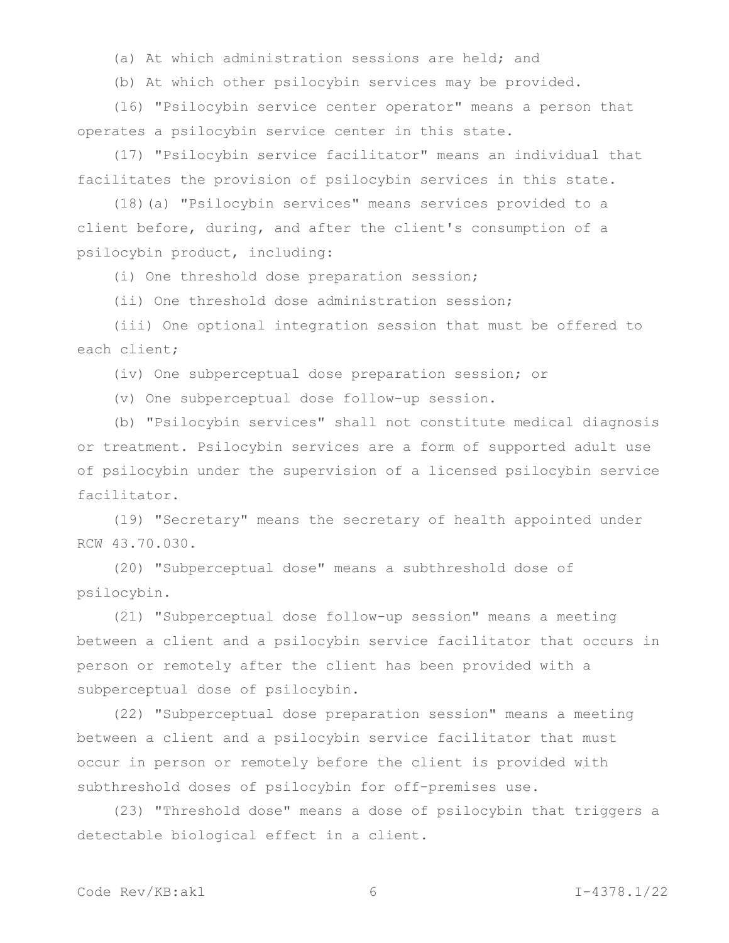(a) At which administration sessions are held; and

(b) At which other psilocybin services may be provided.

(16) "Psilocybin service center operator" means a person that operates a psilocybin service center in this state.

(17) "Psilocybin service facilitator" means an individual that facilitates the provision of psilocybin services in this state.

(18)(a) "Psilocybin services" means services provided to a client before, during, and after the client's consumption of a psilocybin product, including:

(i) One threshold dose preparation session;

(ii) One threshold dose administration session;

(iii) One optional integration session that must be offered to each client;

(iv) One subperceptual dose preparation session; or

(v) One subperceptual dose follow-up session.

(b) "Psilocybin services" shall not constitute medical diagnosis or treatment. Psilocybin services are a form of supported adult use of psilocybin under the supervision of a licensed psilocybin service facilitator.

(19) "Secretary" means the secretary of health appointed under RCW 43.70.030.

(20) "Subperceptual dose" means a subthreshold dose of psilocybin.

(21) "Subperceptual dose follow-up session" means a meeting between a client and a psilocybin service facilitator that occurs in person or remotely after the client has been provided with a subperceptual dose of psilocybin.

(22) "Subperceptual dose preparation session" means a meeting between a client and a psilocybin service facilitator that must occur in person or remotely before the client is provided with subthreshold doses of psilocybin for off-premises use.

(23) "Threshold dose" means a dose of psilocybin that triggers a detectable biological effect in a client.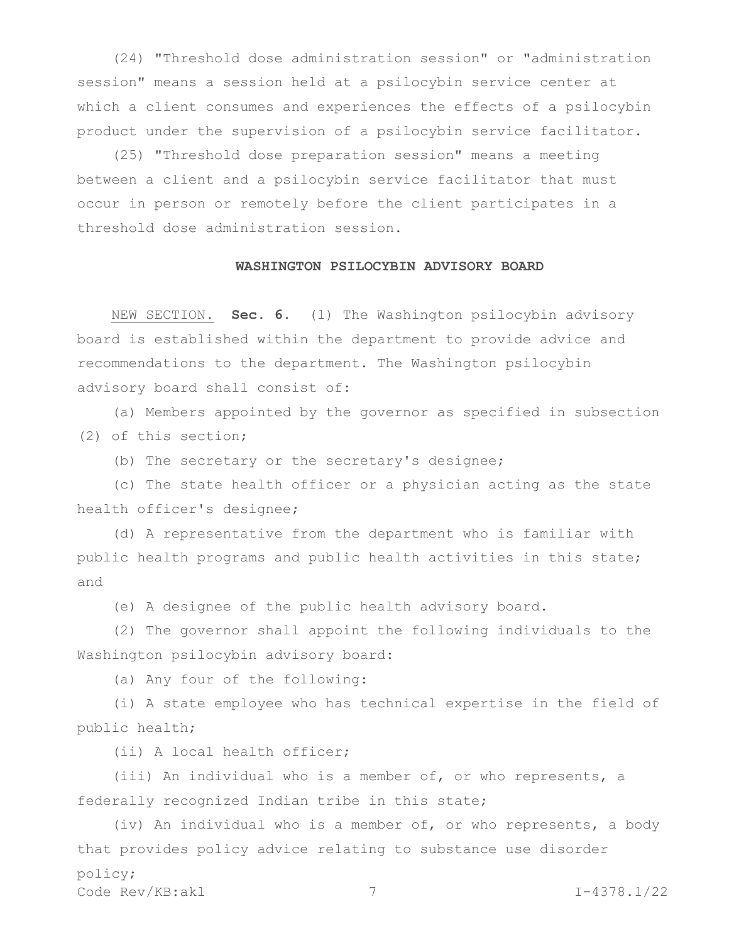(24) "Threshold dose administration session" or "administration session" means a session held at a psilocybin service center at which a client consumes and experiences the effects of a psilocybin product under the supervision of a psilocybin service facilitator.

(25) "Threshold dose preparation session" means a meeting between a client and a psilocybin service facilitator that must occur in person or remotely before the client participates in a threshold dose administration session.

## **WASHINGTON PSILOCYBIN ADVISORY BOARD**

NEW SECTION. **Sec. 6.** (1) The Washington psilocybin advisory board is established within the department to provide advice and recommendations to the department. The Washington psilocybin advisory board shall consist of:

(a) Members appointed by the governor as specified in subsection (2) of this section;

(b) The secretary or the secretary's designee;

(c) The state health officer or a physician acting as the state health officer's designee;

(d) A representative from the department who is familiar with public health programs and public health activities in this state; and

(e) A designee of the public health advisory board.

(2) The governor shall appoint the following individuals to the Washington psilocybin advisory board:

(a) Any four of the following:

(i) A state employee who has technical expertise in the field of public health;

(ii) A local health officer;

(iii) An individual who is a member of, or who represents, a federally recognized Indian tribe in this state;

Code Rev/KB:akl 7 7 1-4378.1/22 (iv) An individual who is a member of, or who represents, a body that provides policy advice relating to substance use disorder policy;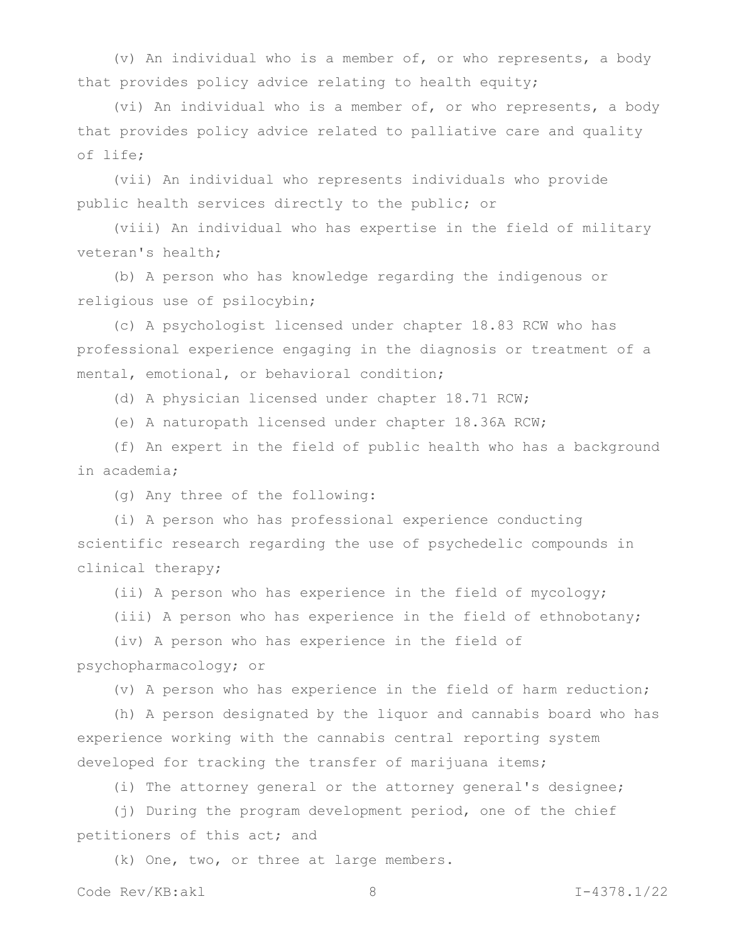(v) An individual who is a member of, or who represents, a body that provides policy advice relating to health equity;

(vi) An individual who is a member of, or who represents, a body that provides policy advice related to palliative care and quality of life;

(vii) An individual who represents individuals who provide public health services directly to the public; or

(viii) An individual who has expertise in the field of military veteran's health;

(b) A person who has knowledge regarding the indigenous or religious use of psilocybin;

(c) A psychologist licensed under chapter 18.83 RCW who has professional experience engaging in the diagnosis or treatment of a mental, emotional, or behavioral condition;

(d) A physician licensed under chapter 18.71 RCW;

(e) A naturopath licensed under chapter 18.36A RCW;

(f) An expert in the field of public health who has a background in academia;

(g) Any three of the following:

(i) A person who has professional experience conducting scientific research regarding the use of psychedelic compounds in clinical therapy;

(ii) A person who has experience in the field of mycology;

(iii) A person who has experience in the field of ethnobotany;

(iv) A person who has experience in the field of psychopharmacology; or

(v) A person who has experience in the field of harm reduction;

(h) A person designated by the liquor and cannabis board who has experience working with the cannabis central reporting system developed for tracking the transfer of marijuana items;

(i) The attorney general or the attorney general's designee;

(j) During the program development period, one of the chief petitioners of this act; and

(k) One, two, or three at large members.

Code Rev/KB:akl 8 I-4378.1/22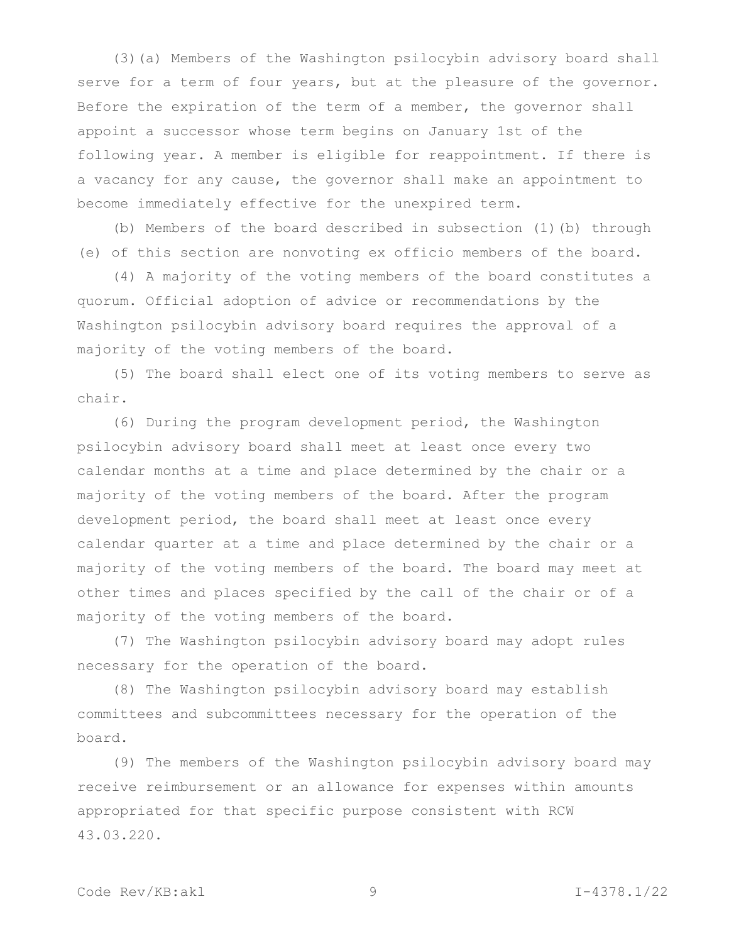(3)(a) Members of the Washington psilocybin advisory board shall serve for a term of four years, but at the pleasure of the governor. Before the expiration of the term of a member, the governor shall appoint a successor whose term begins on January 1st of the following year. A member is eligible for reappointment. If there is a vacancy for any cause, the governor shall make an appointment to become immediately effective for the unexpired term.

(b) Members of the board described in subsection (1)(b) through (e) of this section are nonvoting ex officio members of the board.

(4) A majority of the voting members of the board constitutes a quorum. Official adoption of advice or recommendations by the Washington psilocybin advisory board requires the approval of a majority of the voting members of the board.

(5) The board shall elect one of its voting members to serve as chair.

(6) During the program development period, the Washington psilocybin advisory board shall meet at least once every two calendar months at a time and place determined by the chair or a majority of the voting members of the board. After the program development period, the board shall meet at least once every calendar quarter at a time and place determined by the chair or a majority of the voting members of the board. The board may meet at other times and places specified by the call of the chair or of a majority of the voting members of the board.

(7) The Washington psilocybin advisory board may adopt rules necessary for the operation of the board.

(8) The Washington psilocybin advisory board may establish committees and subcommittees necessary for the operation of the board.

(9) The members of the Washington psilocybin advisory board may receive reimbursement or an allowance for expenses within amounts appropriated for that specific purpose consistent with RCW 43.03.220.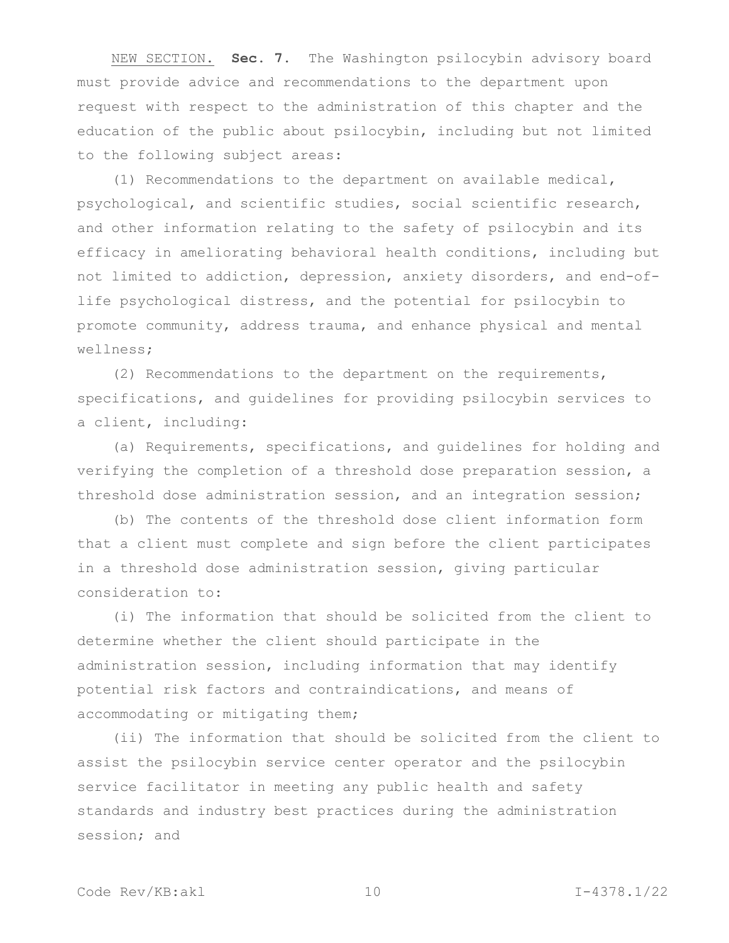NEW SECTION. **Sec. 7.** The Washington psilocybin advisory board must provide advice and recommendations to the department upon request with respect to the administration of this chapter and the education of the public about psilocybin, including but not limited to the following subject areas:

(1) Recommendations to the department on available medical, psychological, and scientific studies, social scientific research, and other information relating to the safety of psilocybin and its efficacy in ameliorating behavioral health conditions, including but not limited to addiction, depression, anxiety disorders, and end-oflife psychological distress, and the potential for psilocybin to promote community, address trauma, and enhance physical and mental wellness;

(2) Recommendations to the department on the requirements, specifications, and guidelines for providing psilocybin services to a client, including:

(a) Requirements, specifications, and guidelines for holding and verifying the completion of a threshold dose preparation session, a threshold dose administration session, and an integration session;

(b) The contents of the threshold dose client information form that a client must complete and sign before the client participates in a threshold dose administration session, giving particular consideration to:

(i) The information that should be solicited from the client to determine whether the client should participate in the administration session, including information that may identify potential risk factors and contraindications, and means of accommodating or mitigating them;

(ii) The information that should be solicited from the client to assist the psilocybin service center operator and the psilocybin service facilitator in meeting any public health and safety standards and industry best practices during the administration session; and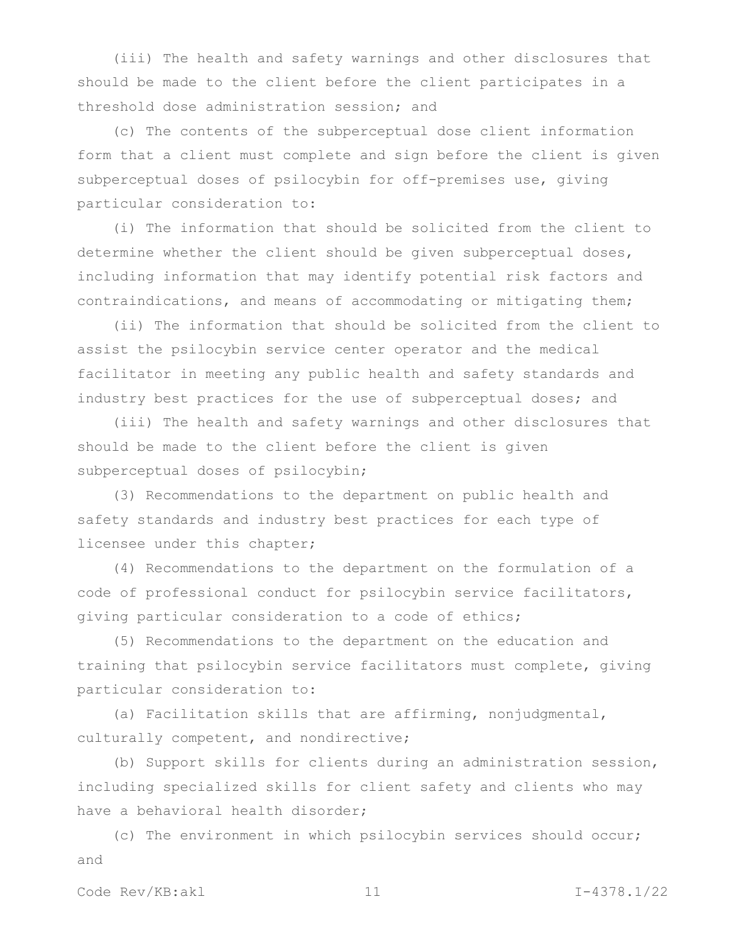(iii) The health and safety warnings and other disclosures that should be made to the client before the client participates in a threshold dose administration session; and

(c) The contents of the subperceptual dose client information form that a client must complete and sign before the client is given subperceptual doses of psilocybin for off-premises use, giving particular consideration to:

(i) The information that should be solicited from the client to determine whether the client should be given subperceptual doses, including information that may identify potential risk factors and contraindications, and means of accommodating or mitigating them;

(ii) The information that should be solicited from the client to assist the psilocybin service center operator and the medical facilitator in meeting any public health and safety standards and industry best practices for the use of subperceptual doses; and

(iii) The health and safety warnings and other disclosures that should be made to the client before the client is given subperceptual doses of psilocybin;

(3) Recommendations to the department on public health and safety standards and industry best practices for each type of licensee under this chapter;

(4) Recommendations to the department on the formulation of a code of professional conduct for psilocybin service facilitators, giving particular consideration to a code of ethics;

(5) Recommendations to the department on the education and training that psilocybin service facilitators must complete, giving particular consideration to:

(a) Facilitation skills that are affirming, nonjudgmental, culturally competent, and nondirective;

(b) Support skills for clients during an administration session, including specialized skills for client safety and clients who may have a behavioral health disorder;

(c) The environment in which psilocybin services should occur; and

Code Rev/KB:akl 11 12 1-4378.1/22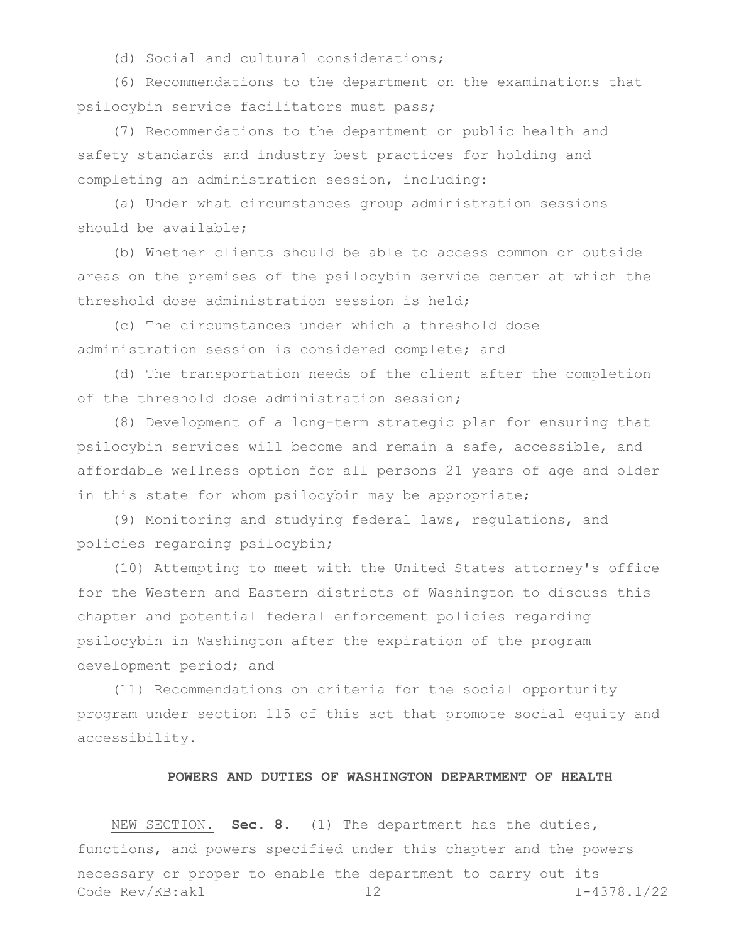(d) Social and cultural considerations;

(6) Recommendations to the department on the examinations that psilocybin service facilitators must pass;

(7) Recommendations to the department on public health and safety standards and industry best practices for holding and completing an administration session, including:

(a) Under what circumstances group administration sessions should be available;

(b) Whether clients should be able to access common or outside areas on the premises of the psilocybin service center at which the threshold dose administration session is held;

(c) The circumstances under which a threshold dose administration session is considered complete; and

(d) The transportation needs of the client after the completion of the threshold dose administration session;

(8) Development of a long-term strategic plan for ensuring that psilocybin services will become and remain a safe, accessible, and affordable wellness option for all persons 21 years of age and older in this state for whom psilocybin may be appropriate;

(9) Monitoring and studying federal laws, regulations, and policies regarding psilocybin;

(10) Attempting to meet with the United States attorney's office for the Western and Eastern districts of Washington to discuss this chapter and potential federal enforcement policies regarding psilocybin in Washington after the expiration of the program development period; and

(11) Recommendations on criteria for the social opportunity program under section 115 of this act that promote social equity and accessibility.

#### **POWERS AND DUTIES OF WASHINGTON DEPARTMENT OF HEALTH**

Code Rev/KB:akl 12 I-4378.1/22 NEW SECTION. **Sec. 8.** (1) The department has the duties, functions, and powers specified under this chapter and the powers necessary or proper to enable the department to carry out its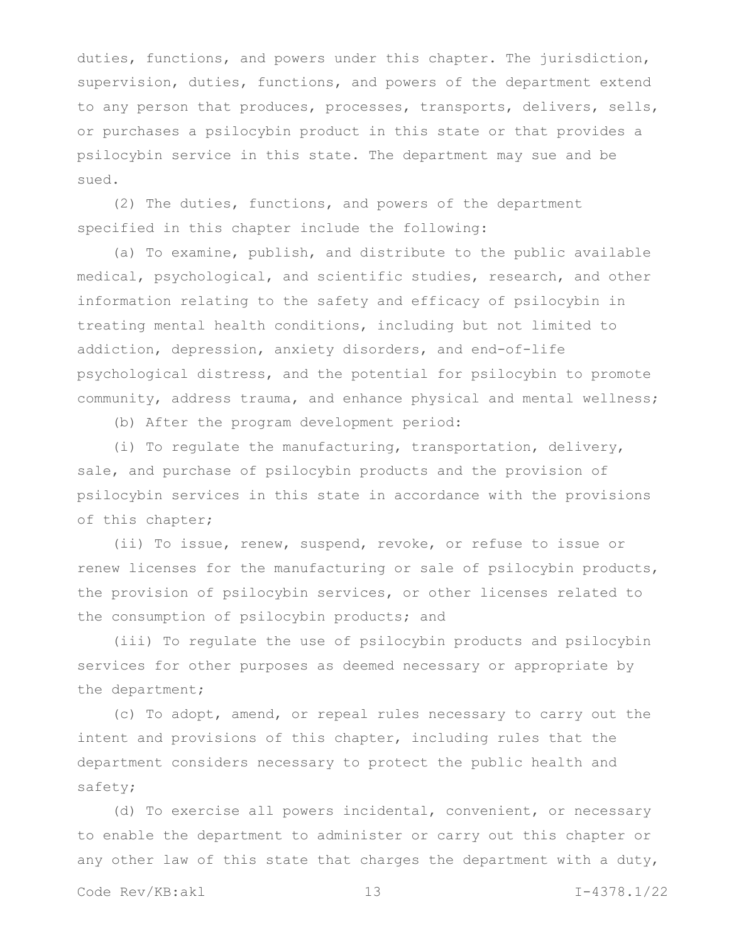duties, functions, and powers under this chapter. The jurisdiction, supervision, duties, functions, and powers of the department extend to any person that produces, processes, transports, delivers, sells, or purchases a psilocybin product in this state or that provides a psilocybin service in this state. The department may sue and be sued.

(2) The duties, functions, and powers of the department specified in this chapter include the following:

(a) To examine, publish, and distribute to the public available medical, psychological, and scientific studies, research, and other information relating to the safety and efficacy of psilocybin in treating mental health conditions, including but not limited to addiction, depression, anxiety disorders, and end-of-life psychological distress, and the potential for psilocybin to promote community, address trauma, and enhance physical and mental wellness;

(b) After the program development period:

(i) To regulate the manufacturing, transportation, delivery, sale, and purchase of psilocybin products and the provision of psilocybin services in this state in accordance with the provisions of this chapter;

(ii) To issue, renew, suspend, revoke, or refuse to issue or renew licenses for the manufacturing or sale of psilocybin products, the provision of psilocybin services, or other licenses related to the consumption of psilocybin products; and

(iii) To regulate the use of psilocybin products and psilocybin services for other purposes as deemed necessary or appropriate by the department;

(c) To adopt, amend, or repeal rules necessary to carry out the intent and provisions of this chapter, including rules that the department considers necessary to protect the public health and safety;

(d) To exercise all powers incidental, convenient, or necessary to enable the department to administer or carry out this chapter or any other law of this state that charges the department with a duty,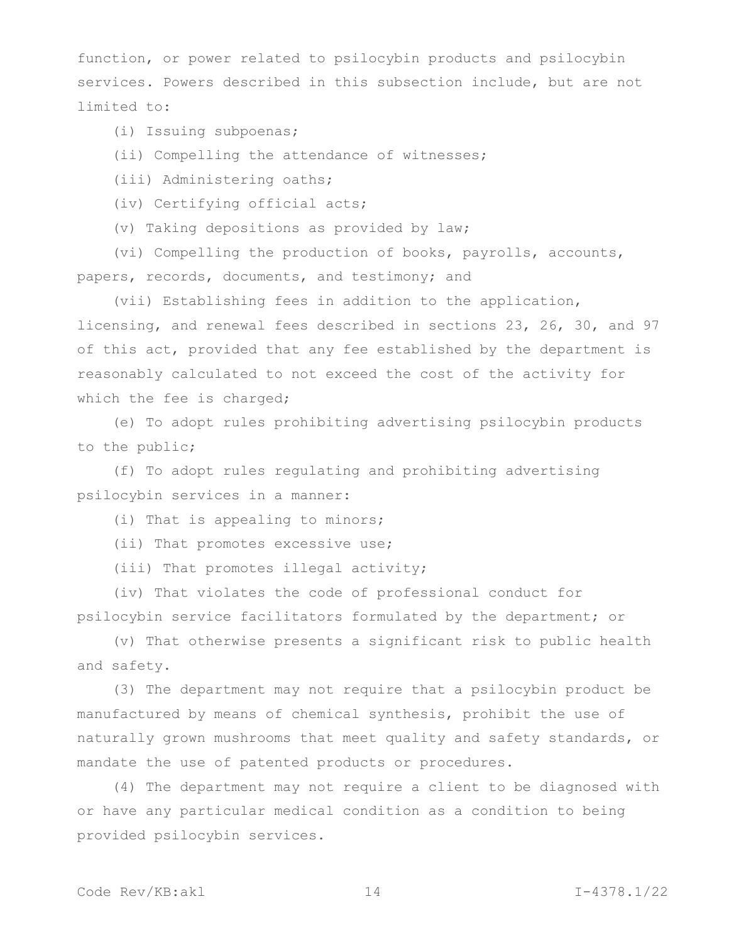function, or power related to psilocybin products and psilocybin services. Powers described in this subsection include, but are not limited to:

(i) Issuing subpoenas;

(ii) Compelling the attendance of witnesses;

(iii) Administering oaths;

(iv) Certifying official acts;

(v) Taking depositions as provided by law;

(vi) Compelling the production of books, payrolls, accounts, papers, records, documents, and testimony; and

(vii) Establishing fees in addition to the application, licensing, and renewal fees described in sections 23, 26, 30, and 97 of this act, provided that any fee established by the department is reasonably calculated to not exceed the cost of the activity for which the fee is charged;

(e) To adopt rules prohibiting advertising psilocybin products to the public;

(f) To adopt rules regulating and prohibiting advertising psilocybin services in a manner:

(i) That is appealing to minors;

(ii) That promotes excessive use;

(iii) That promotes illegal activity;

(iv) That violates the code of professional conduct for psilocybin service facilitators formulated by the department; or

(v) That otherwise presents a significant risk to public health and safety.

(3) The department may not require that a psilocybin product be manufactured by means of chemical synthesis, prohibit the use of naturally grown mushrooms that meet quality and safety standards, or mandate the use of patented products or procedures.

(4) The department may not require a client to be diagnosed with or have any particular medical condition as a condition to being provided psilocybin services.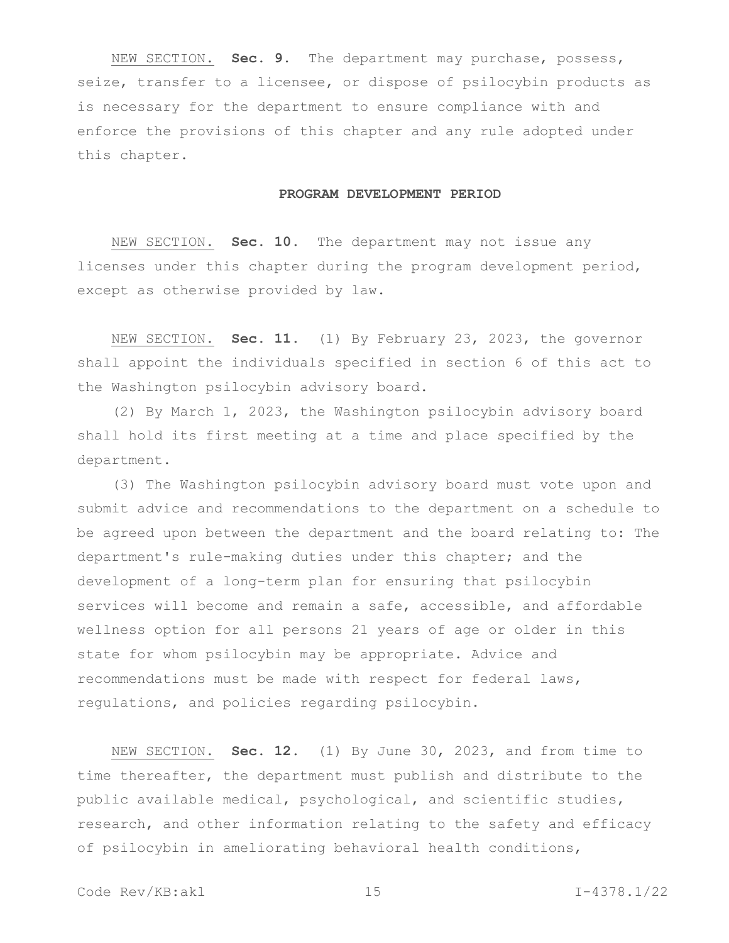NEW SECTION. **Sec. 9.** The department may purchase, possess, seize, transfer to a licensee, or dispose of psilocybin products as is necessary for the department to ensure compliance with and enforce the provisions of this chapter and any rule adopted under this chapter.

#### **PROGRAM DEVELOPMENT PERIOD**

NEW SECTION. **Sec. 10.** The department may not issue any licenses under this chapter during the program development period, except as otherwise provided by law.

NEW SECTION. **Sec. 11.** (1) By February 23, 2023, the governor shall appoint the individuals specified in section 6 of this act to the Washington psilocybin advisory board.

(2) By March 1, 2023, the Washington psilocybin advisory board shall hold its first meeting at a time and place specified by the department.

(3) The Washington psilocybin advisory board must vote upon and submit advice and recommendations to the department on a schedule to be agreed upon between the department and the board relating to: The department's rule-making duties under this chapter; and the development of a long-term plan for ensuring that psilocybin services will become and remain a safe, accessible, and affordable wellness option for all persons 21 years of age or older in this state for whom psilocybin may be appropriate. Advice and recommendations must be made with respect for federal laws, regulations, and policies regarding psilocybin.

NEW SECTION. **Sec. 12.** (1) By June 30, 2023, and from time to time thereafter, the department must publish and distribute to the public available medical, psychological, and scientific studies, research, and other information relating to the safety and efficacy of psilocybin in ameliorating behavioral health conditions,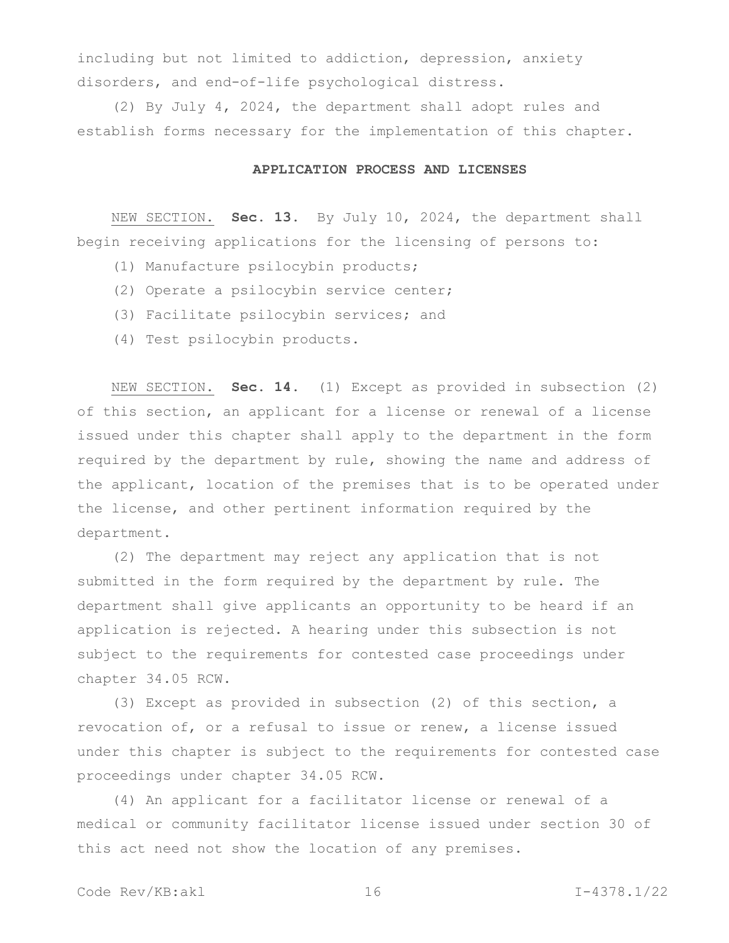including but not limited to addiction, depression, anxiety disorders, and end-of-life psychological distress.

(2) By July 4, 2024, the department shall adopt rules and establish forms necessary for the implementation of this chapter.

## **APPLICATION PROCESS AND LICENSES**

NEW SECTION. **Sec. 13.** By July 10, 2024, the department shall begin receiving applications for the licensing of persons to:

- (1) Manufacture psilocybin products;
- (2) Operate a psilocybin service center;
- (3) Facilitate psilocybin services; and
- (4) Test psilocybin products.

NEW SECTION. **Sec. 14.** (1) Except as provided in subsection (2) of this section, an applicant for a license or renewal of a license issued under this chapter shall apply to the department in the form required by the department by rule, showing the name and address of the applicant, location of the premises that is to be operated under the license, and other pertinent information required by the department.

(2) The department may reject any application that is not submitted in the form required by the department by rule. The department shall give applicants an opportunity to be heard if an application is rejected. A hearing under this subsection is not subject to the requirements for contested case proceedings under chapter 34.05 RCW.

(3) Except as provided in subsection (2) of this section, a revocation of, or a refusal to issue or renew, a license issued under this chapter is subject to the requirements for contested case proceedings under chapter 34.05 RCW.

(4) An applicant for a facilitator license or renewal of a medical or community facilitator license issued under section 30 of this act need not show the location of any premises.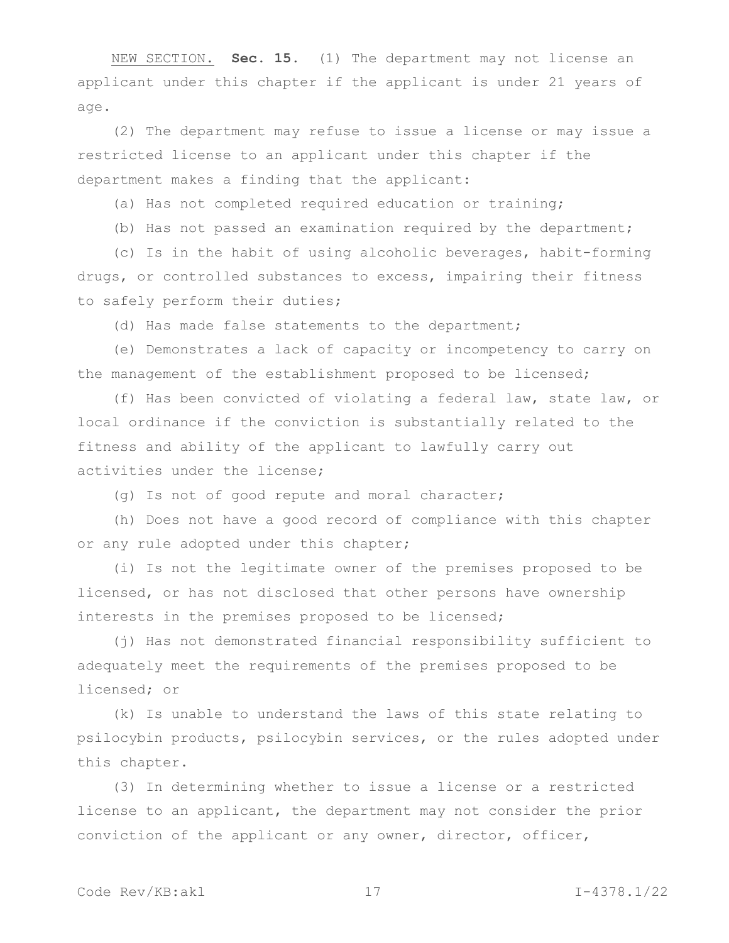NEW SECTION. **Sec. 15.** (1) The department may not license an applicant under this chapter if the applicant is under 21 years of age.

(2) The department may refuse to issue a license or may issue a restricted license to an applicant under this chapter if the department makes a finding that the applicant:

(a) Has not completed required education or training;

(b) Has not passed an examination required by the department;

(c) Is in the habit of using alcoholic beverages, habit-forming drugs, or controlled substances to excess, impairing their fitness to safely perform their duties;

(d) Has made false statements to the department;

(e) Demonstrates a lack of capacity or incompetency to carry on the management of the establishment proposed to be licensed;

(f) Has been convicted of violating a federal law, state law, or local ordinance if the conviction is substantially related to the fitness and ability of the applicant to lawfully carry out activities under the license;

(g) Is not of good repute and moral character;

(h) Does not have a good record of compliance with this chapter or any rule adopted under this chapter;

(i) Is not the legitimate owner of the premises proposed to be licensed, or has not disclosed that other persons have ownership interests in the premises proposed to be licensed;

(j) Has not demonstrated financial responsibility sufficient to adequately meet the requirements of the premises proposed to be licensed; or

(k) Is unable to understand the laws of this state relating to psilocybin products, psilocybin services, or the rules adopted under this chapter.

(3) In determining whether to issue a license or a restricted license to an applicant, the department may not consider the prior conviction of the applicant or any owner, director, officer,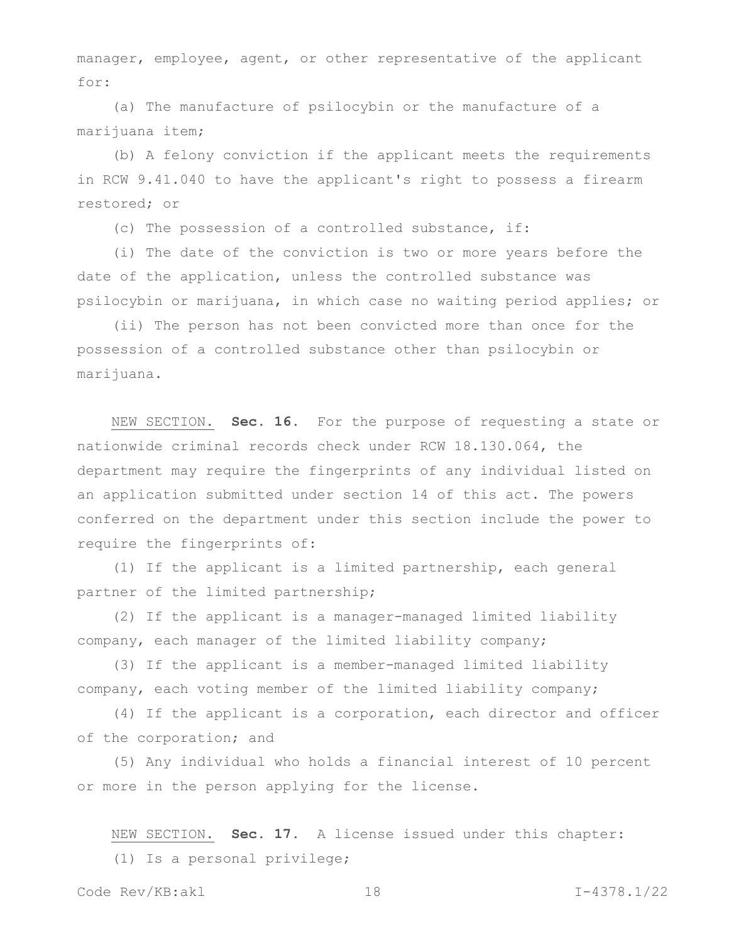manager, employee, agent, or other representative of the applicant for:

(a) The manufacture of psilocybin or the manufacture of a marijuana item;

(b) A felony conviction if the applicant meets the requirements in RCW 9.41.040 to have the applicant's right to possess a firearm restored; or

(c) The possession of a controlled substance, if:

(i) The date of the conviction is two or more years before the date of the application, unless the controlled substance was psilocybin or marijuana, in which case no waiting period applies; or

(ii) The person has not been convicted more than once for the possession of a controlled substance other than psilocybin or marijuana.

NEW SECTION. **Sec. 16.** For the purpose of requesting a state or nationwide criminal records check under RCW 18.130.064, the department may require the fingerprints of any individual listed on an application submitted under section 14 of this act. The powers conferred on the department under this section include the power to require the fingerprints of:

(1) If the applicant is a limited partnership, each general partner of the limited partnership;

(2) If the applicant is a manager-managed limited liability company, each manager of the limited liability company;

(3) If the applicant is a member-managed limited liability company, each voting member of the limited liability company;

(4) If the applicant is a corporation, each director and officer of the corporation; and

(5) Any individual who holds a financial interest of 10 percent or more in the person applying for the license.

NEW SECTION. **Sec. 17.** A license issued under this chapter: (1) Is a personal privilege;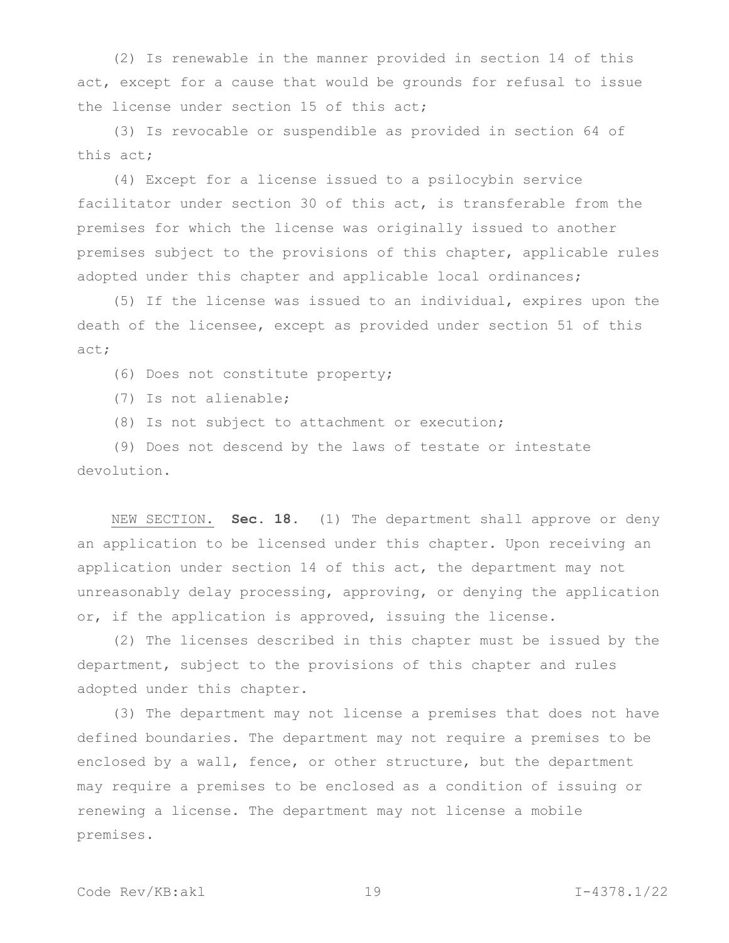(2) Is renewable in the manner provided in section 14 of this act, except for a cause that would be grounds for refusal to issue the license under section 15 of this act;

(3) Is revocable or suspendible as provided in section 64 of this act;

(4) Except for a license issued to a psilocybin service facilitator under section 30 of this act, is transferable from the premises for which the license was originally issued to another premises subject to the provisions of this chapter, applicable rules adopted under this chapter and applicable local ordinances;

(5) If the license was issued to an individual, expires upon the death of the licensee, except as provided under section 51 of this act;

(6) Does not constitute property;

(7) Is not alienable;

(8) Is not subject to attachment or execution;

(9) Does not descend by the laws of testate or intestate devolution.

NEW SECTION. **Sec. 18.** (1) The department shall approve or deny an application to be licensed under this chapter. Upon receiving an application under section 14 of this act, the department may not unreasonably delay processing, approving, or denying the application or, if the application is approved, issuing the license.

(2) The licenses described in this chapter must be issued by the department, subject to the provisions of this chapter and rules adopted under this chapter.

(3) The department may not license a premises that does not have defined boundaries. The department may not require a premises to be enclosed by a wall, fence, or other structure, but the department may require a premises to be enclosed as a condition of issuing or renewing a license. The department may not license a mobile premises.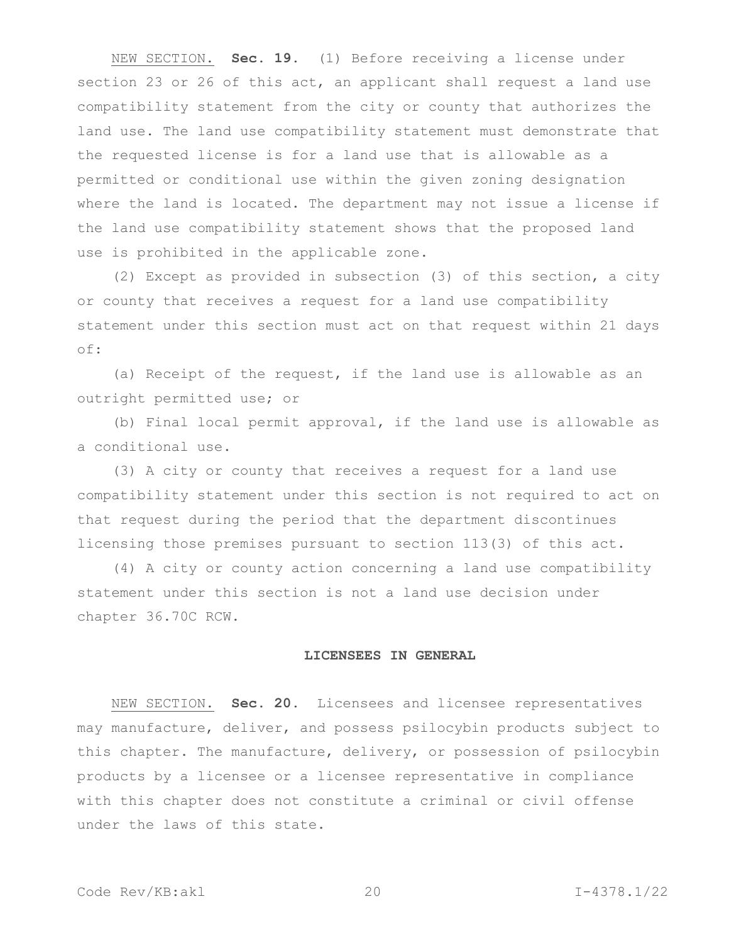NEW SECTION. **Sec. 19.** (1) Before receiving a license under section 23 or 26 of this act, an applicant shall request a land use compatibility statement from the city or county that authorizes the land use. The land use compatibility statement must demonstrate that the requested license is for a land use that is allowable as a permitted or conditional use within the given zoning designation where the land is located. The department may not issue a license if the land use compatibility statement shows that the proposed land use is prohibited in the applicable zone.

(2) Except as provided in subsection (3) of this section, a city or county that receives a request for a land use compatibility statement under this section must act on that request within 21 days of:

(a) Receipt of the request, if the land use is allowable as an outright permitted use; or

(b) Final local permit approval, if the land use is allowable as a conditional use.

(3) A city or county that receives a request for a land use compatibility statement under this section is not required to act on that request during the period that the department discontinues licensing those premises pursuant to section 113(3) of this act.

(4) A city or county action concerning a land use compatibility statement under this section is not a land use decision under chapter 36.70C RCW.

#### **LICENSEES IN GENERAL**

NEW SECTION. **Sec. 20.** Licensees and licensee representatives may manufacture, deliver, and possess psilocybin products subject to this chapter. The manufacture, delivery, or possession of psilocybin products by a licensee or a licensee representative in compliance with this chapter does not constitute a criminal or civil offense under the laws of this state.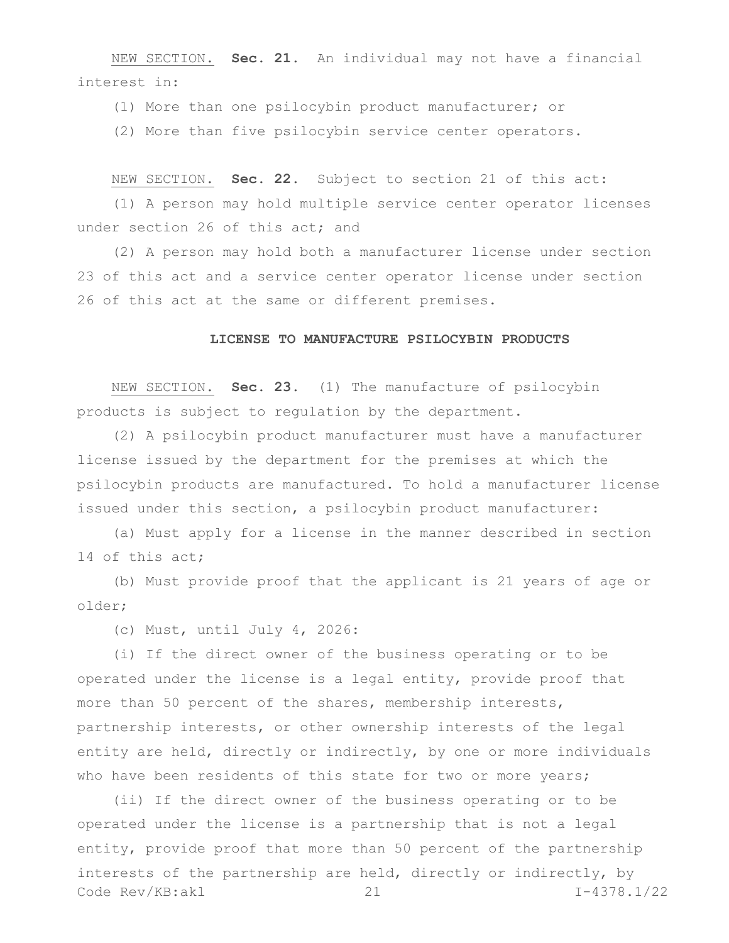NEW SECTION. **Sec. 21.** An individual may not have a financial interest in:

(1) More than one psilocybin product manufacturer; or

(2) More than five psilocybin service center operators.

NEW SECTION. **Sec. 22.** Subject to section 21 of this act:

(1) A person may hold multiple service center operator licenses under section 26 of this act; and

(2) A person may hold both a manufacturer license under section 23 of this act and a service center operator license under section 26 of this act at the same or different premises.

#### **LICENSE TO MANUFACTURE PSILOCYBIN PRODUCTS**

NEW SECTION. **Sec. 23.** (1) The manufacture of psilocybin products is subject to regulation by the department.

(2) A psilocybin product manufacturer must have a manufacturer license issued by the department for the premises at which the psilocybin products are manufactured. To hold a manufacturer license issued under this section, a psilocybin product manufacturer:

(a) Must apply for a license in the manner described in section 14 of this act;

(b) Must provide proof that the applicant is 21 years of age or older;

(c) Must, until July 4, 2026:

(i) If the direct owner of the business operating or to be operated under the license is a legal entity, provide proof that more than 50 percent of the shares, membership interests, partnership interests, or other ownership interests of the legal entity are held, directly or indirectly, by one or more individuals who have been residents of this state for two or more years;

Code Rev/KB:akl 21 I-4378.1/22 (ii) If the direct owner of the business operating or to be operated under the license is a partnership that is not a legal entity, provide proof that more than 50 percent of the partnership interests of the partnership are held, directly or indirectly, by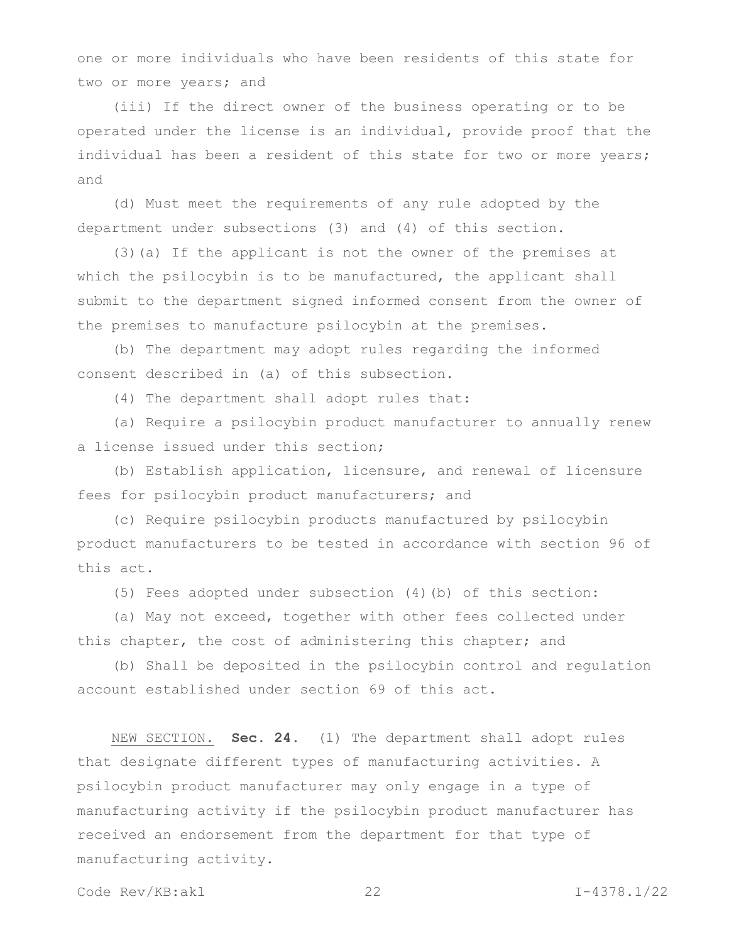one or more individuals who have been residents of this state for two or more years; and

(iii) If the direct owner of the business operating or to be operated under the license is an individual, provide proof that the individual has been a resident of this state for two or more years; and

(d) Must meet the requirements of any rule adopted by the department under subsections (3) and (4) of this section.

(3)(a) If the applicant is not the owner of the premises at which the psilocybin is to be manufactured, the applicant shall submit to the department signed informed consent from the owner of the premises to manufacture psilocybin at the premises.

(b) The department may adopt rules regarding the informed consent described in (a) of this subsection.

(4) The department shall adopt rules that:

(a) Require a psilocybin product manufacturer to annually renew a license issued under this section;

(b) Establish application, licensure, and renewal of licensure fees for psilocybin product manufacturers; and

(c) Require psilocybin products manufactured by psilocybin product manufacturers to be tested in accordance with section 96 of this act.

(5) Fees adopted under subsection (4)(b) of this section:

(a) May not exceed, together with other fees collected under this chapter, the cost of administering this chapter; and

(b) Shall be deposited in the psilocybin control and regulation account established under section 69 of this act.

NEW SECTION. **Sec. 24.** (1) The department shall adopt rules that designate different types of manufacturing activities. A psilocybin product manufacturer may only engage in a type of manufacturing activity if the psilocybin product manufacturer has received an endorsement from the department for that type of manufacturing activity.

Code Rev/KB:akl 22 I-4378.1/22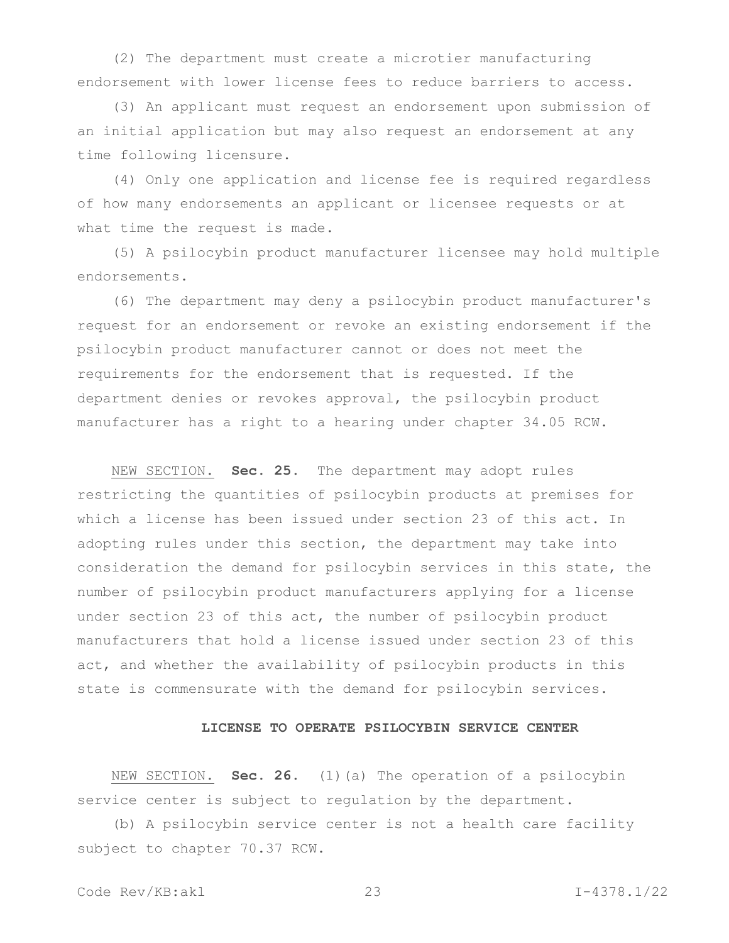(2) The department must create a microtier manufacturing endorsement with lower license fees to reduce barriers to access.

(3) An applicant must request an endorsement upon submission of an initial application but may also request an endorsement at any time following licensure.

(4) Only one application and license fee is required regardless of how many endorsements an applicant or licensee requests or at what time the request is made.

(5) A psilocybin product manufacturer licensee may hold multiple endorsements.

(6) The department may deny a psilocybin product manufacturer's request for an endorsement or revoke an existing endorsement if the psilocybin product manufacturer cannot or does not meet the requirements for the endorsement that is requested. If the department denies or revokes approval, the psilocybin product manufacturer has a right to a hearing under chapter 34.05 RCW.

NEW SECTION. **Sec. 25.** The department may adopt rules restricting the quantities of psilocybin products at premises for which a license has been issued under section 23 of this act. In adopting rules under this section, the department may take into consideration the demand for psilocybin services in this state, the number of psilocybin product manufacturers applying for a license under section 23 of this act, the number of psilocybin product manufacturers that hold a license issued under section 23 of this act, and whether the availability of psilocybin products in this state is commensurate with the demand for psilocybin services.

# **LICENSE TO OPERATE PSILOCYBIN SERVICE CENTER**

NEW SECTION. **Sec. 26.** (1)(a) The operation of a psilocybin service center is subject to regulation by the department.

(b) A psilocybin service center is not a health care facility subject to chapter 70.37 RCW.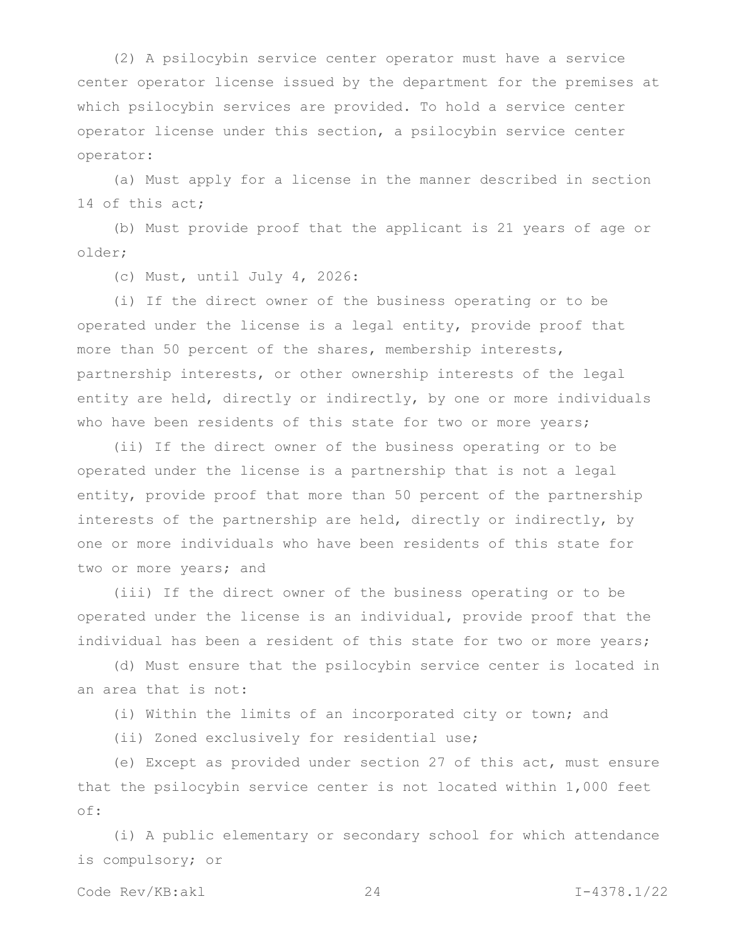(2) A psilocybin service center operator must have a service center operator license issued by the department for the premises at which psilocybin services are provided. To hold a service center operator license under this section, a psilocybin service center operator:

(a) Must apply for a license in the manner described in section 14 of this act;

(b) Must provide proof that the applicant is 21 years of age or older;

(c) Must, until July 4, 2026:

(i) If the direct owner of the business operating or to be operated under the license is a legal entity, provide proof that more than 50 percent of the shares, membership interests, partnership interests, or other ownership interests of the legal entity are held, directly or indirectly, by one or more individuals who have been residents of this state for two or more years;

(ii) If the direct owner of the business operating or to be operated under the license is a partnership that is not a legal entity, provide proof that more than 50 percent of the partnership interests of the partnership are held, directly or indirectly, by one or more individuals who have been residents of this state for two or more years; and

(iii) If the direct owner of the business operating or to be operated under the license is an individual, provide proof that the individual has been a resident of this state for two or more years;

(d) Must ensure that the psilocybin service center is located in an area that is not:

(i) Within the limits of an incorporated city or town; and

(ii) Zoned exclusively for residential use;

(e) Except as provided under section 27 of this act, must ensure that the psilocybin service center is not located within 1,000 feet of:

(i) A public elementary or secondary school for which attendance is compulsory; or

Code Rev/KB:akl 24 I-4378.1/22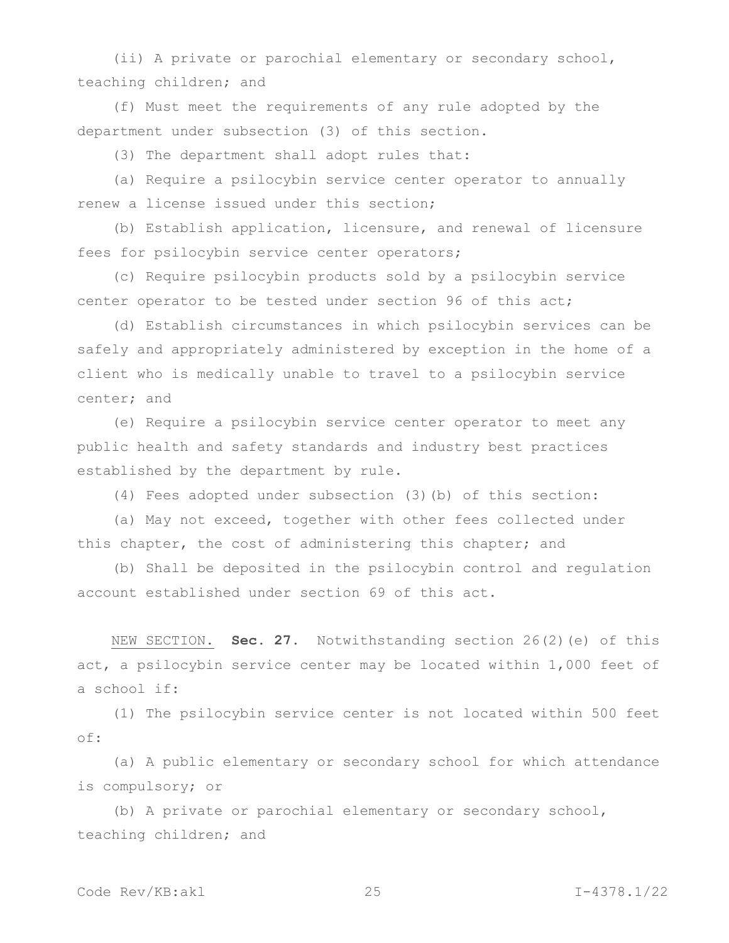(ii) A private or parochial elementary or secondary school, teaching children; and

(f) Must meet the requirements of any rule adopted by the department under subsection (3) of this section.

(3) The department shall adopt rules that:

(a) Require a psilocybin service center operator to annually renew a license issued under this section;

(b) Establish application, licensure, and renewal of licensure fees for psilocybin service center operators;

(c) Require psilocybin products sold by a psilocybin service center operator to be tested under section 96 of this act;

(d) Establish circumstances in which psilocybin services can be safely and appropriately administered by exception in the home of a client who is medically unable to travel to a psilocybin service center; and

(e) Require a psilocybin service center operator to meet any public health and safety standards and industry best practices established by the department by rule.

(4) Fees adopted under subsection (3)(b) of this section:

(a) May not exceed, together with other fees collected under this chapter, the cost of administering this chapter; and

(b) Shall be deposited in the psilocybin control and regulation account established under section 69 of this act.

NEW SECTION. **Sec. 27.** Notwithstanding section 26(2)(e) of this act, a psilocybin service center may be located within 1,000 feet of a school if:

(1) The psilocybin service center is not located within 500 feet of:

(a) A public elementary or secondary school for which attendance is compulsory; or

(b) A private or parochial elementary or secondary school, teaching children; and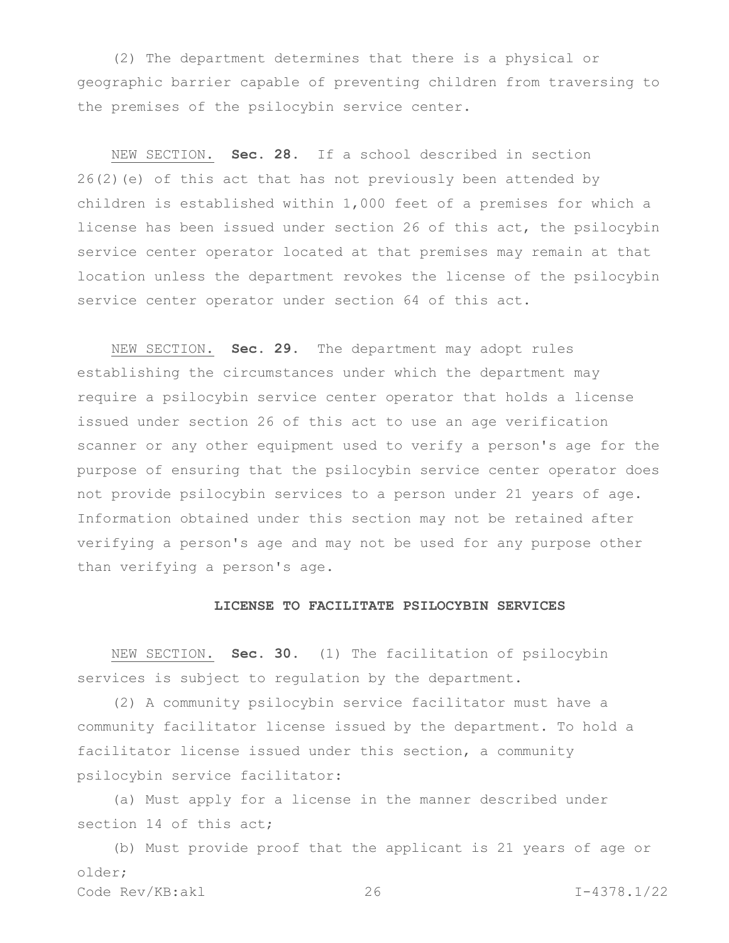(2) The department determines that there is a physical or geographic barrier capable of preventing children from traversing to the premises of the psilocybin service center.

NEW SECTION. **Sec. 28.** If a school described in section 26(2)(e) of this act that has not previously been attended by children is established within 1,000 feet of a premises for which a license has been issued under section 26 of this act, the psilocybin service center operator located at that premises may remain at that location unless the department revokes the license of the psilocybin service center operator under section 64 of this act.

NEW SECTION. **Sec. 29.** The department may adopt rules establishing the circumstances under which the department may require a psilocybin service center operator that holds a license issued under section 26 of this act to use an age verification scanner or any other equipment used to verify a person's age for the purpose of ensuring that the psilocybin service center operator does not provide psilocybin services to a person under 21 years of age. Information obtained under this section may not be retained after verifying a person's age and may not be used for any purpose other than verifying a person's age.

#### **LICENSE TO FACILITATE PSILOCYBIN SERVICES**

NEW SECTION. **Sec. 30.** (1) The facilitation of psilocybin services is subject to regulation by the department.

(2) A community psilocybin service facilitator must have a community facilitator license issued by the department. To hold a facilitator license issued under this section, a community psilocybin service facilitator:

(a) Must apply for a license in the manner described under section 14 of this act:

Code Rev/KB:akl 26 I-4378.1/22 (b) Must provide proof that the applicant is 21 years of age or older;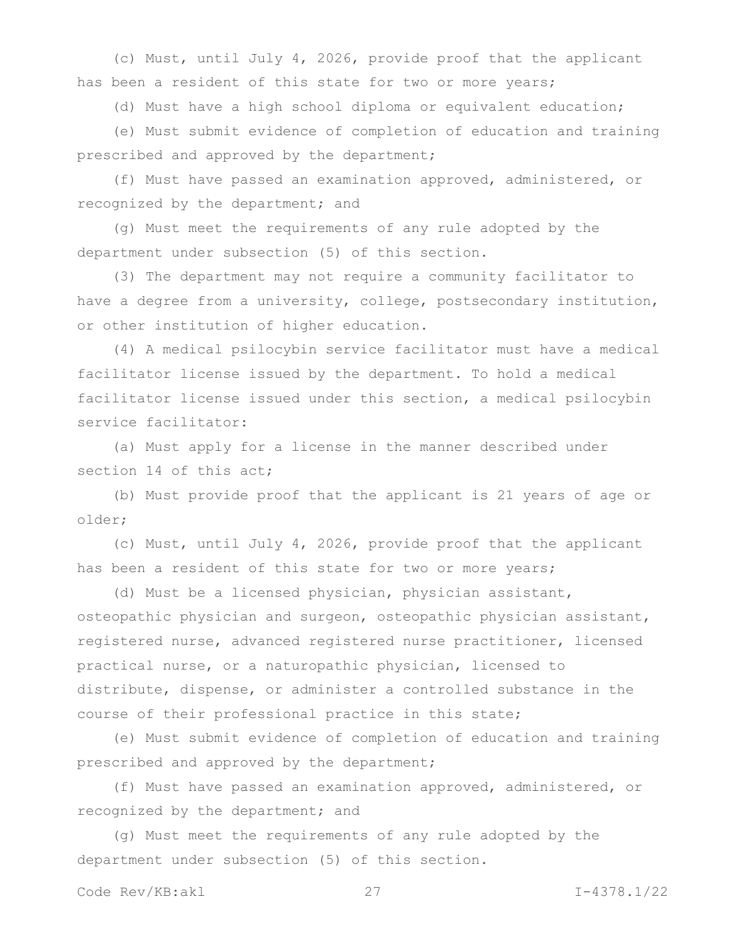(c) Must, until July 4, 2026, provide proof that the applicant has been a resident of this state for two or more years;

(d) Must have a high school diploma or equivalent education;

(e) Must submit evidence of completion of education and training prescribed and approved by the department;

(f) Must have passed an examination approved, administered, or recognized by the department; and

(g) Must meet the requirements of any rule adopted by the department under subsection (5) of this section.

(3) The department may not require a community facilitator to have a degree from a university, college, postsecondary institution, or other institution of higher education.

(4) A medical psilocybin service facilitator must have a medical facilitator license issued by the department. To hold a medical facilitator license issued under this section, a medical psilocybin service facilitator:

(a) Must apply for a license in the manner described under section 14 of this act;

(b) Must provide proof that the applicant is 21 years of age or older;

(c) Must, until July 4, 2026, provide proof that the applicant has been a resident of this state for two or more years;

(d) Must be a licensed physician, physician assistant, osteopathic physician and surgeon, osteopathic physician assistant, registered nurse, advanced registered nurse practitioner, licensed practical nurse, or a naturopathic physician, licensed to distribute, dispense, or administer a controlled substance in the course of their professional practice in this state;

(e) Must submit evidence of completion of education and training prescribed and approved by the department;

(f) Must have passed an examination approved, administered, or recognized by the department; and

(g) Must meet the requirements of any rule adopted by the department under subsection (5) of this section.

Code Rev/KB:akl 27 I-4378.1/22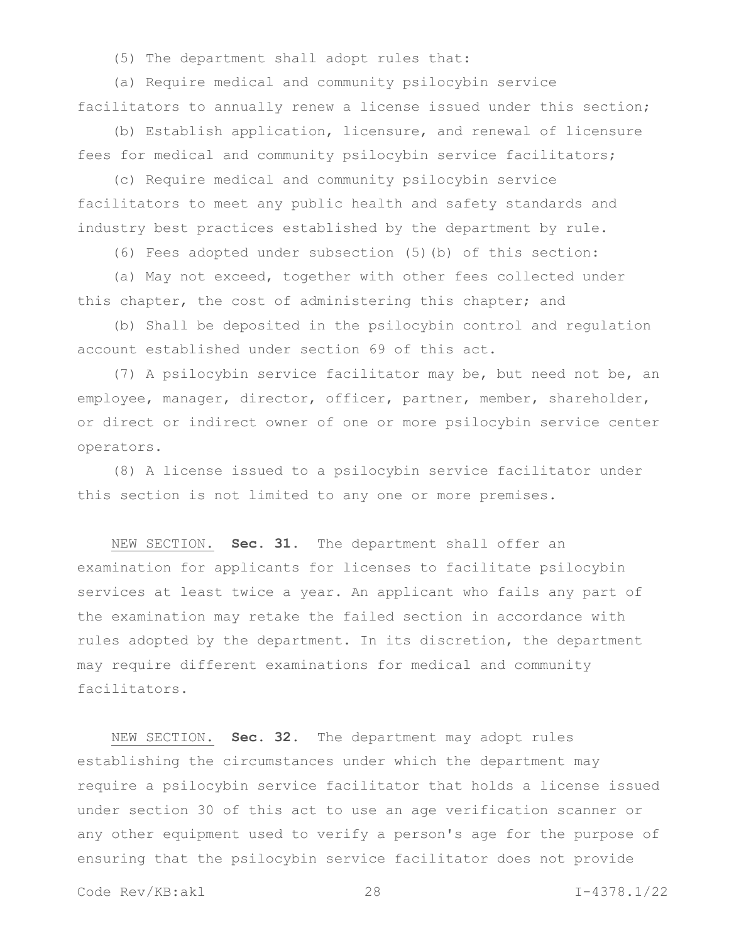(5) The department shall adopt rules that:

(a) Require medical and community psilocybin service facilitators to annually renew a license issued under this section;

(b) Establish application, licensure, and renewal of licensure fees for medical and community psilocybin service facilitators;

(c) Require medical and community psilocybin service facilitators to meet any public health and safety standards and industry best practices established by the department by rule.

(6) Fees adopted under subsection (5)(b) of this section:

(a) May not exceed, together with other fees collected under this chapter, the cost of administering this chapter; and

(b) Shall be deposited in the psilocybin control and regulation account established under section 69 of this act.

(7) A psilocybin service facilitator may be, but need not be, an employee, manager, director, officer, partner, member, shareholder, or direct or indirect owner of one or more psilocybin service center operators.

(8) A license issued to a psilocybin service facilitator under this section is not limited to any one or more premises.

NEW SECTION. **Sec. 31.** The department shall offer an examination for applicants for licenses to facilitate psilocybin services at least twice a year. An applicant who fails any part of the examination may retake the failed section in accordance with rules adopted by the department. In its discretion, the department may require different examinations for medical and community facilitators.

NEW SECTION. **Sec. 32.** The department may adopt rules establishing the circumstances under which the department may require a psilocybin service facilitator that holds a license issued under section 30 of this act to use an age verification scanner or any other equipment used to verify a person's age for the purpose of ensuring that the psilocybin service facilitator does not provide

Code Rev/KB:akl 28 I-4378.1/22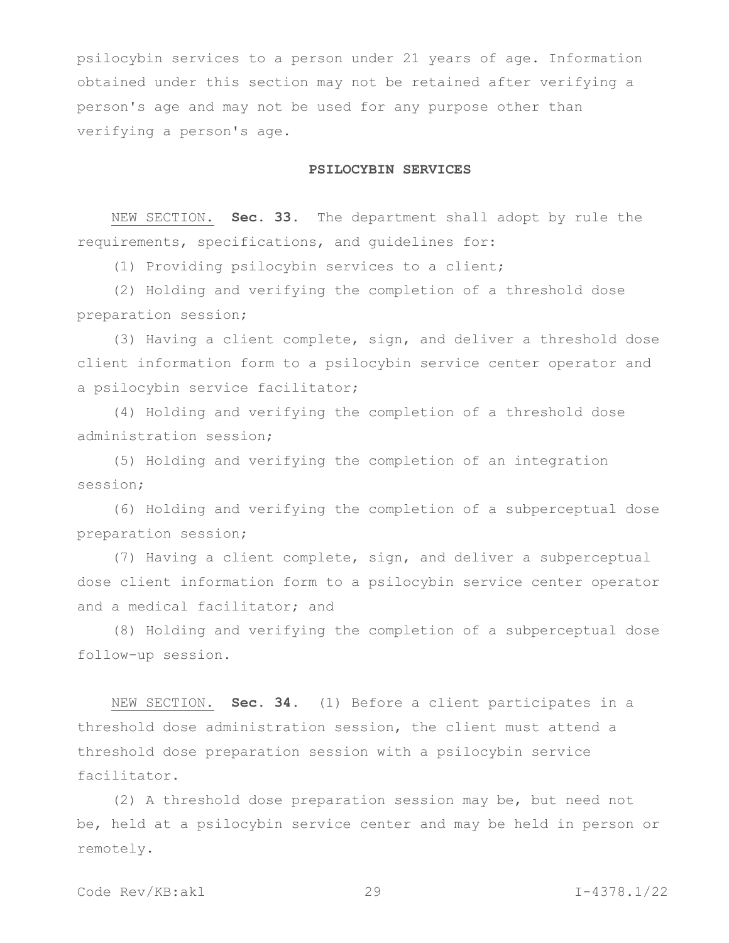psilocybin services to a person under 21 years of age. Information obtained under this section may not be retained after verifying a person's age and may not be used for any purpose other than verifying a person's age.

# **PSILOCYBIN SERVICES**

NEW SECTION. **Sec. 33.** The department shall adopt by rule the requirements, specifications, and guidelines for:

(1) Providing psilocybin services to a client;

(2) Holding and verifying the completion of a threshold dose preparation session;

(3) Having a client complete, sign, and deliver a threshold dose client information form to a psilocybin service center operator and a psilocybin service facilitator;

(4) Holding and verifying the completion of a threshold dose administration session;

(5) Holding and verifying the completion of an integration session;

(6) Holding and verifying the completion of a subperceptual dose preparation session;

(7) Having a client complete, sign, and deliver a subperceptual dose client information form to a psilocybin service center operator and a medical facilitator; and

(8) Holding and verifying the completion of a subperceptual dose follow-up session.

NEW SECTION. **Sec. 34.** (1) Before a client participates in a threshold dose administration session, the client must attend a threshold dose preparation session with a psilocybin service facilitator.

(2) A threshold dose preparation session may be, but need not be, held at a psilocybin service center and may be held in person or remotely.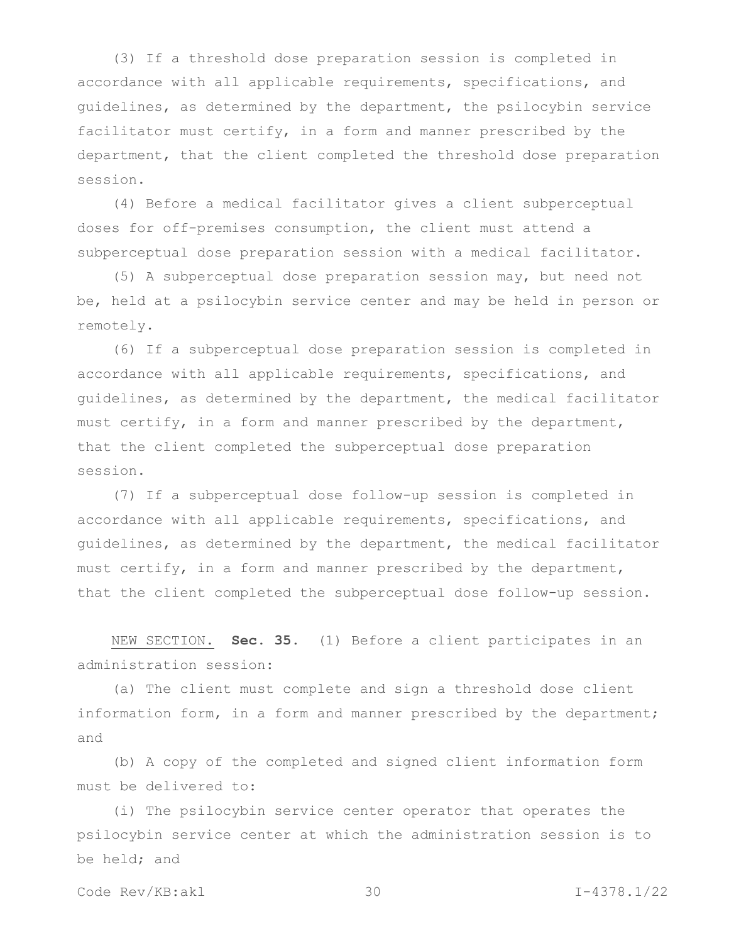(3) If a threshold dose preparation session is completed in accordance with all applicable requirements, specifications, and guidelines, as determined by the department, the psilocybin service facilitator must certify, in a form and manner prescribed by the department, that the client completed the threshold dose preparation session.

(4) Before a medical facilitator gives a client subperceptual doses for off-premises consumption, the client must attend a subperceptual dose preparation session with a medical facilitator.

(5) A subperceptual dose preparation session may, but need not be, held at a psilocybin service center and may be held in person or remotely.

(6) If a subperceptual dose preparation session is completed in accordance with all applicable requirements, specifications, and guidelines, as determined by the department, the medical facilitator must certify, in a form and manner prescribed by the department, that the client completed the subperceptual dose preparation session.

(7) If a subperceptual dose follow-up session is completed in accordance with all applicable requirements, specifications, and guidelines, as determined by the department, the medical facilitator must certify, in a form and manner prescribed by the department, that the client completed the subperceptual dose follow-up session.

NEW SECTION. **Sec. 35.** (1) Before a client participates in an administration session:

(a) The client must complete and sign a threshold dose client information form, in a form and manner prescribed by the department; and

(b) A copy of the completed and signed client information form must be delivered to:

(i) The psilocybin service center operator that operates the psilocybin service center at which the administration session is to be held; and

Code Rev/KB:akl 30 I-4378.1/22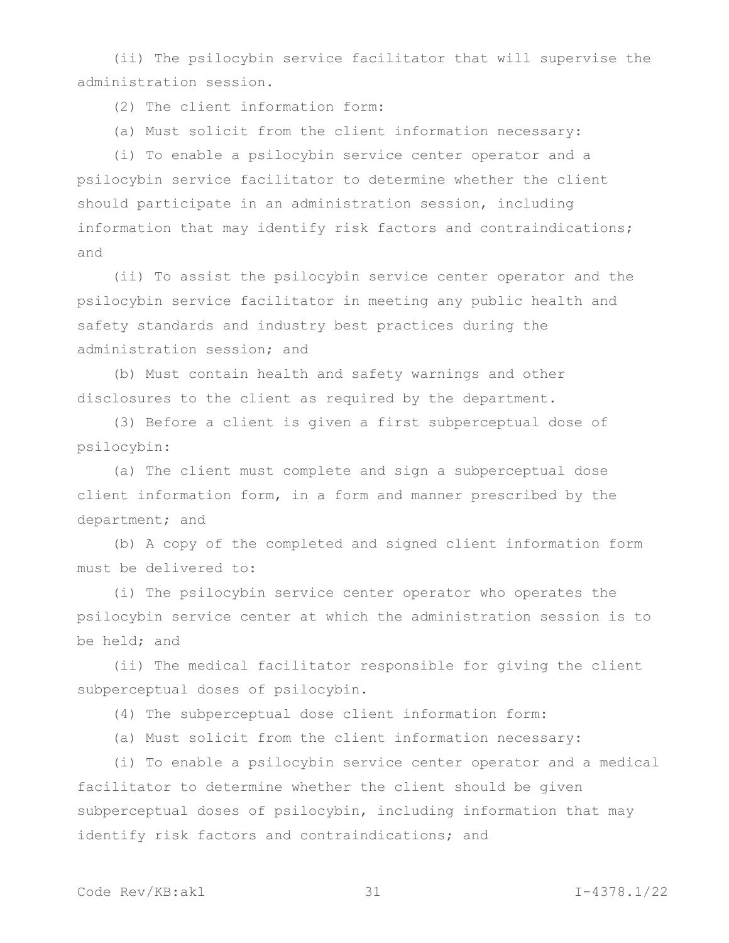(ii) The psilocybin service facilitator that will supervise the administration session.

(2) The client information form:

(a) Must solicit from the client information necessary:

(i) To enable a psilocybin service center operator and a psilocybin service facilitator to determine whether the client should participate in an administration session, including information that may identify risk factors and contraindications; and

(ii) To assist the psilocybin service center operator and the psilocybin service facilitator in meeting any public health and safety standards and industry best practices during the administration session; and

(b) Must contain health and safety warnings and other disclosures to the client as required by the department.

(3) Before a client is given a first subperceptual dose of psilocybin:

(a) The client must complete and sign a subperceptual dose client information form, in a form and manner prescribed by the department; and

(b) A copy of the completed and signed client information form must be delivered to:

(i) The psilocybin service center operator who operates the psilocybin service center at which the administration session is to be held; and

(ii) The medical facilitator responsible for giving the client subperceptual doses of psilocybin.

(4) The subperceptual dose client information form:

(a) Must solicit from the client information necessary:

(i) To enable a psilocybin service center operator and a medical facilitator to determine whether the client should be given subperceptual doses of psilocybin, including information that may identify risk factors and contraindications; and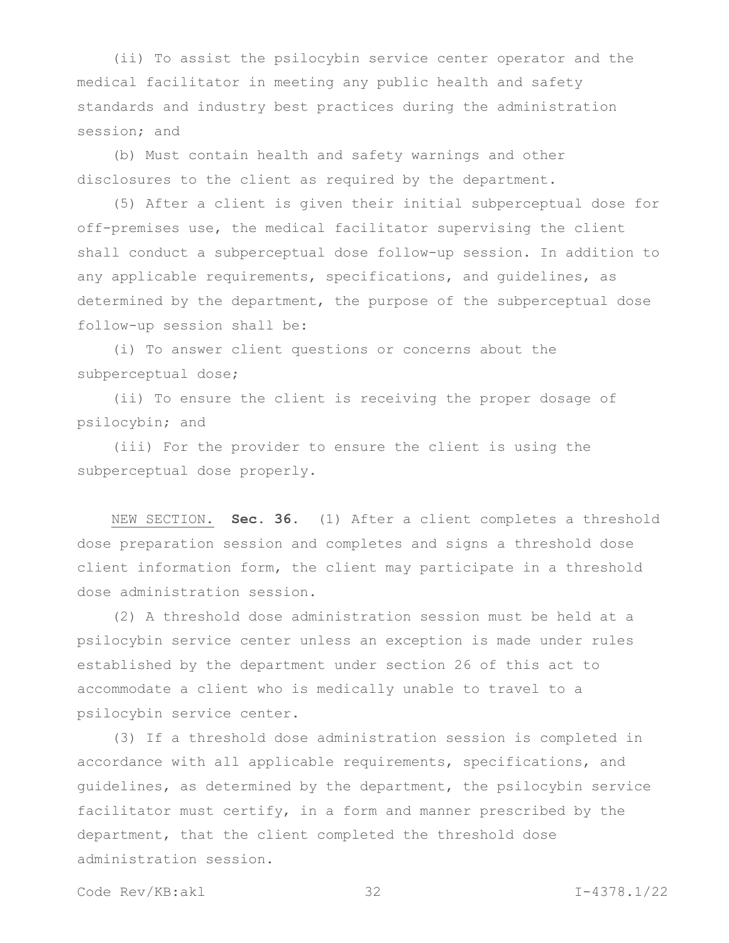(ii) To assist the psilocybin service center operator and the medical facilitator in meeting any public health and safety standards and industry best practices during the administration session; and

(b) Must contain health and safety warnings and other disclosures to the client as required by the department.

(5) After a client is given their initial subperceptual dose for off-premises use, the medical facilitator supervising the client shall conduct a subperceptual dose follow-up session. In addition to any applicable requirements, specifications, and guidelines, as determined by the department, the purpose of the subperceptual dose follow-up session shall be:

(i) To answer client questions or concerns about the subperceptual dose;

(ii) To ensure the client is receiving the proper dosage of psilocybin; and

(iii) For the provider to ensure the client is using the subperceptual dose properly.

NEW SECTION. **Sec. 36.** (1) After a client completes a threshold dose preparation session and completes and signs a threshold dose client information form, the client may participate in a threshold dose administration session.

(2) A threshold dose administration session must be held at a psilocybin service center unless an exception is made under rules established by the department under section 26 of this act to accommodate a client who is medically unable to travel to a psilocybin service center.

(3) If a threshold dose administration session is completed in accordance with all applicable requirements, specifications, and guidelines, as determined by the department, the psilocybin service facilitator must certify, in a form and manner prescribed by the department, that the client completed the threshold dose administration session.

Code Rev/KB:akl 32 I-4378.1/22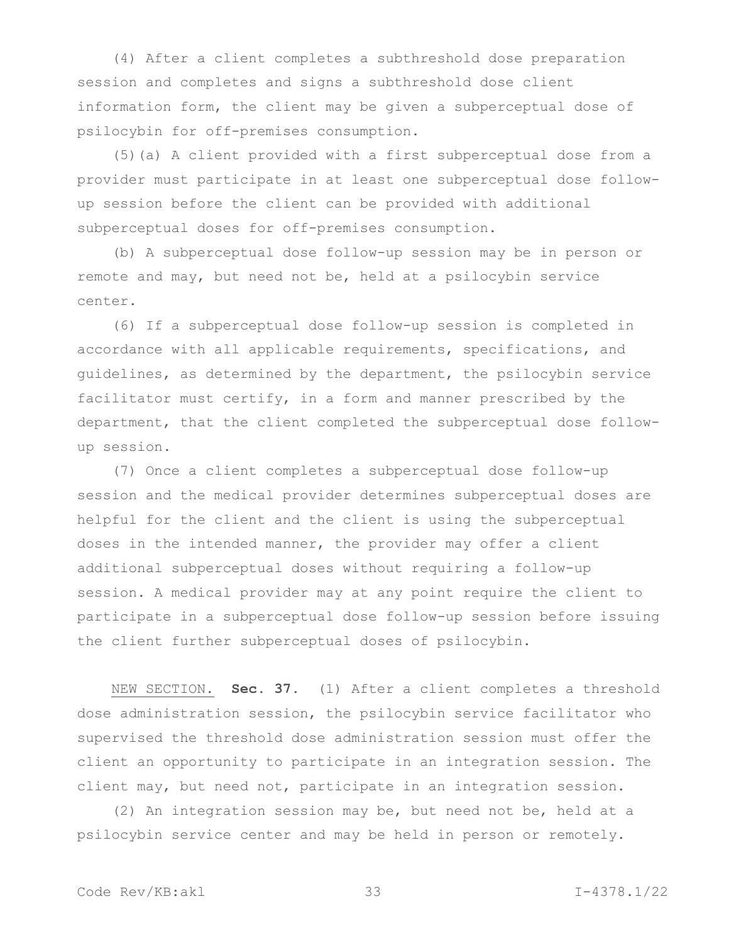(4) After a client completes a subthreshold dose preparation session and completes and signs a subthreshold dose client information form, the client may be given a subperceptual dose of psilocybin for off-premises consumption.

(5)(a) A client provided with a first subperceptual dose from a provider must participate in at least one subperceptual dose followup session before the client can be provided with additional subperceptual doses for off-premises consumption.

(b) A subperceptual dose follow-up session may be in person or remote and may, but need not be, held at a psilocybin service center.

(6) If a subperceptual dose follow-up session is completed in accordance with all applicable requirements, specifications, and guidelines, as determined by the department, the psilocybin service facilitator must certify, in a form and manner prescribed by the department, that the client completed the subperceptual dose followup session.

(7) Once a client completes a subperceptual dose follow-up session and the medical provider determines subperceptual doses are helpful for the client and the client is using the subperceptual doses in the intended manner, the provider may offer a client additional subperceptual doses without requiring a follow-up session. A medical provider may at any point require the client to participate in a subperceptual dose follow-up session before issuing the client further subperceptual doses of psilocybin.

NEW SECTION. **Sec. 37.** (1) After a client completes a threshold dose administration session, the psilocybin service facilitator who supervised the threshold dose administration session must offer the client an opportunity to participate in an integration session. The client may, but need not, participate in an integration session.

(2) An integration session may be, but need not be, held at a psilocybin service center and may be held in person or remotely.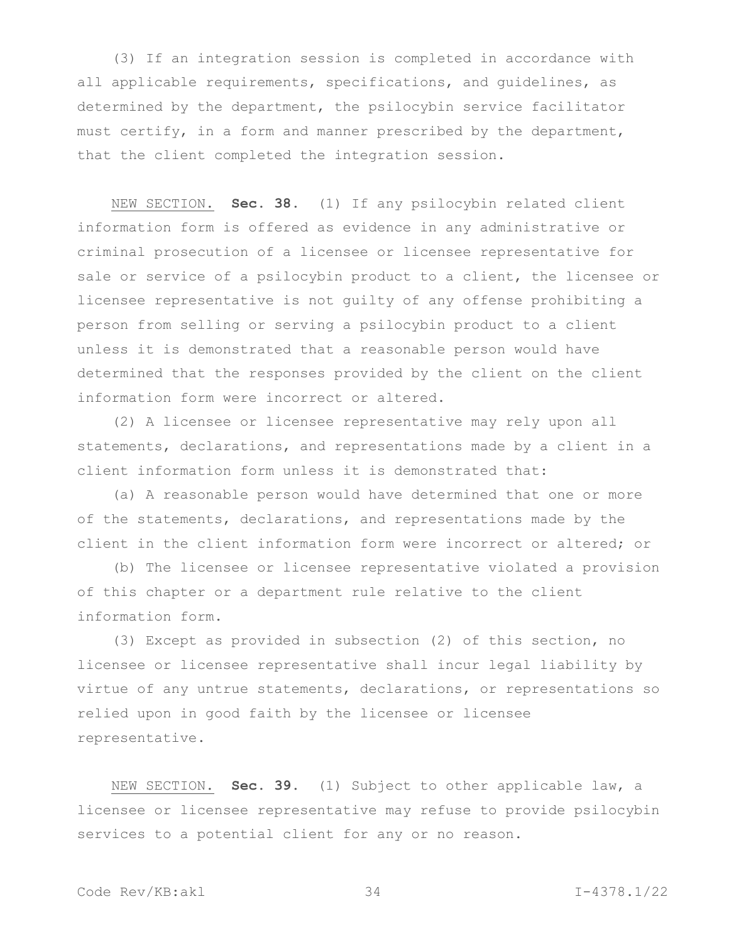(3) If an integration session is completed in accordance with all applicable requirements, specifications, and guidelines, as determined by the department, the psilocybin service facilitator must certify, in a form and manner prescribed by the department, that the client completed the integration session.

NEW SECTION. **Sec. 38.** (1) If any psilocybin related client information form is offered as evidence in any administrative or criminal prosecution of a licensee or licensee representative for sale or service of a psilocybin product to a client, the licensee or licensee representative is not guilty of any offense prohibiting a person from selling or serving a psilocybin product to a client unless it is demonstrated that a reasonable person would have determined that the responses provided by the client on the client information form were incorrect or altered.

(2) A licensee or licensee representative may rely upon all statements, declarations, and representations made by a client in a client information form unless it is demonstrated that:

(a) A reasonable person would have determined that one or more of the statements, declarations, and representations made by the client in the client information form were incorrect or altered; or

(b) The licensee or licensee representative violated a provision of this chapter or a department rule relative to the client information form.

(3) Except as provided in subsection (2) of this section, no licensee or licensee representative shall incur legal liability by virtue of any untrue statements, declarations, or representations so relied upon in good faith by the licensee or licensee representative.

NEW SECTION. **Sec. 39.** (1) Subject to other applicable law, a licensee or licensee representative may refuse to provide psilocybin services to a potential client for any or no reason.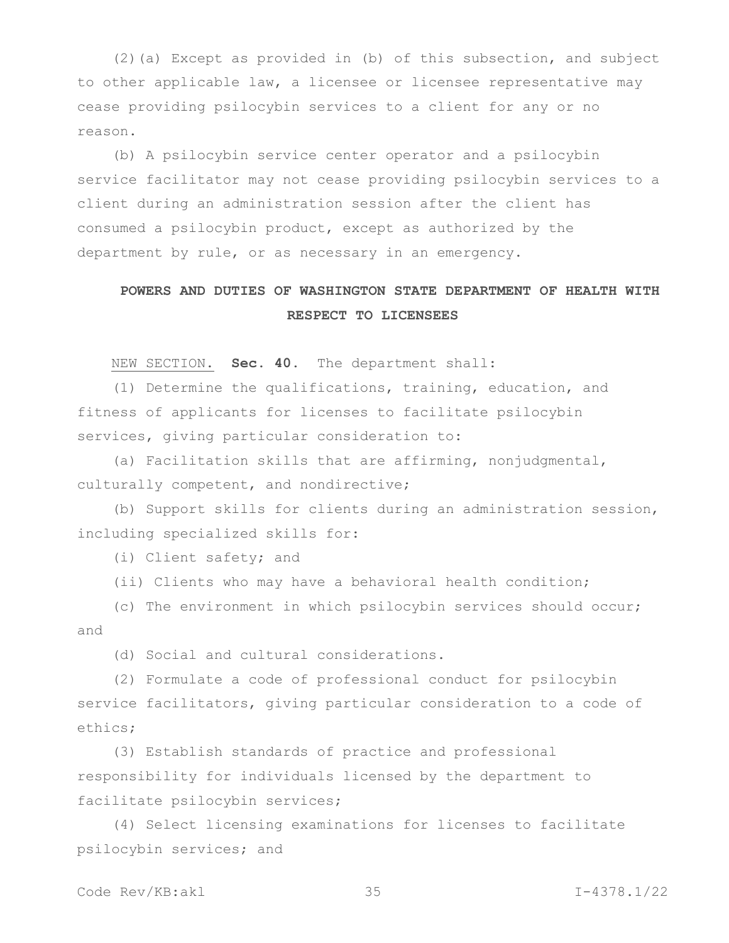(2)(a) Except as provided in (b) of this subsection, and subject to other applicable law, a licensee or licensee representative may cease providing psilocybin services to a client for any or no reason.

(b) A psilocybin service center operator and a psilocybin service facilitator may not cease providing psilocybin services to a client during an administration session after the client has consumed a psilocybin product, except as authorized by the department by rule, or as necessary in an emergency.

# **POWERS AND DUTIES OF WASHINGTON STATE DEPARTMENT OF HEALTH WITH RESPECT TO LICENSEES**

NEW SECTION. **Sec. 40.** The department shall:

(1) Determine the qualifications, training, education, and fitness of applicants for licenses to facilitate psilocybin services, giving particular consideration to:

(a) Facilitation skills that are affirming, nonjudgmental, culturally competent, and nondirective;

(b) Support skills for clients during an administration session, including specialized skills for:

(i) Client safety; and

(ii) Clients who may have a behavioral health condition;

(c) The environment in which psilocybin services should occur; and

(d) Social and cultural considerations.

(2) Formulate a code of professional conduct for psilocybin service facilitators, giving particular consideration to a code of ethics;

(3) Establish standards of practice and professional responsibility for individuals licensed by the department to facilitate psilocybin services;

(4) Select licensing examinations for licenses to facilitate psilocybin services; and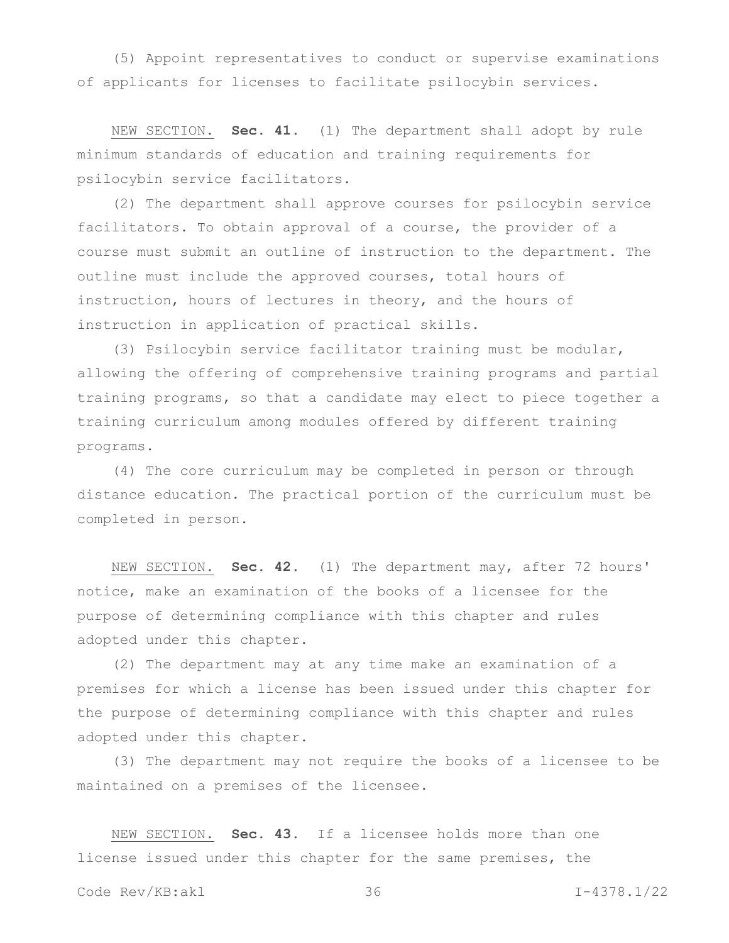(5) Appoint representatives to conduct or supervise examinations of applicants for licenses to facilitate psilocybin services.

NEW SECTION. **Sec. 41.** (1) The department shall adopt by rule minimum standards of education and training requirements for psilocybin service facilitators.

(2) The department shall approve courses for psilocybin service facilitators. To obtain approval of a course, the provider of a course must submit an outline of instruction to the department. The outline must include the approved courses, total hours of instruction, hours of lectures in theory, and the hours of instruction in application of practical skills.

(3) Psilocybin service facilitator training must be modular, allowing the offering of comprehensive training programs and partial training programs, so that a candidate may elect to piece together a training curriculum among modules offered by different training programs.

(4) The core curriculum may be completed in person or through distance education. The practical portion of the curriculum must be completed in person.

NEW SECTION. **Sec. 42.** (1) The department may, after 72 hours' notice, make an examination of the books of a licensee for the purpose of determining compliance with this chapter and rules adopted under this chapter.

(2) The department may at any time make an examination of a premises for which a license has been issued under this chapter for the purpose of determining compliance with this chapter and rules adopted under this chapter.

(3) The department may not require the books of a licensee to be maintained on a premises of the licensee.

NEW SECTION. **Sec. 43.** If a licensee holds more than one license issued under this chapter for the same premises, the

Code Rev/KB:akl 36 I-4378.1/22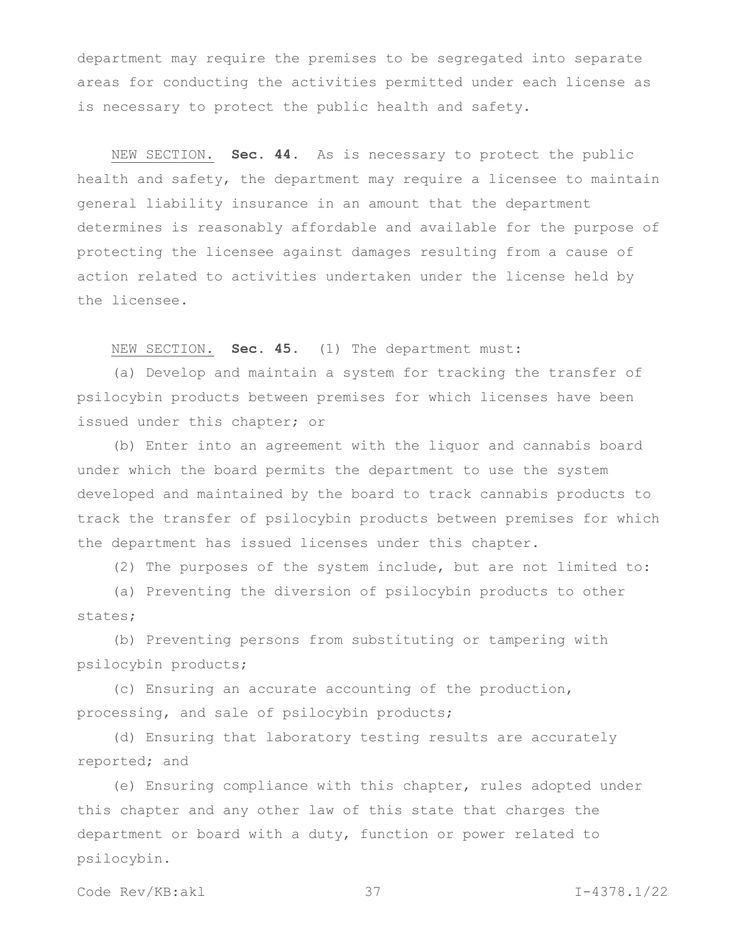department may require the premises to be segregated into separate areas for conducting the activities permitted under each license as is necessary to protect the public health and safety.

NEW SECTION. **Sec. 44.** As is necessary to protect the public health and safety, the department may require a licensee to maintain general liability insurance in an amount that the department determines is reasonably affordable and available for the purpose of protecting the licensee against damages resulting from a cause of action related to activities undertaken under the license held by the licensee.

NEW SECTION. **Sec. 45.** (1) The department must:

(a) Develop and maintain a system for tracking the transfer of psilocybin products between premises for which licenses have been issued under this chapter; or

(b) Enter into an agreement with the liquor and cannabis board under which the board permits the department to use the system developed and maintained by the board to track cannabis products to track the transfer of psilocybin products between premises for which the department has issued licenses under this chapter.

(2) The purposes of the system include, but are not limited to:

(a) Preventing the diversion of psilocybin products to other states;

(b) Preventing persons from substituting or tampering with psilocybin products;

(c) Ensuring an accurate accounting of the production, processing, and sale of psilocybin products;

(d) Ensuring that laboratory testing results are accurately reported; and

(e) Ensuring compliance with this chapter, rules adopted under this chapter and any other law of this state that charges the department or board with a duty, function or power related to psilocybin.

Code Rev/KB:akl 37 I-4378.1/22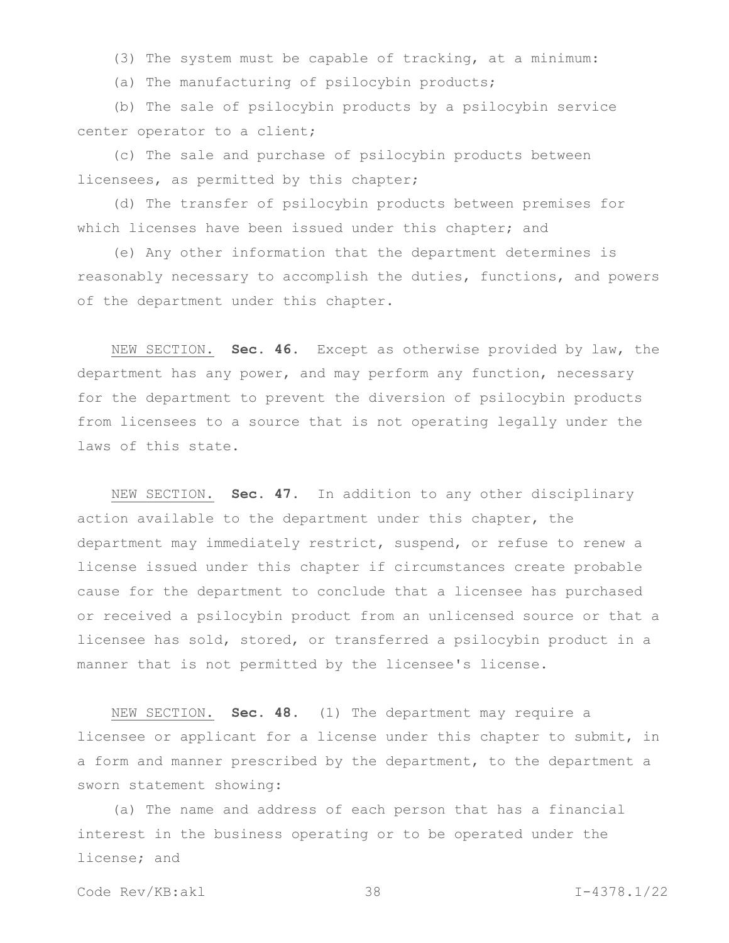(3) The system must be capable of tracking, at a minimum:

(a) The manufacturing of psilocybin products;

(b) The sale of psilocybin products by a psilocybin service center operator to a client;

(c) The sale and purchase of psilocybin products between licensees, as permitted by this chapter;

(d) The transfer of psilocybin products between premises for which licenses have been issued under this chapter; and

(e) Any other information that the department determines is reasonably necessary to accomplish the duties, functions, and powers of the department under this chapter.

NEW SECTION. **Sec. 46.** Except as otherwise provided by law, the department has any power, and may perform any function, necessary for the department to prevent the diversion of psilocybin products from licensees to a source that is not operating legally under the laws of this state.

NEW SECTION. **Sec. 47.** In addition to any other disciplinary action available to the department under this chapter, the department may immediately restrict, suspend, or refuse to renew a license issued under this chapter if circumstances create probable cause for the department to conclude that a licensee has purchased or received a psilocybin product from an unlicensed source or that a licensee has sold, stored, or transferred a psilocybin product in a manner that is not permitted by the licensee's license.

NEW SECTION. **Sec. 48.** (1) The department may require a licensee or applicant for a license under this chapter to submit, in a form and manner prescribed by the department, to the department a sworn statement showing:

(a) The name and address of each person that has a financial interest in the business operating or to be operated under the license; and

Code Rev/KB:akl 38 I-4378.1/22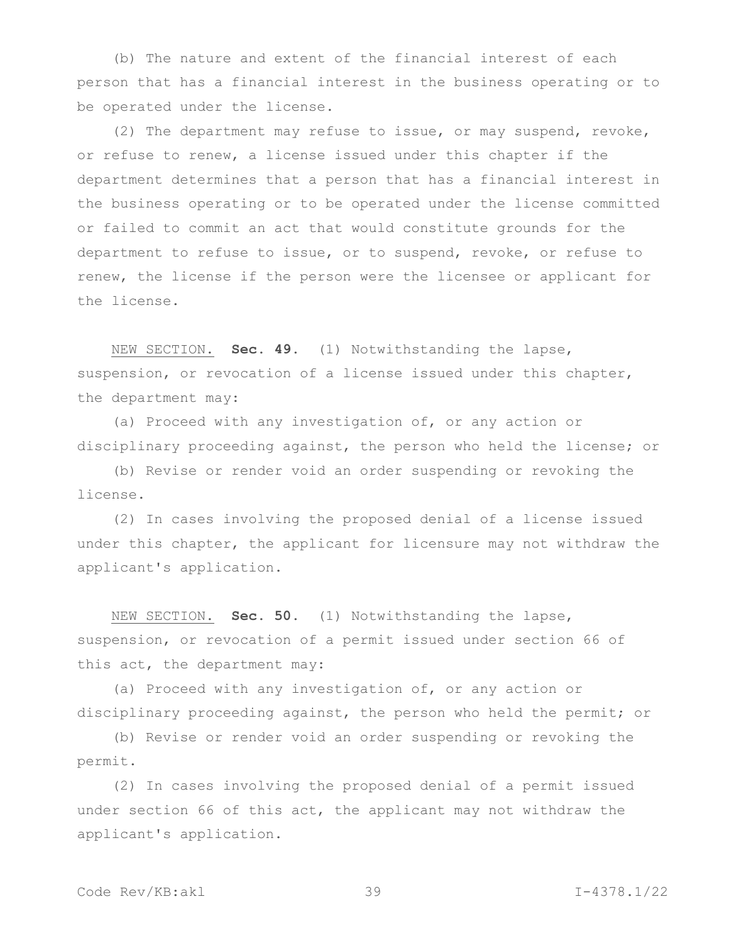(b) The nature and extent of the financial interest of each person that has a financial interest in the business operating or to be operated under the license.

(2) The department may refuse to issue, or may suspend, revoke, or refuse to renew, a license issued under this chapter if the department determines that a person that has a financial interest in the business operating or to be operated under the license committed or failed to commit an act that would constitute grounds for the department to refuse to issue, or to suspend, revoke, or refuse to renew, the license if the person were the licensee or applicant for the license.

NEW SECTION. **Sec. 49.** (1) Notwithstanding the lapse, suspension, or revocation of a license issued under this chapter, the department may:

(a) Proceed with any investigation of, or any action or disciplinary proceeding against, the person who held the license; or

(b) Revise or render void an order suspending or revoking the license.

(2) In cases involving the proposed denial of a license issued under this chapter, the applicant for licensure may not withdraw the applicant's application.

NEW SECTION. **Sec. 50.** (1) Notwithstanding the lapse, suspension, or revocation of a permit issued under section 66 of this act, the department may:

(a) Proceed with any investigation of, or any action or disciplinary proceeding against, the person who held the permit; or

(b) Revise or render void an order suspending or revoking the permit.

(2) In cases involving the proposed denial of a permit issued under section 66 of this act, the applicant may not withdraw the applicant's application.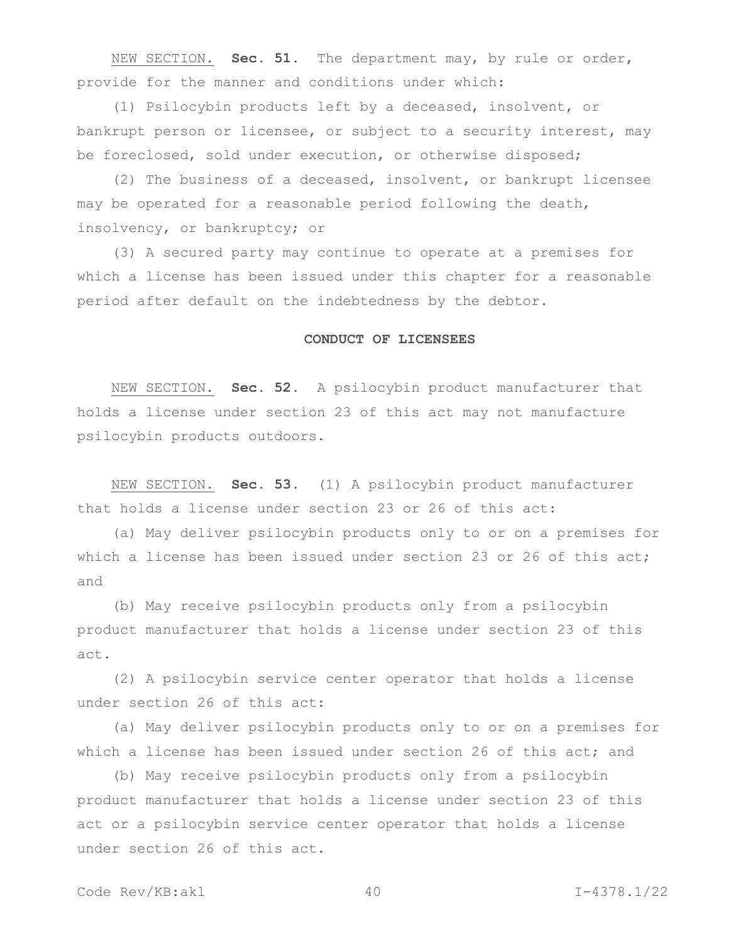NEW SECTION. **Sec. 51.** The department may, by rule or order, provide for the manner and conditions under which:

(1) Psilocybin products left by a deceased, insolvent, or bankrupt person or licensee, or subject to a security interest, may be foreclosed, sold under execution, or otherwise disposed;

(2) The business of a deceased, insolvent, or bankrupt licensee may be operated for a reasonable period following the death, insolvency, or bankruptcy; or

(3) A secured party may continue to operate at a premises for which a license has been issued under this chapter for a reasonable period after default on the indebtedness by the debtor.

#### **CONDUCT OF LICENSEES**

NEW SECTION. **Sec. 52.** A psilocybin product manufacturer that holds a license under section 23 of this act may not manufacture psilocybin products outdoors.

NEW SECTION. **Sec. 53.** (1) A psilocybin product manufacturer that holds a license under section 23 or 26 of this act:

(a) May deliver psilocybin products only to or on a premises for which a license has been issued under section 23 or 26 of this act; and

(b) May receive psilocybin products only from a psilocybin product manufacturer that holds a license under section 23 of this act.

(2) A psilocybin service center operator that holds a license under section 26 of this act:

(a) May deliver psilocybin products only to or on a premises for which a license has been issued under section 26 of this act; and

(b) May receive psilocybin products only from a psilocybin product manufacturer that holds a license under section 23 of this act or a psilocybin service center operator that holds a license under section 26 of this act.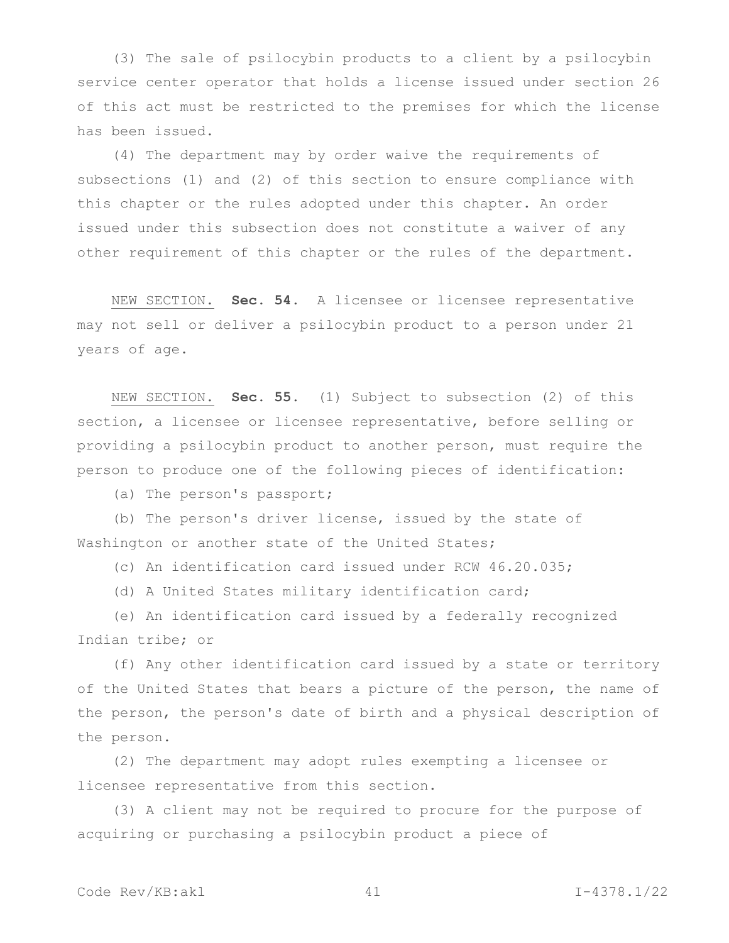(3) The sale of psilocybin products to a client by a psilocybin service center operator that holds a license issued under section 26 of this act must be restricted to the premises for which the license has been issued.

(4) The department may by order waive the requirements of subsections (1) and (2) of this section to ensure compliance with this chapter or the rules adopted under this chapter. An order issued under this subsection does not constitute a waiver of any other requirement of this chapter or the rules of the department.

NEW SECTION. **Sec. 54.** A licensee or licensee representative may not sell or deliver a psilocybin product to a person under 21 years of age.

NEW SECTION. **Sec. 55.** (1) Subject to subsection (2) of this section, a licensee or licensee representative, before selling or providing a psilocybin product to another person, must require the person to produce one of the following pieces of identification:

(a) The person's passport;

(b) The person's driver license, issued by the state of Washington or another state of the United States;

(c) An identification card issued under RCW 46.20.035;

(d) A United States military identification card;

(e) An identification card issued by a federally recognized Indian tribe; or

(f) Any other identification card issued by a state or territory of the United States that bears a picture of the person, the name of the person, the person's date of birth and a physical description of the person.

(2) The department may adopt rules exempting a licensee or licensee representative from this section.

(3) A client may not be required to procure for the purpose of acquiring or purchasing a psilocybin product a piece of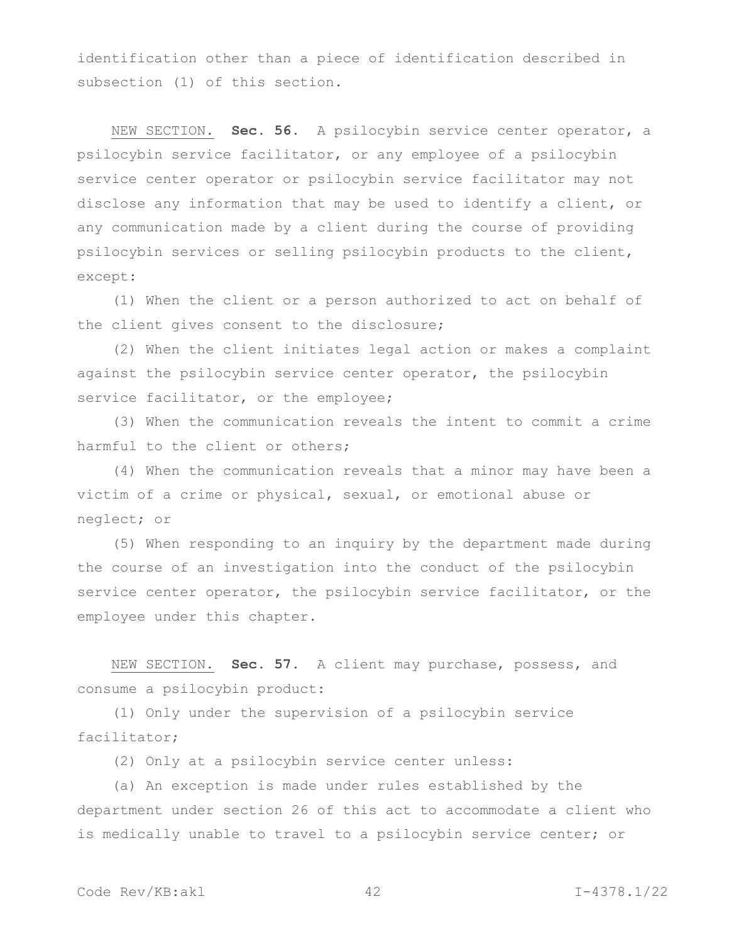identification other than a piece of identification described in subsection (1) of this section.

NEW SECTION. **Sec. 56.** A psilocybin service center operator, a psilocybin service facilitator, or any employee of a psilocybin service center operator or psilocybin service facilitator may not disclose any information that may be used to identify a client, or any communication made by a client during the course of providing psilocybin services or selling psilocybin products to the client, except:

(1) When the client or a person authorized to act on behalf of the client gives consent to the disclosure;

(2) When the client initiates legal action or makes a complaint against the psilocybin service center operator, the psilocybin service facilitator, or the employee;

(3) When the communication reveals the intent to commit a crime harmful to the client or others;

(4) When the communication reveals that a minor may have been a victim of a crime or physical, sexual, or emotional abuse or neglect; or

(5) When responding to an inquiry by the department made during the course of an investigation into the conduct of the psilocybin service center operator, the psilocybin service facilitator, or the employee under this chapter.

NEW SECTION. **Sec. 57.** A client may purchase, possess, and consume a psilocybin product:

(1) Only under the supervision of a psilocybin service facilitator;

(2) Only at a psilocybin service center unless:

(a) An exception is made under rules established by the department under section 26 of this act to accommodate a client who is medically unable to travel to a psilocybin service center; or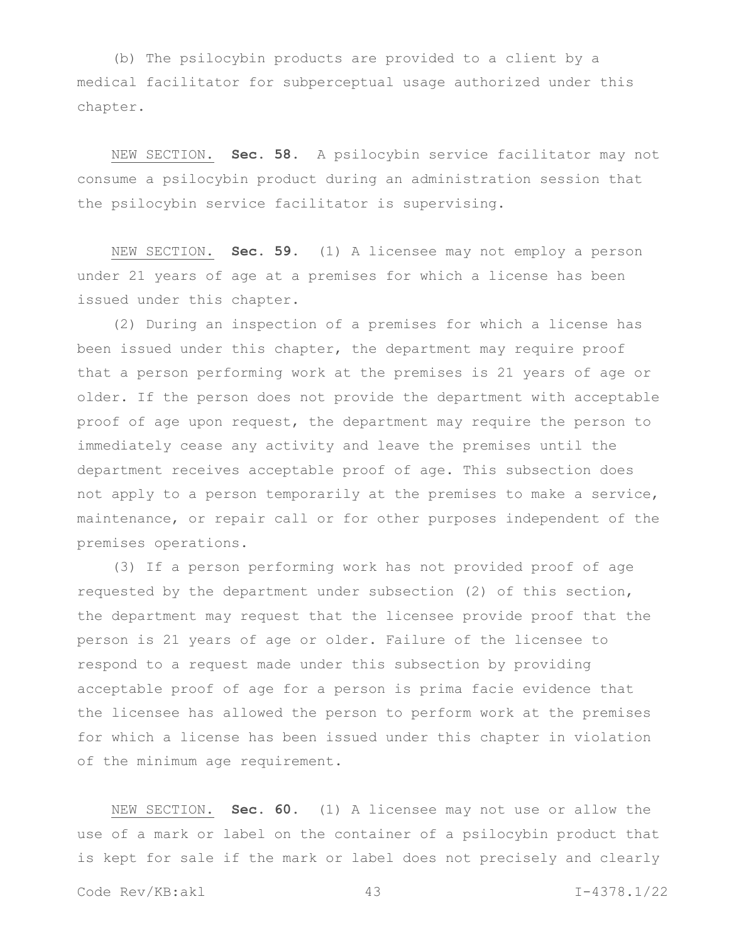(b) The psilocybin products are provided to a client by a medical facilitator for subperceptual usage authorized under this chapter.

NEW SECTION. **Sec. 58.** A psilocybin service facilitator may not consume a psilocybin product during an administration session that the psilocybin service facilitator is supervising.

NEW SECTION. **Sec. 59.** (1) A licensee may not employ a person under 21 years of age at a premises for which a license has been issued under this chapter.

(2) During an inspection of a premises for which a license has been issued under this chapter, the department may require proof that a person performing work at the premises is 21 years of age or older. If the person does not provide the department with acceptable proof of age upon request, the department may require the person to immediately cease any activity and leave the premises until the department receives acceptable proof of age. This subsection does not apply to a person temporarily at the premises to make a service, maintenance, or repair call or for other purposes independent of the premises operations.

(3) If a person performing work has not provided proof of age requested by the department under subsection (2) of this section, the department may request that the licensee provide proof that the person is 21 years of age or older. Failure of the licensee to respond to a request made under this subsection by providing acceptable proof of age for a person is prima facie evidence that the licensee has allowed the person to perform work at the premises for which a license has been issued under this chapter in violation of the minimum age requirement.

NEW SECTION. **Sec. 60.** (1) A licensee may not use or allow the use of a mark or label on the container of a psilocybin product that is kept for sale if the mark or label does not precisely and clearly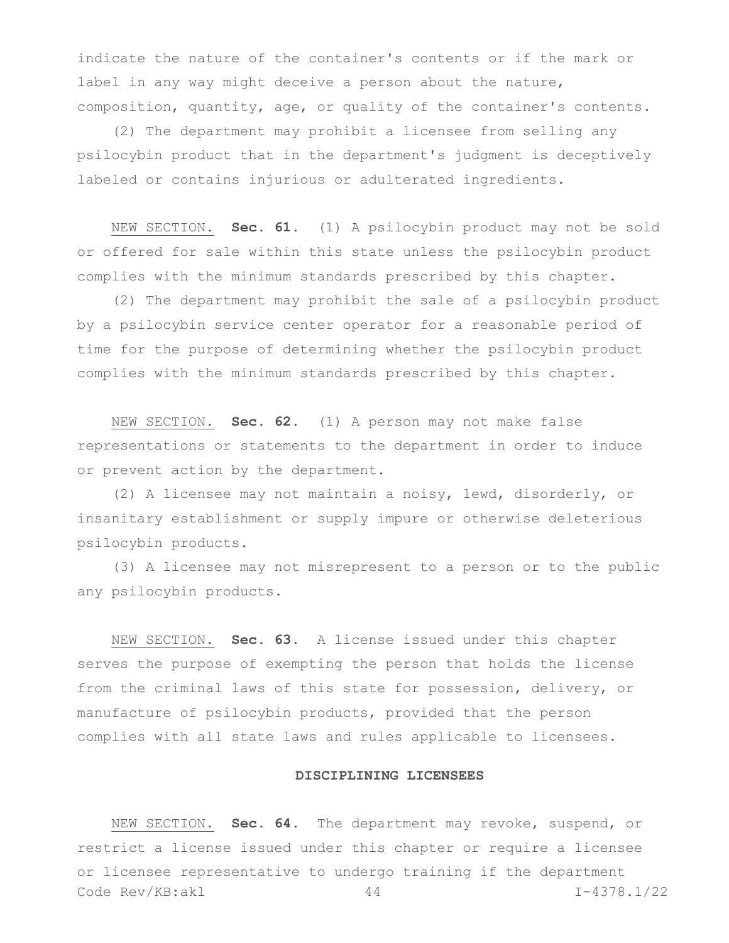indicate the nature of the container's contents or if the mark or label in any way might deceive a person about the nature, composition, quantity, age, or quality of the container's contents.

(2) The department may prohibit a licensee from selling any psilocybin product that in the department's judgment is deceptively labeled or contains injurious or adulterated ingredients.

NEW SECTION. **Sec. 61.** (1) A psilocybin product may not be sold or offered for sale within this state unless the psilocybin product complies with the minimum standards prescribed by this chapter.

(2) The department may prohibit the sale of a psilocybin product by a psilocybin service center operator for a reasonable period of time for the purpose of determining whether the psilocybin product complies with the minimum standards prescribed by this chapter.

NEW SECTION. **Sec. 62.** (1) A person may not make false representations or statements to the department in order to induce or prevent action by the department.

(2) A licensee may not maintain a noisy, lewd, disorderly, or insanitary establishment or supply impure or otherwise deleterious psilocybin products.

(3) A licensee may not misrepresent to a person or to the public any psilocybin products.

NEW SECTION. **Sec. 63.** A license issued under this chapter serves the purpose of exempting the person that holds the license from the criminal laws of this state for possession, delivery, or manufacture of psilocybin products, provided that the person complies with all state laws and rules applicable to licensees.

## **DISCIPLINING LICENSEES**

Code Rev/KB:akl 44 I-4378.1/22 NEW SECTION. **Sec. 64.** The department may revoke, suspend, or restrict a license issued under this chapter or require a licensee or licensee representative to undergo training if the department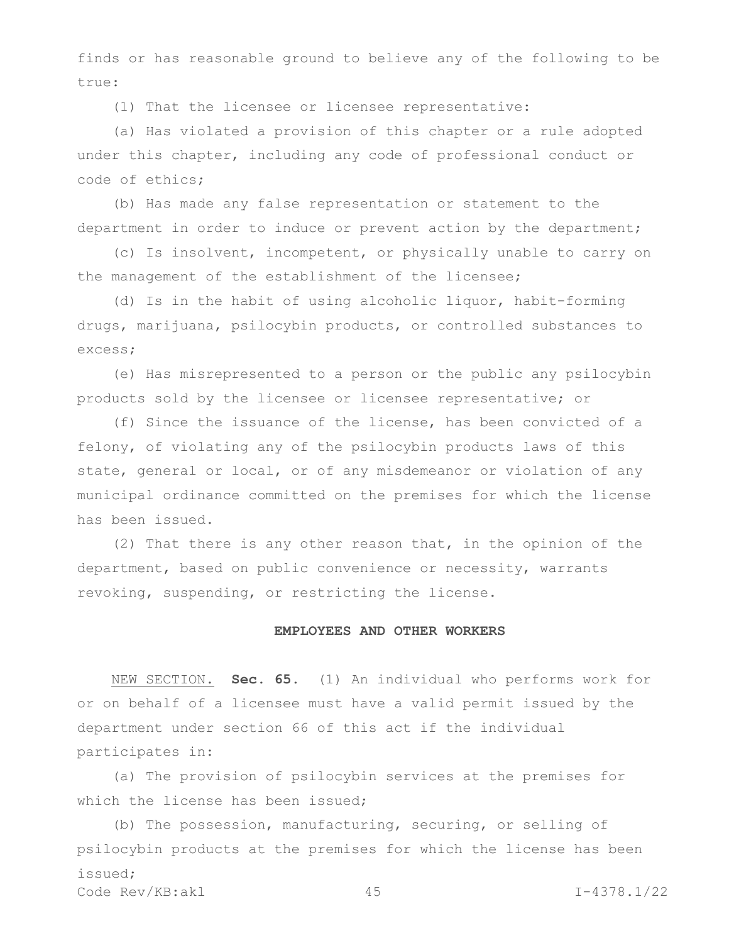finds or has reasonable ground to believe any of the following to be true:

(1) That the licensee or licensee representative:

(a) Has violated a provision of this chapter or a rule adopted under this chapter, including any code of professional conduct or code of ethics;

(b) Has made any false representation or statement to the department in order to induce or prevent action by the department;

(c) Is insolvent, incompetent, or physically unable to carry on the management of the establishment of the licensee;

(d) Is in the habit of using alcoholic liquor, habit-forming drugs, marijuana, psilocybin products, or controlled substances to excess;

(e) Has misrepresented to a person or the public any psilocybin products sold by the licensee or licensee representative; or

(f) Since the issuance of the license, has been convicted of a felony, of violating any of the psilocybin products laws of this state, general or local, or of any misdemeanor or violation of any municipal ordinance committed on the premises for which the license has been issued.

(2) That there is any other reason that, in the opinion of the department, based on public convenience or necessity, warrants revoking, suspending, or restricting the license.

## **EMPLOYEES AND OTHER WORKERS**

NEW SECTION. **Sec. 65.** (1) An individual who performs work for or on behalf of a licensee must have a valid permit issued by the department under section 66 of this act if the individual participates in:

(a) The provision of psilocybin services at the premises for which the license has been issued;

Code Rev/KB:akl 45 I-4378.1/22 (b) The possession, manufacturing, securing, or selling of psilocybin products at the premises for which the license has been issued;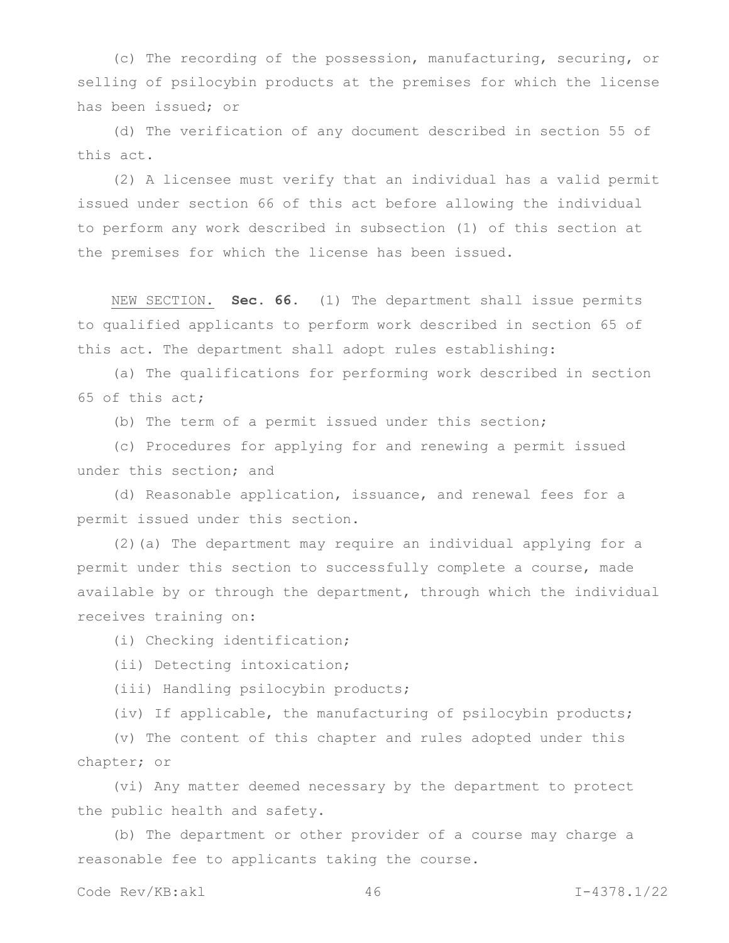(c) The recording of the possession, manufacturing, securing, or selling of psilocybin products at the premises for which the license has been issued; or

(d) The verification of any document described in section 55 of this act.

(2) A licensee must verify that an individual has a valid permit issued under section 66 of this act before allowing the individual to perform any work described in subsection (1) of this section at the premises for which the license has been issued.

NEW SECTION. **Sec. 66.** (1) The department shall issue permits to qualified applicants to perform work described in section 65 of this act. The department shall adopt rules establishing:

(a) The qualifications for performing work described in section 65 of this act;

(b) The term of a permit issued under this section;

(c) Procedures for applying for and renewing a permit issued under this section; and

(d) Reasonable application, issuance, and renewal fees for a permit issued under this section.

(2)(a) The department may require an individual applying for a permit under this section to successfully complete a course, made available by or through the department, through which the individual receives training on:

(i) Checking identification;

(ii) Detecting intoxication;

(iii) Handling psilocybin products;

(iv) If applicable, the manufacturing of psilocybin products;

(v) The content of this chapter and rules adopted under this chapter; or

(vi) Any matter deemed necessary by the department to protect the public health and safety.

(b) The department or other provider of a course may charge a reasonable fee to applicants taking the course.

Code Rev/KB:akl 46 I-4378.1/22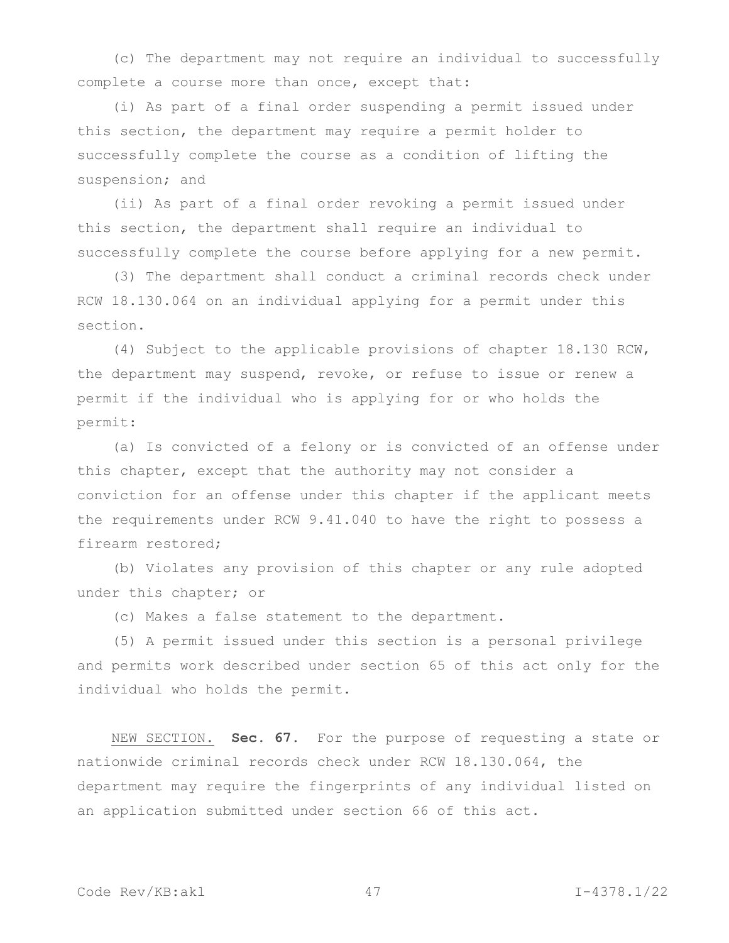(c) The department may not require an individual to successfully complete a course more than once, except that:

(i) As part of a final order suspending a permit issued under this section, the department may require a permit holder to successfully complete the course as a condition of lifting the suspension; and

(ii) As part of a final order revoking a permit issued under this section, the department shall require an individual to successfully complete the course before applying for a new permit.

(3) The department shall conduct a criminal records check under RCW 18.130.064 on an individual applying for a permit under this section.

(4) Subject to the applicable provisions of chapter 18.130 RCW, the department may suspend, revoke, or refuse to issue or renew a permit if the individual who is applying for or who holds the permit:

(a) Is convicted of a felony or is convicted of an offense under this chapter, except that the authority may not consider a conviction for an offense under this chapter if the applicant meets the requirements under RCW 9.41.040 to have the right to possess a firearm restored;

(b) Violates any provision of this chapter or any rule adopted under this chapter; or

(c) Makes a false statement to the department.

(5) A permit issued under this section is a personal privilege and permits work described under section 65 of this act only for the individual who holds the permit.

NEW SECTION. **Sec. 67.** For the purpose of requesting a state or nationwide criminal records check under RCW 18.130.064, the department may require the fingerprints of any individual listed on an application submitted under section 66 of this act.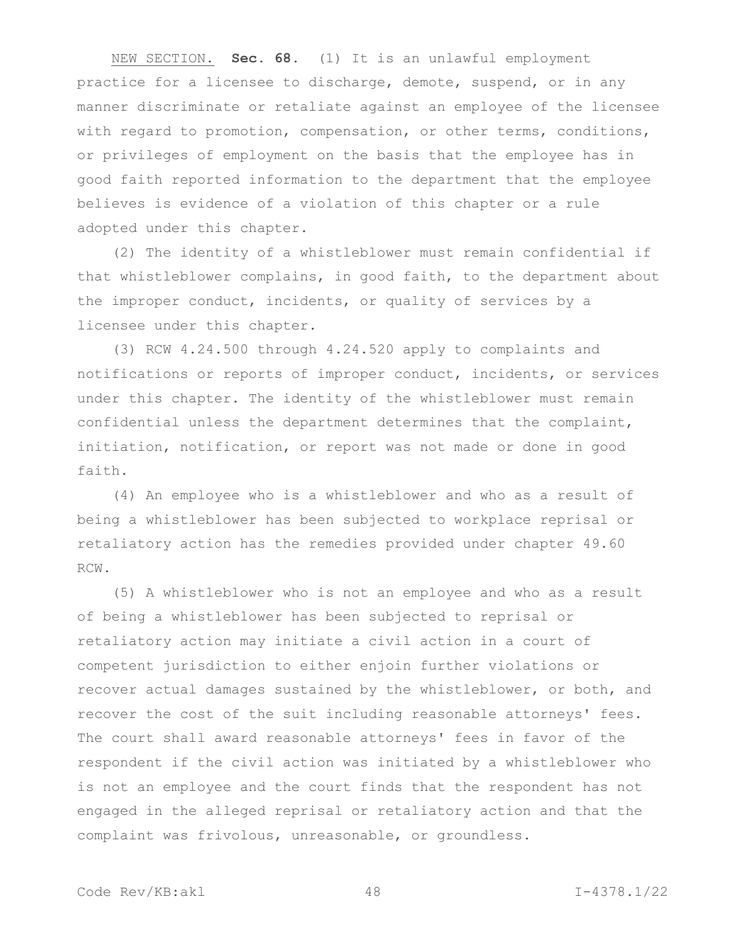NEW SECTION. **Sec. 68.** (1) It is an unlawful employment practice for a licensee to discharge, demote, suspend, or in any manner discriminate or retaliate against an employee of the licensee with regard to promotion, compensation, or other terms, conditions, or privileges of employment on the basis that the employee has in good faith reported information to the department that the employee believes is evidence of a violation of this chapter or a rule adopted under this chapter.

(2) The identity of a whistleblower must remain confidential if that whistleblower complains, in good faith, to the department about the improper conduct, incidents, or quality of services by a licensee under this chapter.

(3) RCW 4.24.500 through 4.24.520 apply to complaints and notifications or reports of improper conduct, incidents, or services under this chapter. The identity of the whistleblower must remain confidential unless the department determines that the complaint, initiation, notification, or report was not made or done in good faith.

(4) An employee who is a whistleblower and who as a result of being a whistleblower has been subjected to workplace reprisal or retaliatory action has the remedies provided under chapter 49.60 RCW.

(5) A whistleblower who is not an employee and who as a result of being a whistleblower has been subjected to reprisal or retaliatory action may initiate a civil action in a court of competent jurisdiction to either enjoin further violations or recover actual damages sustained by the whistleblower, or both, and recover the cost of the suit including reasonable attorneys' fees. The court shall award reasonable attorneys' fees in favor of the respondent if the civil action was initiated by a whistleblower who is not an employee and the court finds that the respondent has not engaged in the alleged reprisal or retaliatory action and that the complaint was frivolous, unreasonable, or groundless.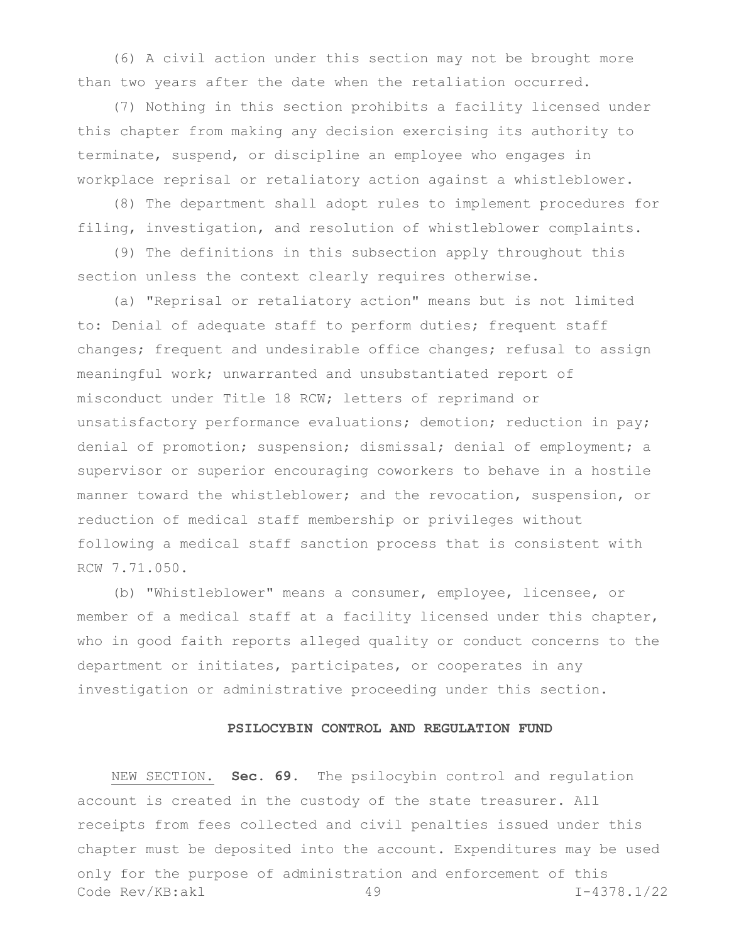(6) A civil action under this section may not be brought more than two years after the date when the retaliation occurred.

(7) Nothing in this section prohibits a facility licensed under this chapter from making any decision exercising its authority to terminate, suspend, or discipline an employee who engages in workplace reprisal or retaliatory action against a whistleblower.

(8) The department shall adopt rules to implement procedures for filing, investigation, and resolution of whistleblower complaints.

(9) The definitions in this subsection apply throughout this section unless the context clearly requires otherwise.

(a) "Reprisal or retaliatory action" means but is not limited to: Denial of adequate staff to perform duties; frequent staff changes; frequent and undesirable office changes; refusal to assign meaningful work; unwarranted and unsubstantiated report of misconduct under Title 18 RCW; letters of reprimand or unsatisfactory performance evaluations; demotion; reduction in pay; denial of promotion; suspension; dismissal; denial of employment; a supervisor or superior encouraging coworkers to behave in a hostile manner toward the whistleblower; and the revocation, suspension, or reduction of medical staff membership or privileges without following a medical staff sanction process that is consistent with RCW 7.71.050.

(b) "Whistleblower" means a consumer, employee, licensee, or member of a medical staff at a facility licensed under this chapter, who in good faith reports alleged quality or conduct concerns to the department or initiates, participates, or cooperates in any investigation or administrative proceeding under this section.

# **PSILOCYBIN CONTROL AND REGULATION FUND**

Code Rev/KB:akl 49 I-4378.1/22 NEW SECTION. **Sec. 69.** The psilocybin control and regulation account is created in the custody of the state treasurer. All receipts from fees collected and civil penalties issued under this chapter must be deposited into the account. Expenditures may be used only for the purpose of administration and enforcement of this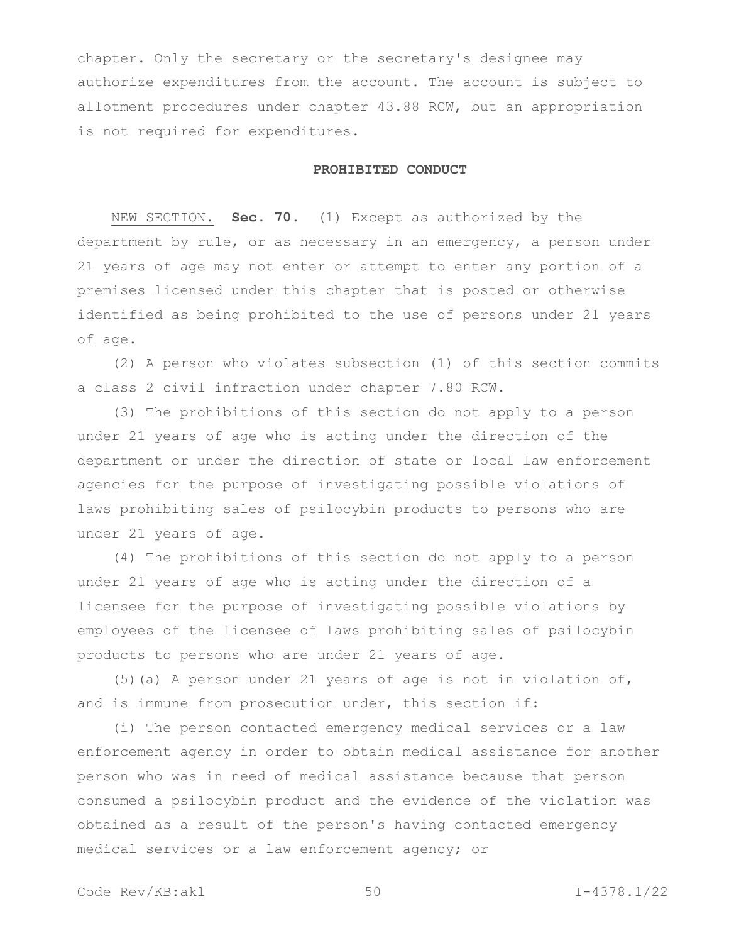chapter. Only the secretary or the secretary's designee may authorize expenditures from the account. The account is subject to allotment procedures under chapter 43.88 RCW, but an appropriation is not required for expenditures.

## **PROHIBITED CONDUCT**

NEW SECTION. **Sec. 70.** (1) Except as authorized by the department by rule, or as necessary in an emergency, a person under 21 years of age may not enter or attempt to enter any portion of a premises licensed under this chapter that is posted or otherwise identified as being prohibited to the use of persons under 21 years of age.

(2) A person who violates subsection (1) of this section commits a class 2 civil infraction under chapter 7.80 RCW.

(3) The prohibitions of this section do not apply to a person under 21 years of age who is acting under the direction of the department or under the direction of state or local law enforcement agencies for the purpose of investigating possible violations of laws prohibiting sales of psilocybin products to persons who are under 21 years of age.

(4) The prohibitions of this section do not apply to a person under 21 years of age who is acting under the direction of a licensee for the purpose of investigating possible violations by employees of the licensee of laws prohibiting sales of psilocybin products to persons who are under 21 years of age.

(5)(a) A person under 21 years of age is not in violation of, and is immune from prosecution under, this section if:

(i) The person contacted emergency medical services or a law enforcement agency in order to obtain medical assistance for another person who was in need of medical assistance because that person consumed a psilocybin product and the evidence of the violation was obtained as a result of the person's having contacted emergency medical services or a law enforcement agency; or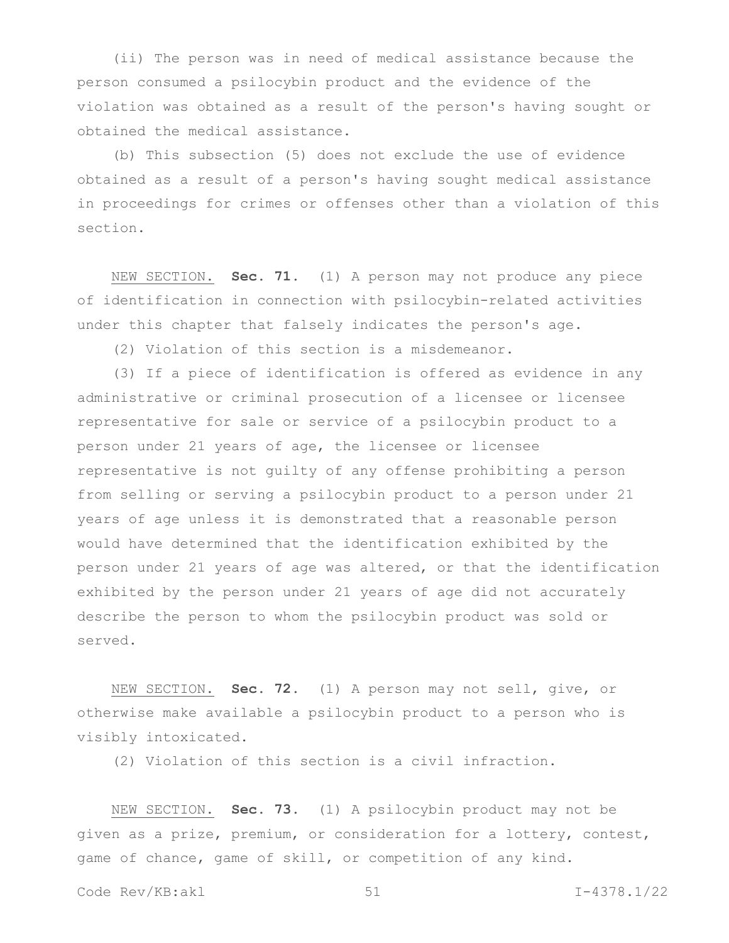(ii) The person was in need of medical assistance because the person consumed a psilocybin product and the evidence of the violation was obtained as a result of the person's having sought or obtained the medical assistance.

(b) This subsection (5) does not exclude the use of evidence obtained as a result of a person's having sought medical assistance in proceedings for crimes or offenses other than a violation of this section.

NEW SECTION. **Sec. 71.** (1) A person may not produce any piece of identification in connection with psilocybin-related activities under this chapter that falsely indicates the person's age.

(2) Violation of this section is a misdemeanor.

(3) If a piece of identification is offered as evidence in any administrative or criminal prosecution of a licensee or licensee representative for sale or service of a psilocybin product to a person under 21 years of age, the licensee or licensee representative is not guilty of any offense prohibiting a person from selling or serving a psilocybin product to a person under 21 years of age unless it is demonstrated that a reasonable person would have determined that the identification exhibited by the person under 21 years of age was altered, or that the identification exhibited by the person under 21 years of age did not accurately describe the person to whom the psilocybin product was sold or served.

NEW SECTION. **Sec. 72.** (1) A person may not sell, give, or otherwise make available a psilocybin product to a person who is visibly intoxicated.

(2) Violation of this section is a civil infraction.

NEW SECTION. **Sec. 73.** (1) A psilocybin product may not be given as a prize, premium, or consideration for a lottery, contest, game of chance, game of skill, or competition of any kind.

Code Rev/KB:akl 51 I-4378.1/22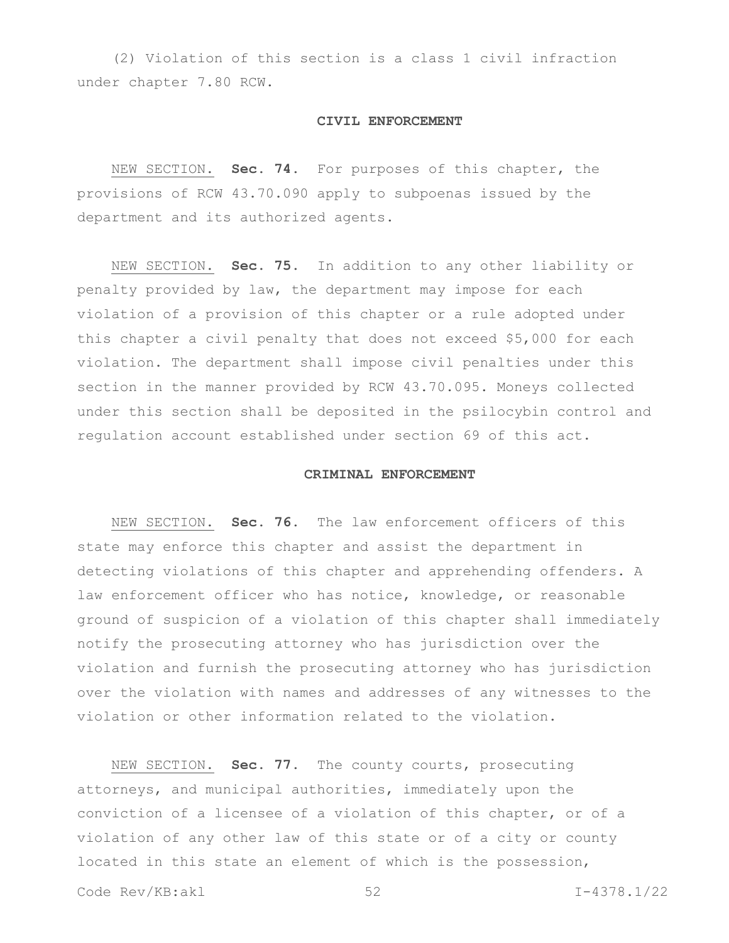(2) Violation of this section is a class 1 civil infraction under chapter 7.80 RCW.

#### **CIVIL ENFORCEMENT**

NEW SECTION. **Sec. 74.** For purposes of this chapter, the provisions of RCW 43.70.090 apply to subpoenas issued by the department and its authorized agents.

NEW SECTION. **Sec. 75.** In addition to any other liability or penalty provided by law, the department may impose for each violation of a provision of this chapter or a rule adopted under this chapter a civil penalty that does not exceed \$5,000 for each violation. The department shall impose civil penalties under this section in the manner provided by RCW 43.70.095. Moneys collected under this section shall be deposited in the psilocybin control and regulation account established under section 69 of this act.

#### **CRIMINAL ENFORCEMENT**

NEW SECTION. **Sec. 76.** The law enforcement officers of this state may enforce this chapter and assist the department in detecting violations of this chapter and apprehending offenders. A law enforcement officer who has notice, knowledge, or reasonable ground of suspicion of a violation of this chapter shall immediately notify the prosecuting attorney who has jurisdiction over the violation and furnish the prosecuting attorney who has jurisdiction over the violation with names and addresses of any witnesses to the violation or other information related to the violation.

NEW SECTION. **Sec. 77.** The county courts, prosecuting attorneys, and municipal authorities, immediately upon the conviction of a licensee of a violation of this chapter, or of a violation of any other law of this state or of a city or county located in this state an element of which is the possession,

Code Rev/KB:akl 52 I-4378.1/22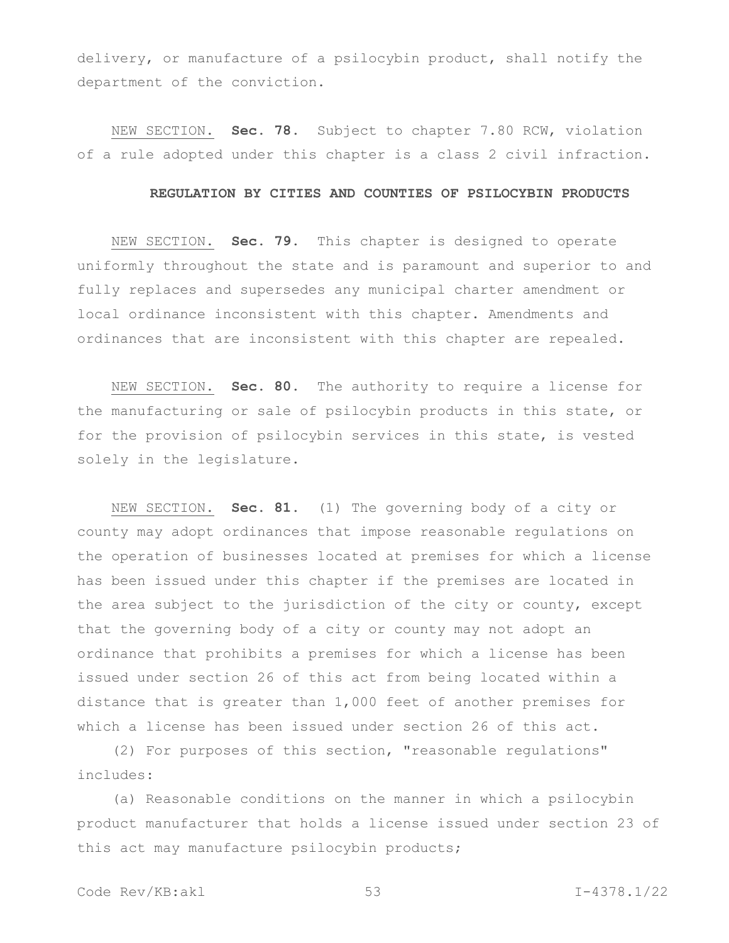delivery, or manufacture of a psilocybin product, shall notify the department of the conviction.

NEW SECTION. **Sec. 78.** Subject to chapter 7.80 RCW, violation of a rule adopted under this chapter is a class 2 civil infraction.

#### **REGULATION BY CITIES AND COUNTIES OF PSILOCYBIN PRODUCTS**

NEW SECTION. **Sec. 79.** This chapter is designed to operate uniformly throughout the state and is paramount and superior to and fully replaces and supersedes any municipal charter amendment or local ordinance inconsistent with this chapter. Amendments and ordinances that are inconsistent with this chapter are repealed.

NEW SECTION. **Sec. 80.** The authority to require a license for the manufacturing or sale of psilocybin products in this state, or for the provision of psilocybin services in this state, is vested solely in the legislature.

NEW SECTION. **Sec. 81.** (1) The governing body of a city or county may adopt ordinances that impose reasonable regulations on the operation of businesses located at premises for which a license has been issued under this chapter if the premises are located in the area subject to the jurisdiction of the city or county, except that the governing body of a city or county may not adopt an ordinance that prohibits a premises for which a license has been issued under section 26 of this act from being located within a distance that is greater than 1,000 feet of another premises for which a license has been issued under section 26 of this act.

(2) For purposes of this section, "reasonable regulations" includes:

(a) Reasonable conditions on the manner in which a psilocybin product manufacturer that holds a license issued under section 23 of this act may manufacture psilocybin products;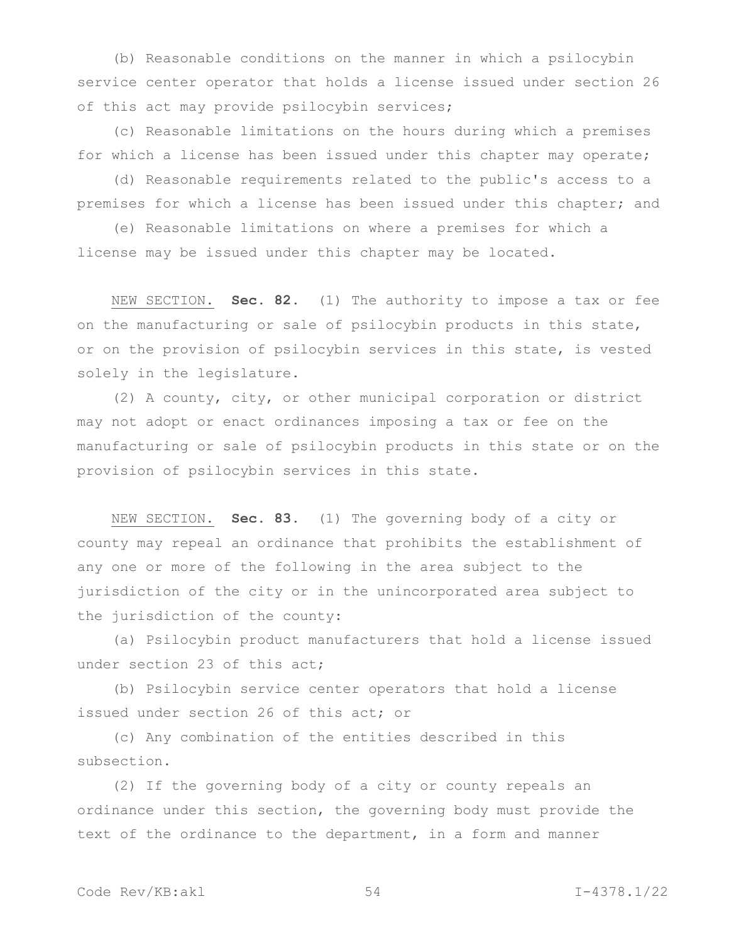(b) Reasonable conditions on the manner in which a psilocybin service center operator that holds a license issued under section 26 of this act may provide psilocybin services;

(c) Reasonable limitations on the hours during which a premises for which a license has been issued under this chapter may operate;

(d) Reasonable requirements related to the public's access to a premises for which a license has been issued under this chapter; and

(e) Reasonable limitations on where a premises for which a license may be issued under this chapter may be located.

NEW SECTION. **Sec. 82.** (1) The authority to impose a tax or fee on the manufacturing or sale of psilocybin products in this state, or on the provision of psilocybin services in this state, is vested solely in the legislature.

(2) A county, city, or other municipal corporation or district may not adopt or enact ordinances imposing a tax or fee on the manufacturing or sale of psilocybin products in this state or on the provision of psilocybin services in this state.

NEW SECTION. **Sec. 83.** (1) The governing body of a city or county may repeal an ordinance that prohibits the establishment of any one or more of the following in the area subject to the jurisdiction of the city or in the unincorporated area subject to the jurisdiction of the county:

(a) Psilocybin product manufacturers that hold a license issued under section 23 of this act;

(b) Psilocybin service center operators that hold a license issued under section 26 of this act; or

(c) Any combination of the entities described in this subsection.

(2) If the governing body of a city or county repeals an ordinance under this section, the governing body must provide the text of the ordinance to the department, in a form and manner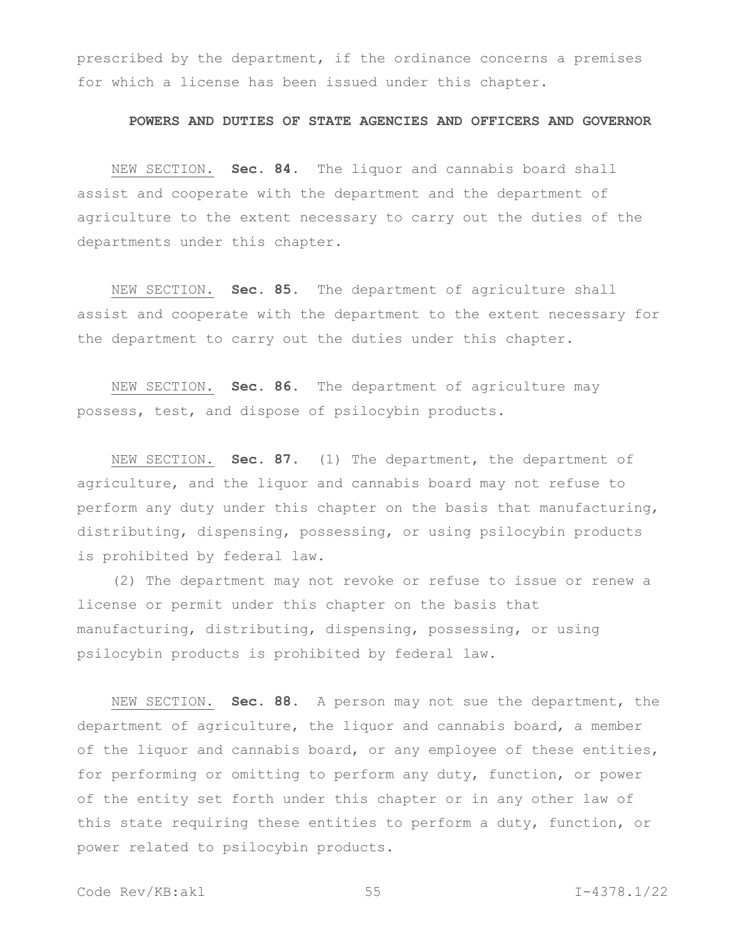prescribed by the department, if the ordinance concerns a premises for which a license has been issued under this chapter.

## **POWERS AND DUTIES OF STATE AGENCIES AND OFFICERS AND GOVERNOR**

NEW SECTION. **Sec. 84.** The liquor and cannabis board shall assist and cooperate with the department and the department of agriculture to the extent necessary to carry out the duties of the departments under this chapter.

NEW SECTION. **Sec. 85.** The department of agriculture shall assist and cooperate with the department to the extent necessary for the department to carry out the duties under this chapter.

NEW SECTION. **Sec. 86.** The department of agriculture may possess, test, and dispose of psilocybin products.

NEW SECTION. **Sec. 87.** (1) The department, the department of agriculture, and the liquor and cannabis board may not refuse to perform any duty under this chapter on the basis that manufacturing, distributing, dispensing, possessing, or using psilocybin products is prohibited by federal law.

(2) The department may not revoke or refuse to issue or renew a license or permit under this chapter on the basis that manufacturing, distributing, dispensing, possessing, or using psilocybin products is prohibited by federal law.

NEW SECTION. **Sec. 88.** A person may not sue the department, the department of agriculture, the liquor and cannabis board, a member of the liquor and cannabis board, or any employee of these entities, for performing or omitting to perform any duty, function, or power of the entity set forth under this chapter or in any other law of this state requiring these entities to perform a duty, function, or power related to psilocybin products.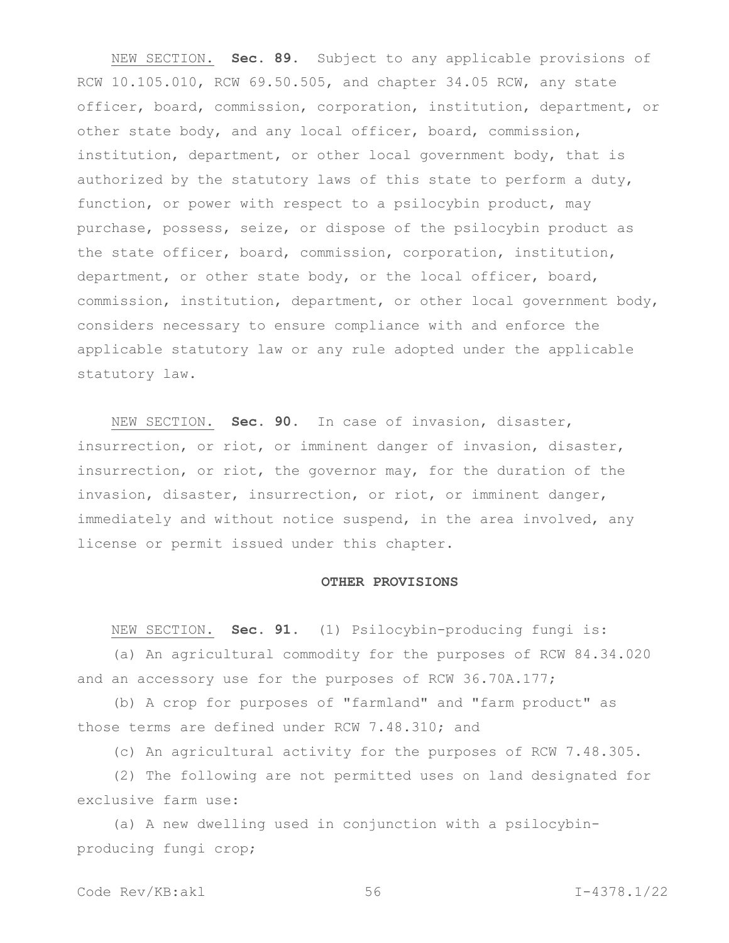NEW SECTION. **Sec. 89.** Subject to any applicable provisions of RCW 10.105.010, RCW 69.50.505, and chapter 34.05 RCW, any state officer, board, commission, corporation, institution, department, or other state body, and any local officer, board, commission, institution, department, or other local government body, that is authorized by the statutory laws of this state to perform a duty, function, or power with respect to a psilocybin product, may purchase, possess, seize, or dispose of the psilocybin product as the state officer, board, commission, corporation, institution, department, or other state body, or the local officer, board, commission, institution, department, or other local government body, considers necessary to ensure compliance with and enforce the applicable statutory law or any rule adopted under the applicable statutory law.

NEW SECTION. **Sec. 90.** In case of invasion, disaster, insurrection, or riot, or imminent danger of invasion, disaster, insurrection, or riot, the governor may, for the duration of the invasion, disaster, insurrection, or riot, or imminent danger, immediately and without notice suspend, in the area involved, any license or permit issued under this chapter.

#### **OTHER PROVISIONS**

NEW SECTION. **Sec. 91.** (1) Psilocybin-producing fungi is:

(a) An agricultural commodity for the purposes of RCW 84.34.020 and an accessory use for the purposes of RCW 36.70A.177;

(b) A crop for purposes of "farmland" and "farm product" as those terms are defined under RCW 7.48.310; and

(c) An agricultural activity for the purposes of RCW 7.48.305.

(2) The following are not permitted uses on land designated for exclusive farm use:

(a) A new dwelling used in conjunction with a psilocybinproducing fungi crop;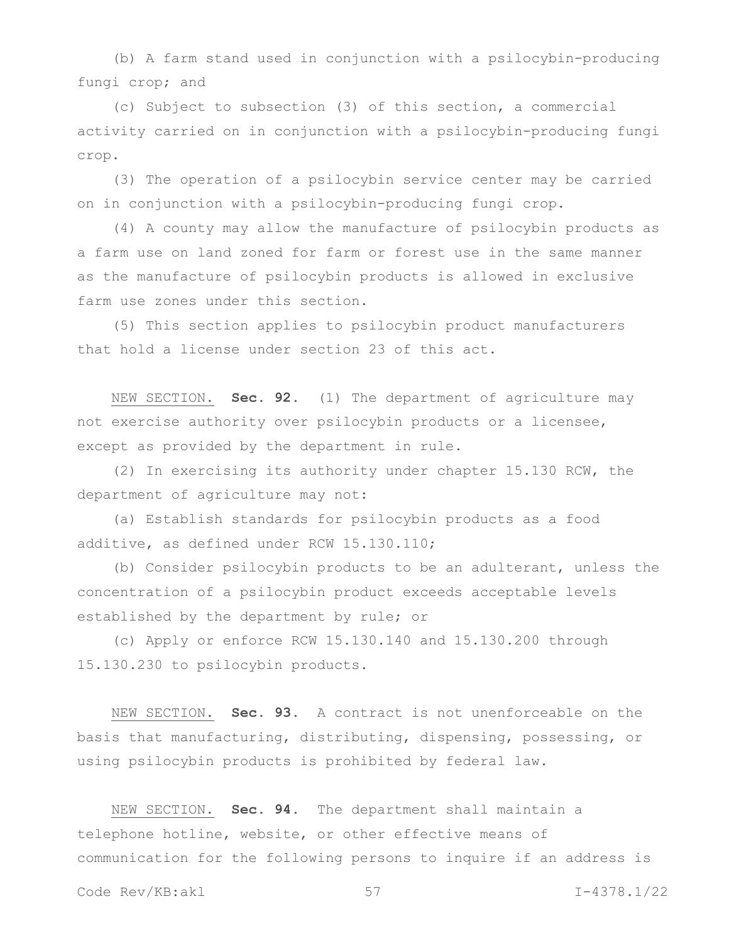(b) A farm stand used in conjunction with a psilocybin-producing fungi crop; and

(c) Subject to subsection (3) of this section, a commercial activity carried on in conjunction with a psilocybin-producing fungi crop.

(3) The operation of a psilocybin service center may be carried on in conjunction with a psilocybin-producing fungi crop.

(4) A county may allow the manufacture of psilocybin products as a farm use on land zoned for farm or forest use in the same manner as the manufacture of psilocybin products is allowed in exclusive farm use zones under this section.

(5) This section applies to psilocybin product manufacturers that hold a license under section 23 of this act.

NEW SECTION. **Sec. 92.** (1) The department of agriculture may not exercise authority over psilocybin products or a licensee, except as provided by the department in rule.

(2) In exercising its authority under chapter 15.130 RCW, the department of agriculture may not:

(a) Establish standards for psilocybin products as a food additive, as defined under RCW 15.130.110;

(b) Consider psilocybin products to be an adulterant, unless the concentration of a psilocybin product exceeds acceptable levels established by the department by rule; or

(c) Apply or enforce RCW 15.130.140 and 15.130.200 through 15.130.230 to psilocybin products.

NEW SECTION. **Sec. 93.** A contract is not unenforceable on the basis that manufacturing, distributing, dispensing, possessing, or using psilocybin products is prohibited by federal law.

NEW SECTION. **Sec. 94.** The department shall maintain a telephone hotline, website, or other effective means of communication for the following persons to inquire if an address is

Code Rev/KB:akl 57 I-4378.1/22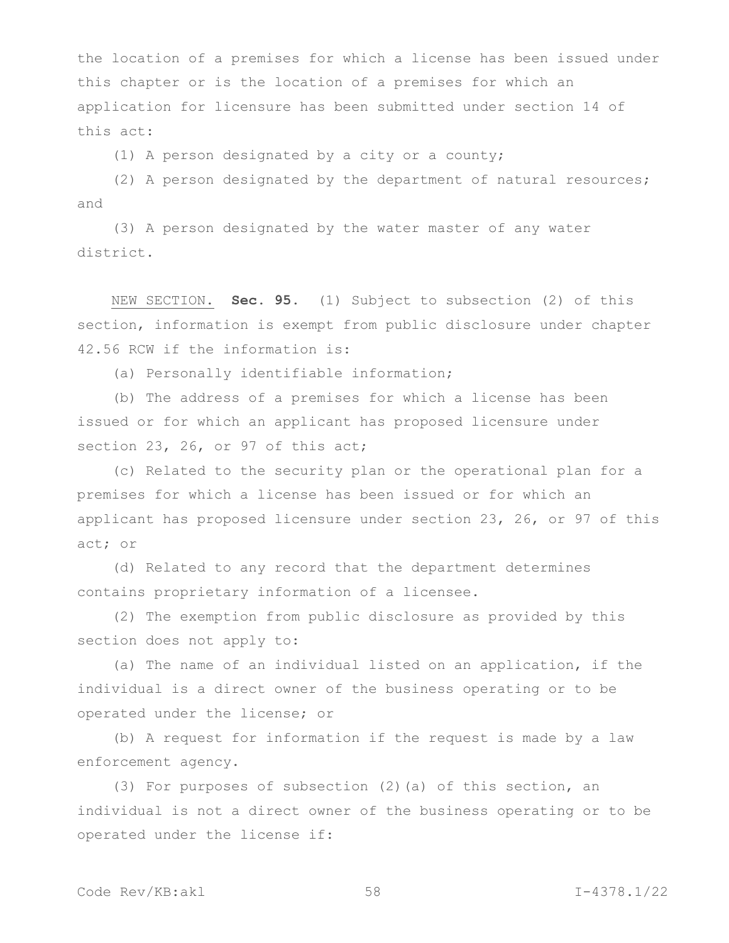the location of a premises for which a license has been issued under this chapter or is the location of a premises for which an application for licensure has been submitted under section 14 of this act:

(1) A person designated by a city or a county;

(2) A person designated by the department of natural resources; and

(3) A person designated by the water master of any water district.

NEW SECTION. **Sec. 95.** (1) Subject to subsection (2) of this section, information is exempt from public disclosure under chapter 42.56 RCW if the information is:

(a) Personally identifiable information;

(b) The address of a premises for which a license has been issued or for which an applicant has proposed licensure under section 23, 26, or 97 of this act;

(c) Related to the security plan or the operational plan for a premises for which a license has been issued or for which an applicant has proposed licensure under section 23, 26, or 97 of this act; or

(d) Related to any record that the department determines contains proprietary information of a licensee.

(2) The exemption from public disclosure as provided by this section does not apply to:

(a) The name of an individual listed on an application, if the individual is a direct owner of the business operating or to be operated under the license; or

(b) A request for information if the request is made by a law enforcement agency.

(3) For purposes of subsection (2)(a) of this section, an individual is not a direct owner of the business operating or to be operated under the license if: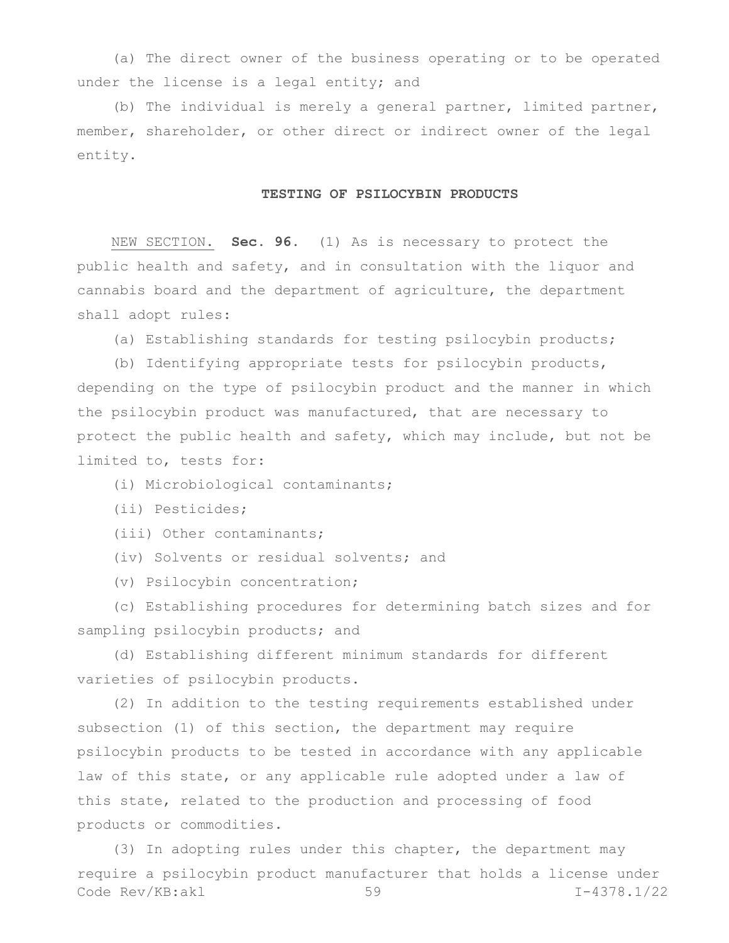(a) The direct owner of the business operating or to be operated under the license is a legal entity; and

(b) The individual is merely a general partner, limited partner, member, shareholder, or other direct or indirect owner of the legal entity.

## **TESTING OF PSILOCYBIN PRODUCTS**

NEW SECTION. **Sec. 96.** (1) As is necessary to protect the public health and safety, and in consultation with the liquor and cannabis board and the department of agriculture, the department shall adopt rules:

(a) Establishing standards for testing psilocybin products;

(b) Identifying appropriate tests for psilocybin products, depending on the type of psilocybin product and the manner in which the psilocybin product was manufactured, that are necessary to protect the public health and safety, which may include, but not be limited to, tests for:

(i) Microbiological contaminants;

(ii) Pesticides;

(iii) Other contaminants;

(iv) Solvents or residual solvents; and

(v) Psilocybin concentration;

(c) Establishing procedures for determining batch sizes and for sampling psilocybin products; and

(d) Establishing different minimum standards for different varieties of psilocybin products.

(2) In addition to the testing requirements established under subsection (1) of this section, the department may require psilocybin products to be tested in accordance with any applicable law of this state, or any applicable rule adopted under a law of this state, related to the production and processing of food products or commodities.

Code Rev/KB:akl 59 I-4378.1/22 (3) In adopting rules under this chapter, the department may require a psilocybin product manufacturer that holds a license under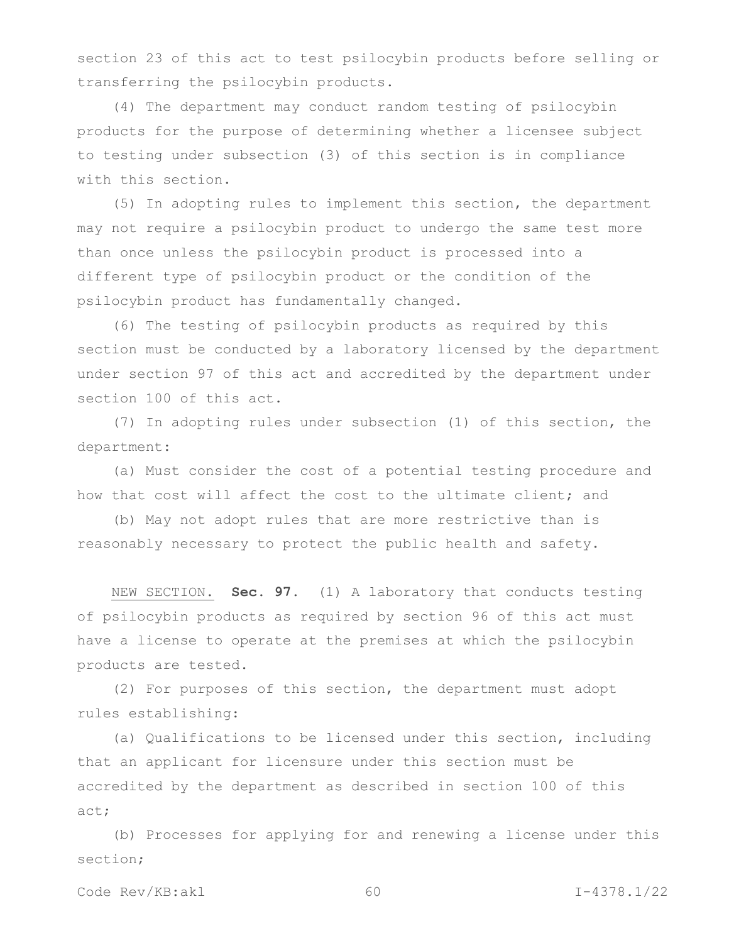section 23 of this act to test psilocybin products before selling or transferring the psilocybin products.

(4) The department may conduct random testing of psilocybin products for the purpose of determining whether a licensee subject to testing under subsection (3) of this section is in compliance with this section.

(5) In adopting rules to implement this section, the department may not require a psilocybin product to undergo the same test more than once unless the psilocybin product is processed into a different type of psilocybin product or the condition of the psilocybin product has fundamentally changed.

(6) The testing of psilocybin products as required by this section must be conducted by a laboratory licensed by the department under section 97 of this act and accredited by the department under section 100 of this act.

(7) In adopting rules under subsection (1) of this section, the department:

(a) Must consider the cost of a potential testing procedure and how that cost will affect the cost to the ultimate client; and

(b) May not adopt rules that are more restrictive than is reasonably necessary to protect the public health and safety.

NEW SECTION. **Sec. 97.** (1) A laboratory that conducts testing of psilocybin products as required by section 96 of this act must have a license to operate at the premises at which the psilocybin products are tested.

(2) For purposes of this section, the department must adopt rules establishing:

(a) Qualifications to be licensed under this section, including that an applicant for licensure under this section must be accredited by the department as described in section 100 of this act;

(b) Processes for applying for and renewing a license under this section;

Code Rev/KB:akl 60 I-4378.1/22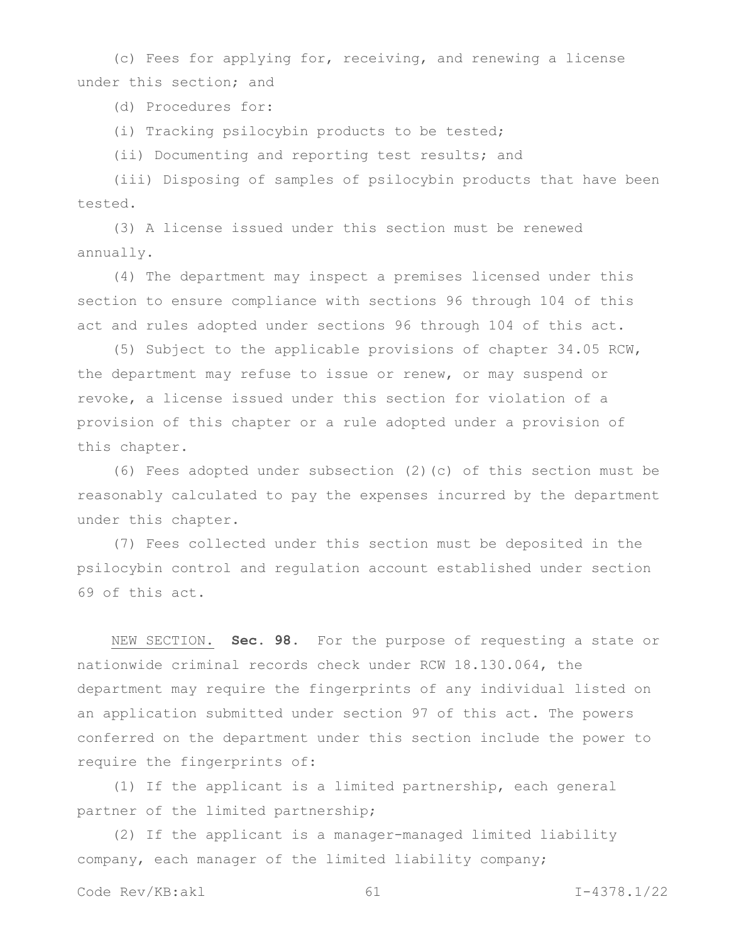(c) Fees for applying for, receiving, and renewing a license under this section; and

(d) Procedures for:

(i) Tracking psilocybin products to be tested;

(ii) Documenting and reporting test results; and

(iii) Disposing of samples of psilocybin products that have been tested.

(3) A license issued under this section must be renewed annually.

(4) The department may inspect a premises licensed under this section to ensure compliance with sections 96 through 104 of this act and rules adopted under sections 96 through 104 of this act.

(5) Subject to the applicable provisions of chapter 34.05 RCW, the department may refuse to issue or renew, or may suspend or revoke, a license issued under this section for violation of a provision of this chapter or a rule adopted under a provision of this chapter.

(6) Fees adopted under subsection (2)(c) of this section must be reasonably calculated to pay the expenses incurred by the department under this chapter.

(7) Fees collected under this section must be deposited in the psilocybin control and regulation account established under section 69 of this act.

NEW SECTION. **Sec. 98.** For the purpose of requesting a state or nationwide criminal records check under RCW 18.130.064, the department may require the fingerprints of any individual listed on an application submitted under section 97 of this act. The powers conferred on the department under this section include the power to require the fingerprints of:

(1) If the applicant is a limited partnership, each general partner of the limited partnership;

(2) If the applicant is a manager-managed limited liability company, each manager of the limited liability company;

```
Code Rev/KB:akl 61 I-4378.1/22
```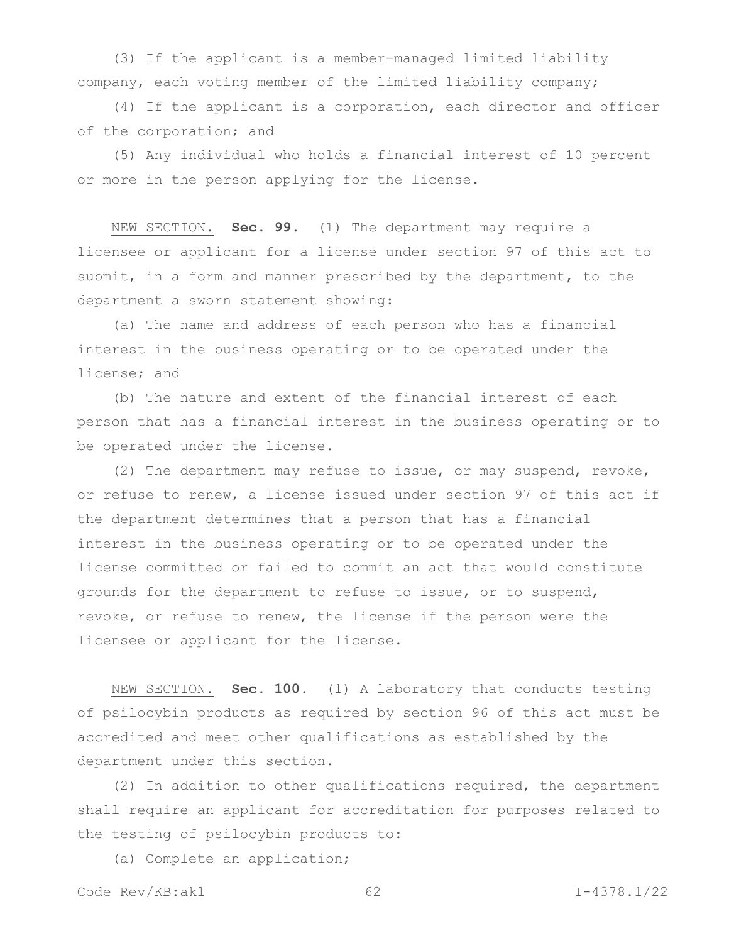(3) If the applicant is a member-managed limited liability company, each voting member of the limited liability company;

(4) If the applicant is a corporation, each director and officer of the corporation; and

(5) Any individual who holds a financial interest of 10 percent or more in the person applying for the license.

NEW SECTION. **Sec. 99.** (1) The department may require a licensee or applicant for a license under section 97 of this act to submit, in a form and manner prescribed by the department, to the department a sworn statement showing:

(a) The name and address of each person who has a financial interest in the business operating or to be operated under the license; and

(b) The nature and extent of the financial interest of each person that has a financial interest in the business operating or to be operated under the license.

(2) The department may refuse to issue, or may suspend, revoke, or refuse to renew, a license issued under section 97 of this act if the department determines that a person that has a financial interest in the business operating or to be operated under the license committed or failed to commit an act that would constitute grounds for the department to refuse to issue, or to suspend, revoke, or refuse to renew, the license if the person were the licensee or applicant for the license.

NEW SECTION. **Sec. 100.** (1) A laboratory that conducts testing of psilocybin products as required by section 96 of this act must be accredited and meet other qualifications as established by the department under this section.

(2) In addition to other qualifications required, the department shall require an applicant for accreditation for purposes related to the testing of psilocybin products to:

(a) Complete an application;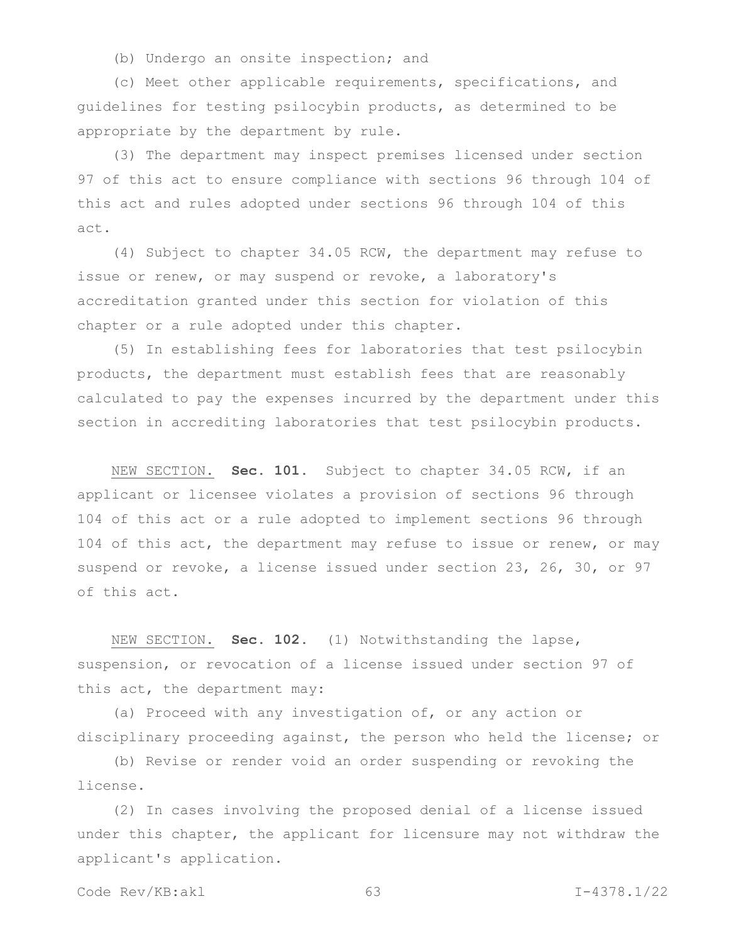(b) Undergo an onsite inspection; and

(c) Meet other applicable requirements, specifications, and guidelines for testing psilocybin products, as determined to be appropriate by the department by rule.

(3) The department may inspect premises licensed under section 97 of this act to ensure compliance with sections 96 through 104 of this act and rules adopted under sections 96 through 104 of this act.

(4) Subject to chapter 34.05 RCW, the department may refuse to issue or renew, or may suspend or revoke, a laboratory's accreditation granted under this section for violation of this chapter or a rule adopted under this chapter.

(5) In establishing fees for laboratories that test psilocybin products, the department must establish fees that are reasonably calculated to pay the expenses incurred by the department under this section in accrediting laboratories that test psilocybin products.

NEW SECTION. **Sec. 101.** Subject to chapter 34.05 RCW, if an applicant or licensee violates a provision of sections 96 through 104 of this act or a rule adopted to implement sections 96 through 104 of this act, the department may refuse to issue or renew, or may suspend or revoke, a license issued under section 23, 26, 30, or 97 of this act.

NEW SECTION. **Sec. 102.** (1) Notwithstanding the lapse, suspension, or revocation of a license issued under section 97 of this act, the department may:

(a) Proceed with any investigation of, or any action or disciplinary proceeding against, the person who held the license; or

(b) Revise or render void an order suspending or revoking the license.

(2) In cases involving the proposed denial of a license issued under this chapter, the applicant for licensure may not withdraw the applicant's application.

Code Rev/KB:akl 63 I-4378.1/22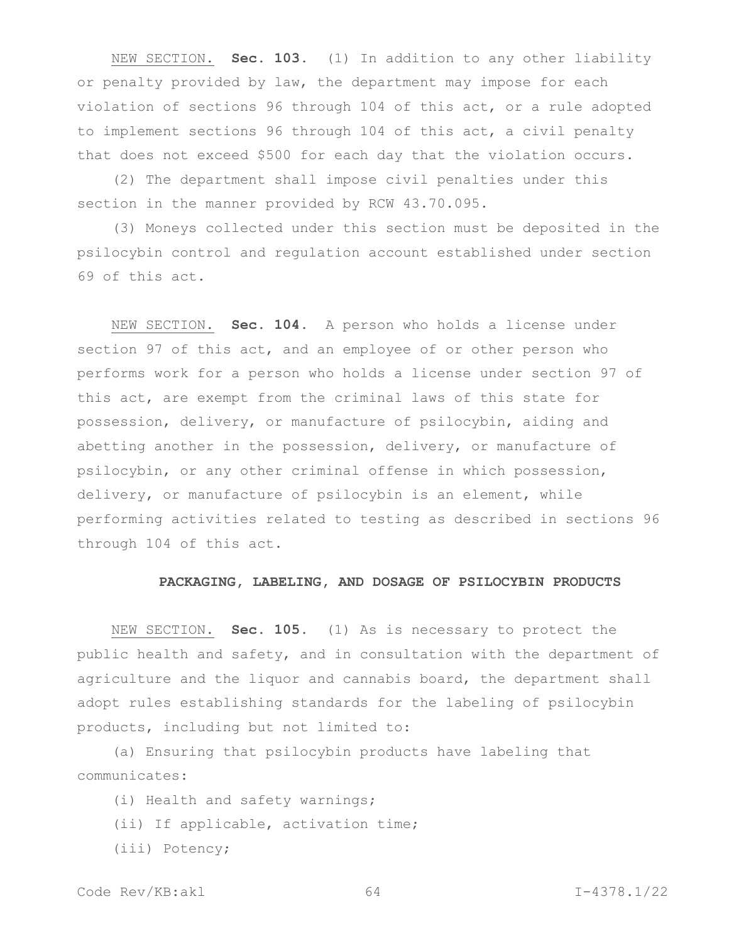NEW SECTION. **Sec. 103.** (1) In addition to any other liability or penalty provided by law, the department may impose for each violation of sections 96 through 104 of this act, or a rule adopted to implement sections 96 through 104 of this act, a civil penalty that does not exceed \$500 for each day that the violation occurs.

(2) The department shall impose civil penalties under this section in the manner provided by RCW 43.70.095.

(3) Moneys collected under this section must be deposited in the psilocybin control and regulation account established under section 69 of this act.

NEW SECTION. **Sec. 104.** A person who holds a license under section 97 of this act, and an employee of or other person who performs work for a person who holds a license under section 97 of this act, are exempt from the criminal laws of this state for possession, delivery, or manufacture of psilocybin, aiding and abetting another in the possession, delivery, or manufacture of psilocybin, or any other criminal offense in which possession, delivery, or manufacture of psilocybin is an element, while performing activities related to testing as described in sections 96 through 104 of this act.

#### **PACKAGING, LABELING, AND DOSAGE OF PSILOCYBIN PRODUCTS**

NEW SECTION. **Sec. 105.** (1) As is necessary to protect the public health and safety, and in consultation with the department of agriculture and the liquor and cannabis board, the department shall adopt rules establishing standards for the labeling of psilocybin products, including but not limited to:

(a) Ensuring that psilocybin products have labeling that communicates:

(i) Health and safety warnings;

- (ii) If applicable, activation time;
- (iii) Potency;

Code Rev/KB:akl 64 I-4378.1/22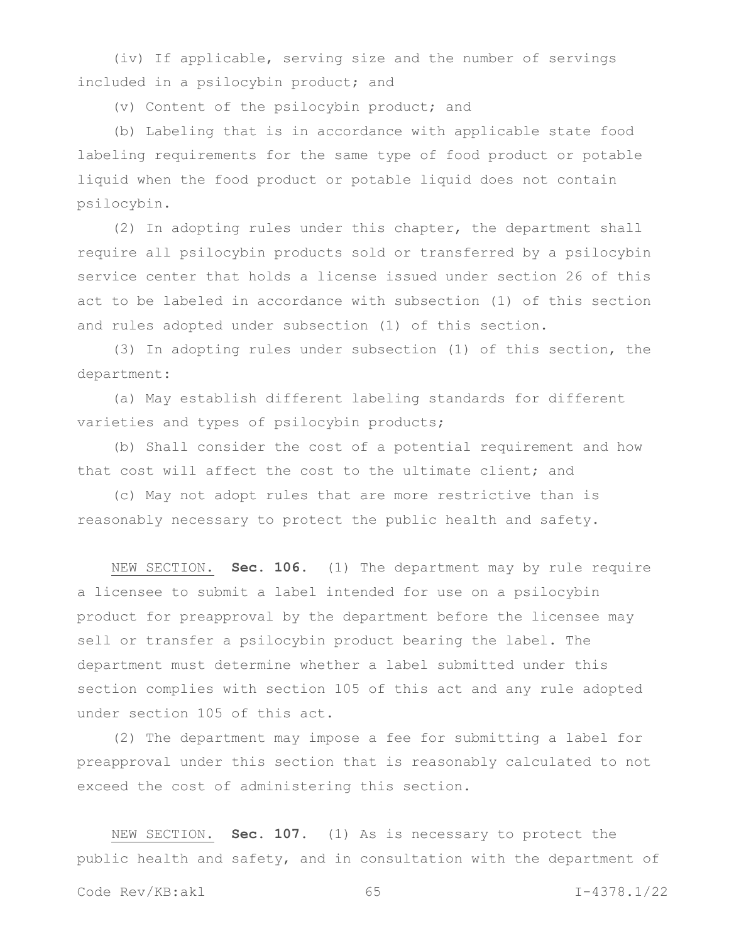(iv) If applicable, serving size and the number of servings included in a psilocybin product; and

(v) Content of the psilocybin product; and

(b) Labeling that is in accordance with applicable state food labeling requirements for the same type of food product or potable liquid when the food product or potable liquid does not contain psilocybin.

(2) In adopting rules under this chapter, the department shall require all psilocybin products sold or transferred by a psilocybin service center that holds a license issued under section 26 of this act to be labeled in accordance with subsection (1) of this section and rules adopted under subsection (1) of this section.

(3) In adopting rules under subsection (1) of this section, the department:

(a) May establish different labeling standards for different varieties and types of psilocybin products;

(b) Shall consider the cost of a potential requirement and how that cost will affect the cost to the ultimate client; and

(c) May not adopt rules that are more restrictive than is reasonably necessary to protect the public health and safety.

NEW SECTION. **Sec. 106.** (1) The department may by rule require a licensee to submit a label intended for use on a psilocybin product for preapproval by the department before the licensee may sell or transfer a psilocybin product bearing the label. The department must determine whether a label submitted under this section complies with section 105 of this act and any rule adopted under section 105 of this act.

(2) The department may impose a fee for submitting a label for preapproval under this section that is reasonably calculated to not exceed the cost of administering this section.

NEW SECTION. **Sec. 107.** (1) As is necessary to protect the public health and safety, and in consultation with the department of

Code Rev/KB:akl 65 1-4378.1/22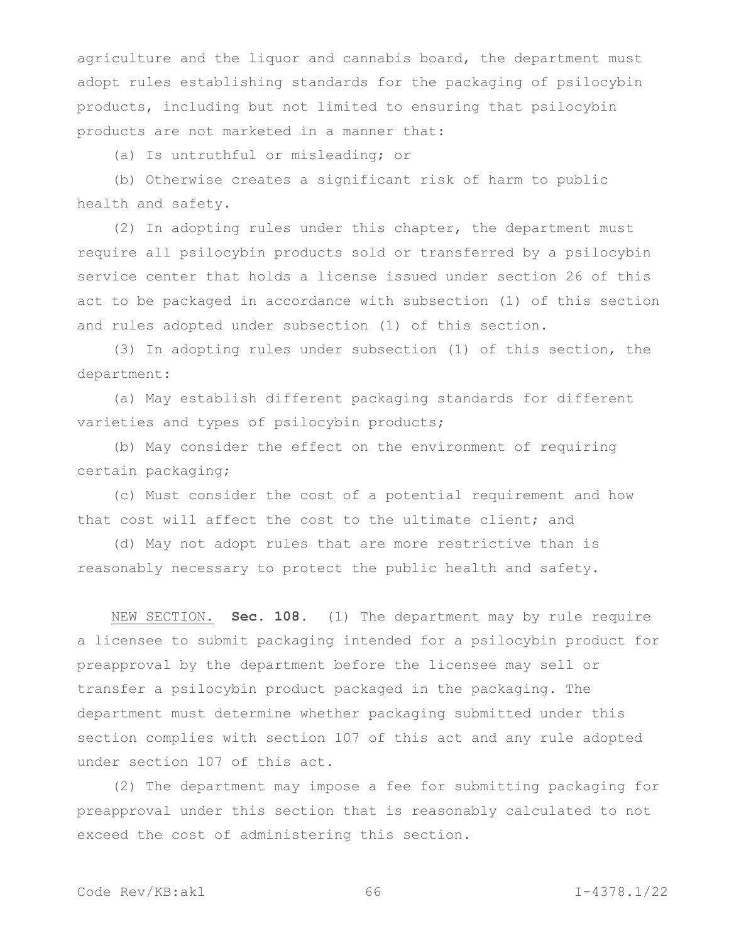agriculture and the liquor and cannabis board, the department must adopt rules establishing standards for the packaging of psilocybin products, including but not limited to ensuring that psilocybin products are not marketed in a manner that:

(a) Is untruthful or misleading; or

(b) Otherwise creates a significant risk of harm to public health and safety.

(2) In adopting rules under this chapter, the department must require all psilocybin products sold or transferred by a psilocybin service center that holds a license issued under section 26 of this act to be packaged in accordance with subsection (1) of this section and rules adopted under subsection (1) of this section.

(3) In adopting rules under subsection (1) of this section, the department:

(a) May establish different packaging standards for different varieties and types of psilocybin products;

(b) May consider the effect on the environment of requiring certain packaging;

(c) Must consider the cost of a potential requirement and how that cost will affect the cost to the ultimate client; and

(d) May not adopt rules that are more restrictive than is reasonably necessary to protect the public health and safety.

NEW SECTION. **Sec. 108.** (1) The department may by rule require a licensee to submit packaging intended for a psilocybin product for preapproval by the department before the licensee may sell or transfer a psilocybin product packaged in the packaging. The department must determine whether packaging submitted under this section complies with section 107 of this act and any rule adopted under section 107 of this act.

(2) The department may impose a fee for submitting packaging for preapproval under this section that is reasonably calculated to not exceed the cost of administering this section.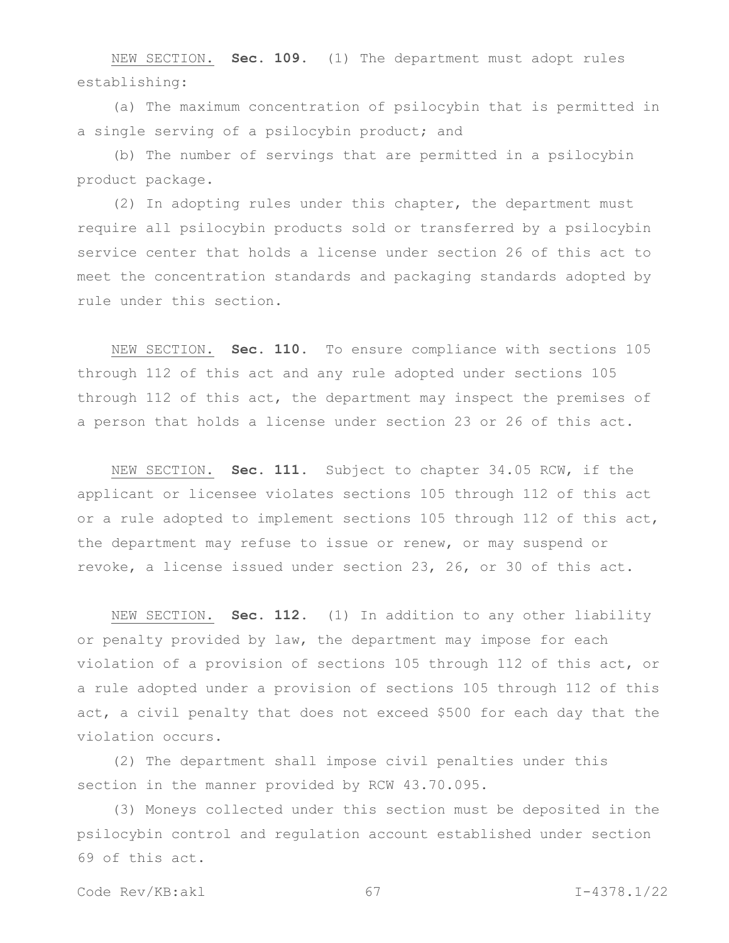NEW SECTION. **Sec. 109.** (1) The department must adopt rules establishing:

(a) The maximum concentration of psilocybin that is permitted in a single serving of a psilocybin product; and

(b) The number of servings that are permitted in a psilocybin product package.

(2) In adopting rules under this chapter, the department must require all psilocybin products sold or transferred by a psilocybin service center that holds a license under section 26 of this act to meet the concentration standards and packaging standards adopted by rule under this section.

NEW SECTION. **Sec. 110.** To ensure compliance with sections 105 through 112 of this act and any rule adopted under sections 105 through 112 of this act, the department may inspect the premises of a person that holds a license under section 23 or 26 of this act.

NEW SECTION. **Sec. 111.** Subject to chapter 34.05 RCW, if the applicant or licensee violates sections 105 through 112 of this act or a rule adopted to implement sections 105 through 112 of this act, the department may refuse to issue or renew, or may suspend or revoke, a license issued under section 23, 26, or 30 of this act.

NEW SECTION. **Sec. 112.** (1) In addition to any other liability or penalty provided by law, the department may impose for each violation of a provision of sections 105 through 112 of this act, or a rule adopted under a provision of sections 105 through 112 of this act, a civil penalty that does not exceed \$500 for each day that the violation occurs.

(2) The department shall impose civil penalties under this section in the manner provided by RCW 43.70.095.

(3) Moneys collected under this section must be deposited in the psilocybin control and regulation account established under section 69 of this act.

Code Rev/KB:akl 67 I-4378.1/22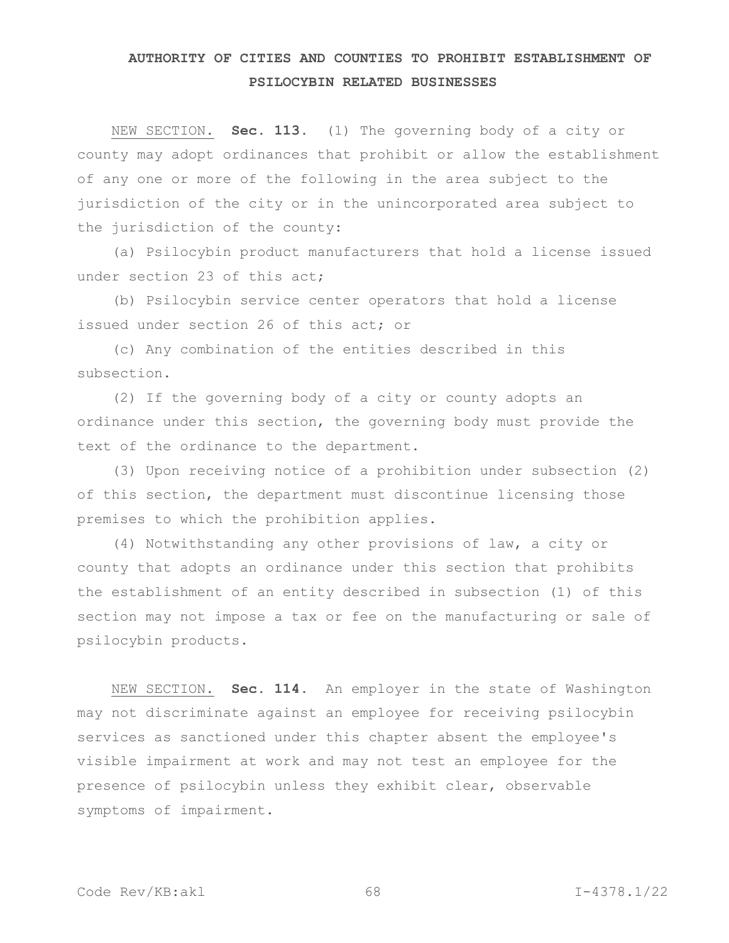# **AUTHORITY OF CITIES AND COUNTIES TO PROHIBIT ESTABLISHMENT OF PSILOCYBIN RELATED BUSINESSES**

NEW SECTION. **Sec. 113.** (1) The governing body of a city or county may adopt ordinances that prohibit or allow the establishment of any one or more of the following in the area subject to the jurisdiction of the city or in the unincorporated area subject to the jurisdiction of the county:

(a) Psilocybin product manufacturers that hold a license issued under section 23 of this act;

(b) Psilocybin service center operators that hold a license issued under section 26 of this act; or

(c) Any combination of the entities described in this subsection.

(2) If the governing body of a city or county adopts an ordinance under this section, the governing body must provide the text of the ordinance to the department.

(3) Upon receiving notice of a prohibition under subsection (2) of this section, the department must discontinue licensing those premises to which the prohibition applies.

(4) Notwithstanding any other provisions of law, a city or county that adopts an ordinance under this section that prohibits the establishment of an entity described in subsection (1) of this section may not impose a tax or fee on the manufacturing or sale of psilocybin products.

NEW SECTION. **Sec. 114.** An employer in the state of Washington may not discriminate against an employee for receiving psilocybin services as sanctioned under this chapter absent the employee's visible impairment at work and may not test an employee for the presence of psilocybin unless they exhibit clear, observable symptoms of impairment.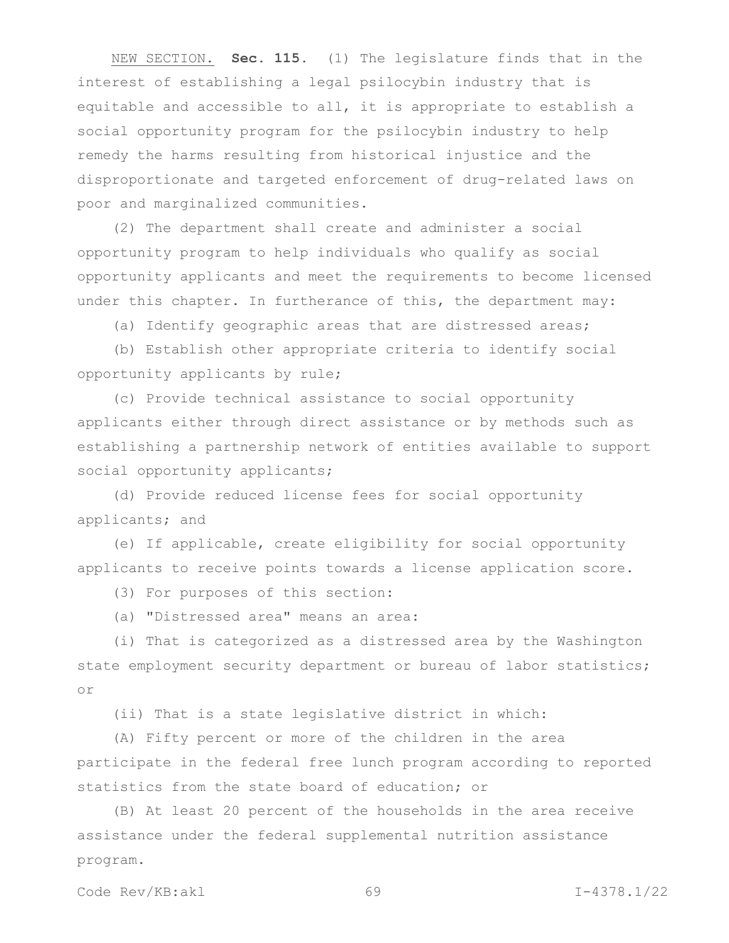NEW SECTION. **Sec. 115.** (1) The legislature finds that in the interest of establishing a legal psilocybin industry that is equitable and accessible to all, it is appropriate to establish a social opportunity program for the psilocybin industry to help remedy the harms resulting from historical injustice and the disproportionate and targeted enforcement of drug-related laws on poor and marginalized communities.

(2) The department shall create and administer a social opportunity program to help individuals who qualify as social opportunity applicants and meet the requirements to become licensed under this chapter. In furtherance of this, the department may:

(a) Identify geographic areas that are distressed areas;

(b) Establish other appropriate criteria to identify social opportunity applicants by rule;

(c) Provide technical assistance to social opportunity applicants either through direct assistance or by methods such as establishing a partnership network of entities available to support social opportunity applicants;

(d) Provide reduced license fees for social opportunity applicants; and

(e) If applicable, create eligibility for social opportunity applicants to receive points towards a license application score.

(3) For purposes of this section:

(a) "Distressed area" means an area:

(i) That is categorized as a distressed area by the Washington state employment security department or bureau of labor statistics; or

(ii) That is a state legislative district in which:

(A) Fifty percent or more of the children in the area participate in the federal free lunch program according to reported statistics from the state board of education; or

(B) At least 20 percent of the households in the area receive assistance under the federal supplemental nutrition assistance program.

Code Rev/KB:akl 69 1-4378.1/22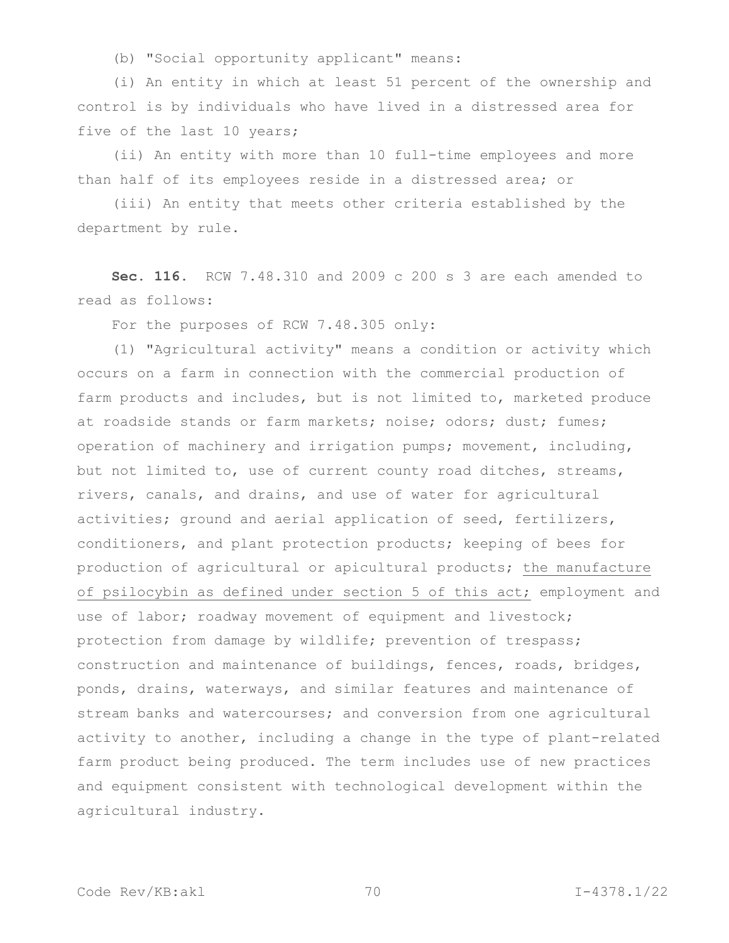(b) "Social opportunity applicant" means:

(i) An entity in which at least 51 percent of the ownership and control is by individuals who have lived in a distressed area for five of the last 10 years;

(ii) An entity with more than 10 full-time employees and more than half of its employees reside in a distressed area; or

(iii) An entity that meets other criteria established by the department by rule.

**Sec. 116.** RCW 7.48.310 and 2009 c 200 s 3 are each amended to read as follows:

For the purposes of RCW 7.48.305 only:

(1) "Agricultural activity" means a condition or activity which occurs on a farm in connection with the commercial production of farm products and includes, but is not limited to, marketed produce at roadside stands or farm markets; noise; odors; dust; fumes; operation of machinery and irrigation pumps; movement, including, but not limited to, use of current county road ditches, streams, rivers, canals, and drains, and use of water for agricultural activities; ground and aerial application of seed, fertilizers, conditioners, and plant protection products; keeping of bees for production of agricultural or apicultural products; the manufacture of psilocybin as defined under section 5 of this act; employment and use of labor; roadway movement of equipment and livestock; protection from damage by wildlife; prevention of trespass; construction and maintenance of buildings, fences, roads, bridges, ponds, drains, waterways, and similar features and maintenance of stream banks and watercourses; and conversion from one agricultural activity to another, including a change in the type of plant-related farm product being produced. The term includes use of new practices and equipment consistent with technological development within the agricultural industry.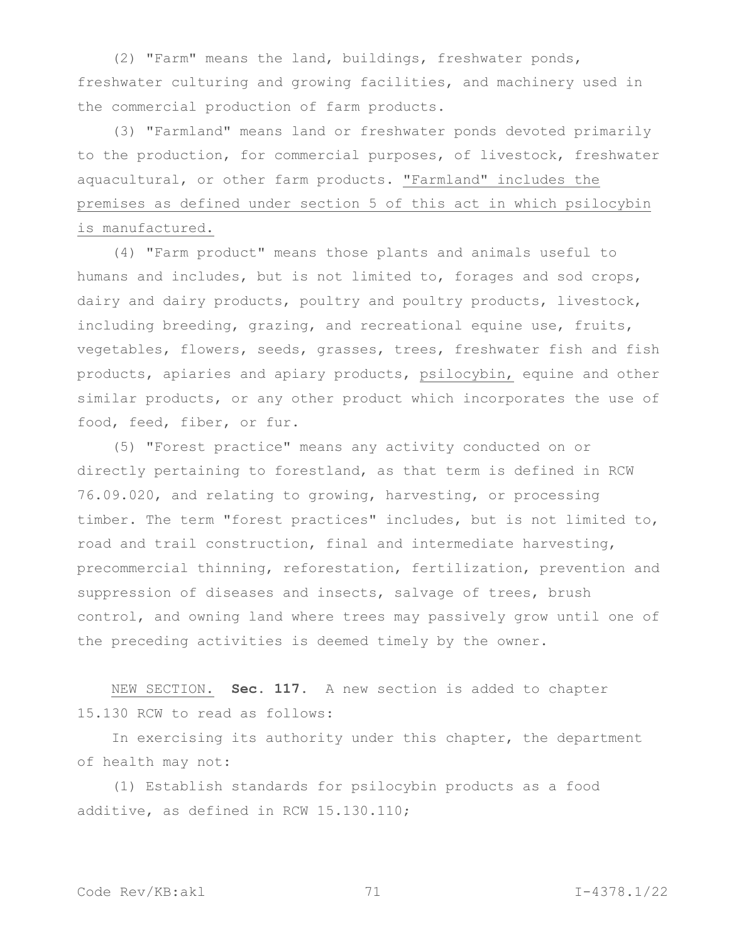(2) "Farm" means the land, buildings, freshwater ponds, freshwater culturing and growing facilities, and machinery used in the commercial production of farm products.

(3) "Farmland" means land or freshwater ponds devoted primarily to the production, for commercial purposes, of livestock, freshwater aquacultural, or other farm products. "Farmland" includes the premises as defined under section 5 of this act in which psilocybin is manufactured.

(4) "Farm product" means those plants and animals useful to humans and includes, but is not limited to, forages and sod crops, dairy and dairy products, poultry and poultry products, livestock, including breeding, grazing, and recreational equine use, fruits, vegetables, flowers, seeds, grasses, trees, freshwater fish and fish products, apiaries and apiary products, psilocybin, equine and other similar products, or any other product which incorporates the use of food, feed, fiber, or fur.

(5) "Forest practice" means any activity conducted on or directly pertaining to forestland, as that term is defined in RCW 76.09.020, and relating to growing, harvesting, or processing timber. The term "forest practices" includes, but is not limited to, road and trail construction, final and intermediate harvesting, precommercial thinning, reforestation, fertilization, prevention and suppression of diseases and insects, salvage of trees, brush control, and owning land where trees may passively grow until one of the preceding activities is deemed timely by the owner.

NEW SECTION. **Sec. 117.** A new section is added to chapter 15.130 RCW to read as follows:

In exercising its authority under this chapter, the department of health may not:

(1) Establish standards for psilocybin products as a food additive, as defined in RCW 15.130.110;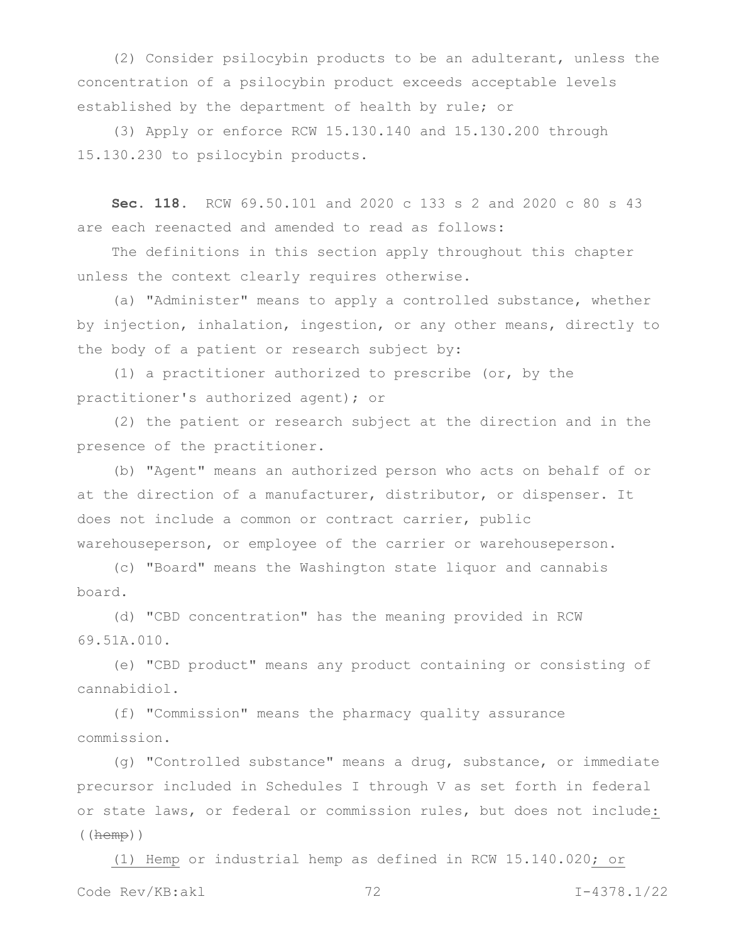(2) Consider psilocybin products to be an adulterant, unless the concentration of a psilocybin product exceeds acceptable levels established by the department of health by rule; or

(3) Apply or enforce RCW 15.130.140 and 15.130.200 through 15.130.230 to psilocybin products.

**Sec. 118.** RCW 69.50.101 and 2020 c 133 s 2 and 2020 c 80 s 43 are each reenacted and amended to read as follows:

The definitions in this section apply throughout this chapter unless the context clearly requires otherwise.

(a) "Administer" means to apply a controlled substance, whether by injection, inhalation, ingestion, or any other means, directly to the body of a patient or research subject by:

(1) a practitioner authorized to prescribe (or, by the practitioner's authorized agent); or

(2) the patient or research subject at the direction and in the presence of the practitioner.

(b) "Agent" means an authorized person who acts on behalf of or at the direction of a manufacturer, distributor, or dispenser. It does not include a common or contract carrier, public warehouseperson, or employee of the carrier or warehouseperson.

(c) "Board" means the Washington state liquor and cannabis board.

(d) "CBD concentration" has the meaning provided in RCW 69.51A.010.

(e) "CBD product" means any product containing or consisting of cannabidiol.

(f) "Commission" means the pharmacy quality assurance commission.

(g) "Controlled substance" means a drug, substance, or immediate precursor included in Schedules I through V as set forth in federal or state laws, or federal or commission rules, but does not include:  $($  ( $hemp)$ )

Code Rev/KB:akl 72 I-4378.1/22 (1) Hemp or industrial hemp as defined in RCW 15.140.020; or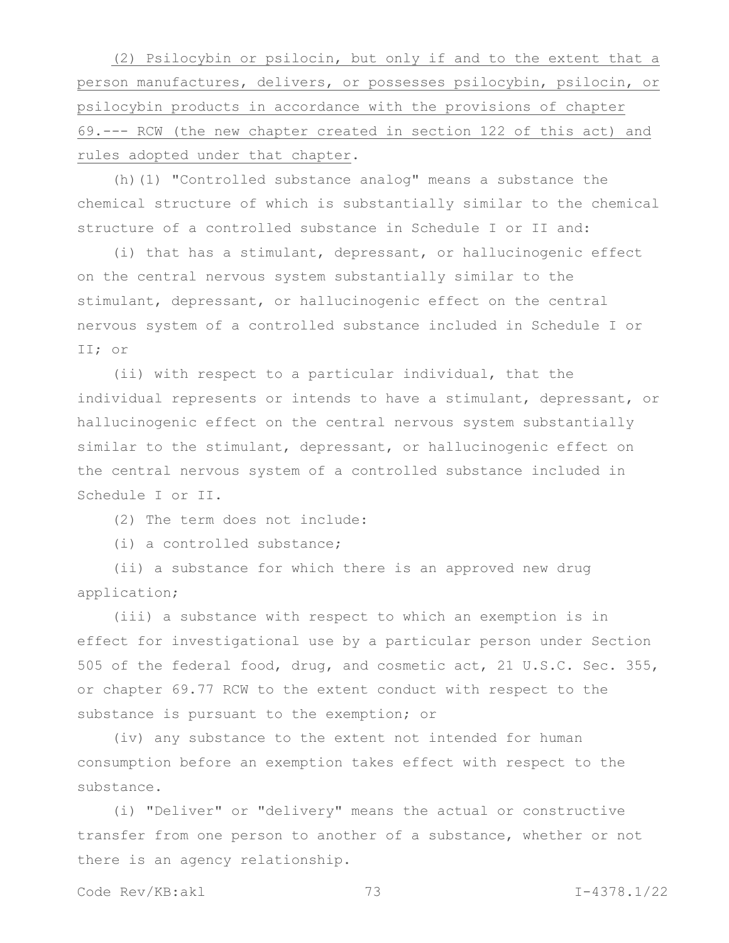(2) Psilocybin or psilocin, but only if and to the extent that a person manufactures, delivers, or possesses psilocybin, psilocin, or psilocybin products in accordance with the provisions of chapter 69.--- RCW (the new chapter created in section 122 of this act) and rules adopted under that chapter.

(h)(1) "Controlled substance analog" means a substance the chemical structure of which is substantially similar to the chemical structure of a controlled substance in Schedule I or II and:

(i) that has a stimulant, depressant, or hallucinogenic effect on the central nervous system substantially similar to the stimulant, depressant, or hallucinogenic effect on the central nervous system of a controlled substance included in Schedule I or II; or

(ii) with respect to a particular individual, that the individual represents or intends to have a stimulant, depressant, or hallucinogenic effect on the central nervous system substantially similar to the stimulant, depressant, or hallucinogenic effect on the central nervous system of a controlled substance included in Schedule I or II.

(2) The term does not include:

(i) a controlled substance;

(ii) a substance for which there is an approved new drug application;

(iii) a substance with respect to which an exemption is in effect for investigational use by a particular person under Section 505 of the federal food, drug, and cosmetic act, 21 U.S.C. Sec. 355, or chapter 69.77 RCW to the extent conduct with respect to the substance is pursuant to the exemption; or

(iv) any substance to the extent not intended for human consumption before an exemption takes effect with respect to the substance.

(i) "Deliver" or "delivery" means the actual or constructive transfer from one person to another of a substance, whether or not there is an agency relationship.

Code Rev/KB:akl 73 I-4378.1/22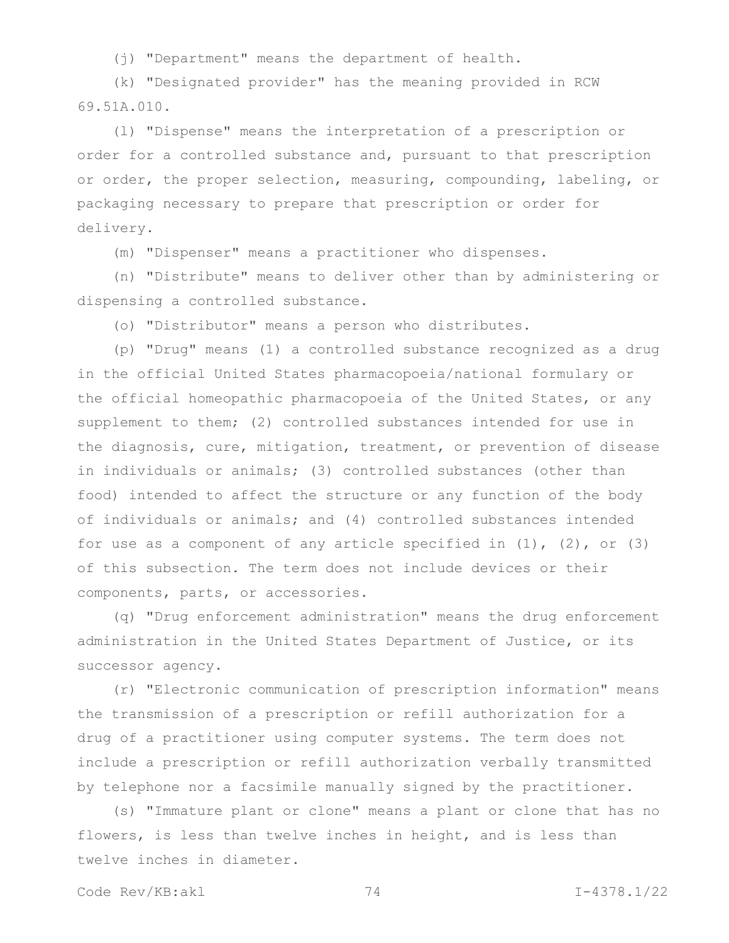(j) "Department" means the department of health.

(k) "Designated provider" has the meaning provided in RCW 69.51A.010.

(l) "Dispense" means the interpretation of a prescription or order for a controlled substance and, pursuant to that prescription or order, the proper selection, measuring, compounding, labeling, or packaging necessary to prepare that prescription or order for delivery.

(m) "Dispenser" means a practitioner who dispenses.

(n) "Distribute" means to deliver other than by administering or dispensing a controlled substance.

(o) "Distributor" means a person who distributes.

(p) "Drug" means (1) a controlled substance recognized as a drug in the official United States pharmacopoeia/national formulary or the official homeopathic pharmacopoeia of the United States, or any supplement to them; (2) controlled substances intended for use in the diagnosis, cure, mitigation, treatment, or prevention of disease in individuals or animals; (3) controlled substances (other than food) intended to affect the structure or any function of the body of individuals or animals; and (4) controlled substances intended for use as a component of any article specified in  $(1)$ ,  $(2)$ , or  $(3)$ of this subsection. The term does not include devices or their components, parts, or accessories.

(q) "Drug enforcement administration" means the drug enforcement administration in the United States Department of Justice, or its successor agency.

(r) "Electronic communication of prescription information" means the transmission of a prescription or refill authorization for a drug of a practitioner using computer systems. The term does not include a prescription or refill authorization verbally transmitted by telephone nor a facsimile manually signed by the practitioner.

(s) "Immature plant or clone" means a plant or clone that has no flowers, is less than twelve inches in height, and is less than twelve inches in diameter.

Code Rev/KB:akl 74 I-4378.1/22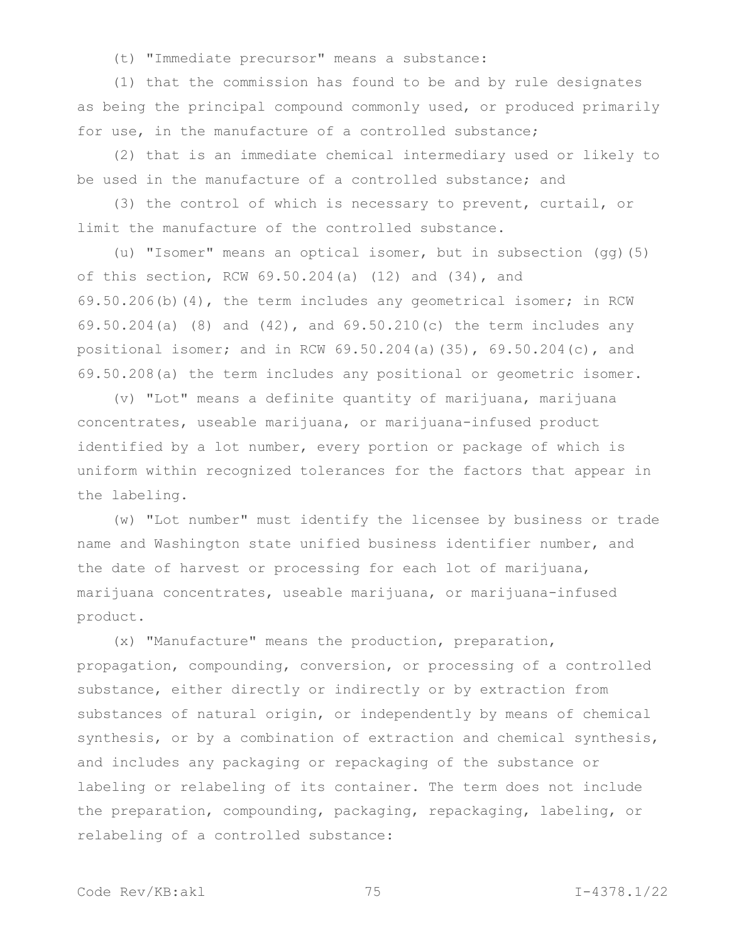(t) "Immediate precursor" means a substance:

(1) that the commission has found to be and by rule designates as being the principal compound commonly used, or produced primarily for use, in the manufacture of a controlled substance;

(2) that is an immediate chemical intermediary used or likely to be used in the manufacture of a controlled substance; and

(3) the control of which is necessary to prevent, curtail, or limit the manufacture of the controlled substance.

(u) "Isomer" means an optical isomer, but in subsection (gg)(5) of this section, RCW 69.50.204(a) (12) and (34), and 69.50.206(b)(4), the term includes any geometrical isomer; in RCW 69.50.204(a) (8) and (42), and 69.50.210(c) the term includes any positional isomer; and in RCW 69.50.204(a)(35), 69.50.204(c), and 69.50.208(a) the term includes any positional or geometric isomer.

(v) "Lot" means a definite quantity of marijuana, marijuana concentrates, useable marijuana, or marijuana-infused product identified by a lot number, every portion or package of which is uniform within recognized tolerances for the factors that appear in the labeling.

(w) "Lot number" must identify the licensee by business or trade name and Washington state unified business identifier number, and the date of harvest or processing for each lot of marijuana, marijuana concentrates, useable marijuana, or marijuana-infused product.

(x) "Manufacture" means the production, preparation, propagation, compounding, conversion, or processing of a controlled substance, either directly or indirectly or by extraction from substances of natural origin, or independently by means of chemical synthesis, or by a combination of extraction and chemical synthesis, and includes any packaging or repackaging of the substance or labeling or relabeling of its container. The term does not include the preparation, compounding, packaging, repackaging, labeling, or relabeling of a controlled substance: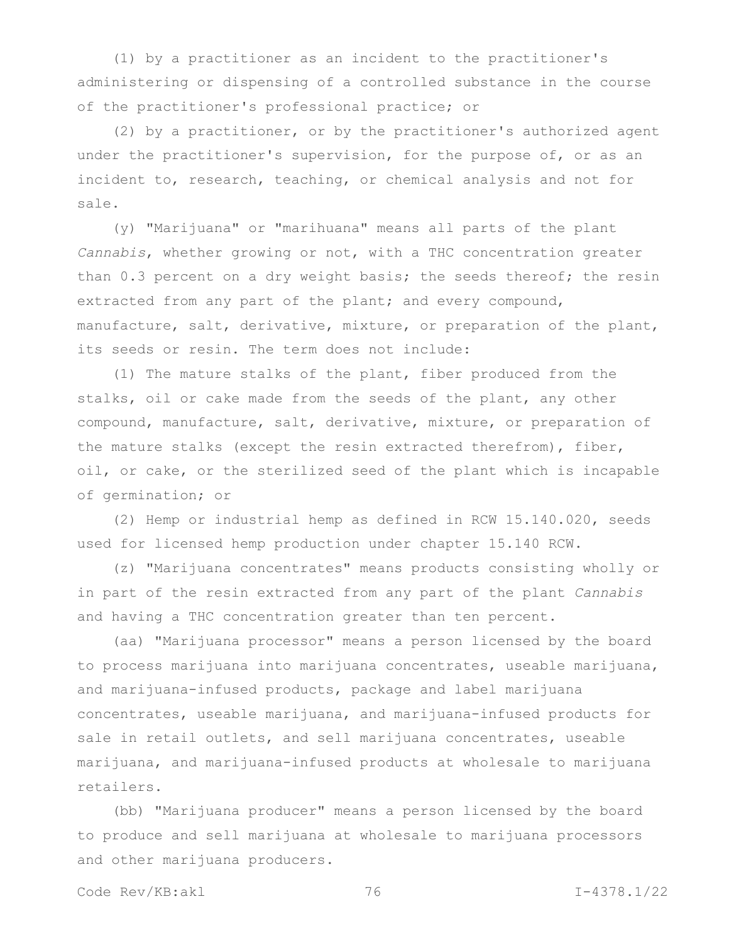(1) by a practitioner as an incident to the practitioner's administering or dispensing of a controlled substance in the course of the practitioner's professional practice; or

(2) by a practitioner, or by the practitioner's authorized agent under the practitioner's supervision, for the purpose of, or as an incident to, research, teaching, or chemical analysis and not for sale.

(y) "Marijuana" or "marihuana" means all parts of the plant *Cannabis*, whether growing or not, with a THC concentration greater than 0.3 percent on a dry weight basis; the seeds thereof; the resin extracted from any part of the plant; and every compound, manufacture, salt, derivative, mixture, or preparation of the plant, its seeds or resin. The term does not include:

(1) The mature stalks of the plant, fiber produced from the stalks, oil or cake made from the seeds of the plant, any other compound, manufacture, salt, derivative, mixture, or preparation of the mature stalks (except the resin extracted therefrom), fiber, oil, or cake, or the sterilized seed of the plant which is incapable of germination; or

(2) Hemp or industrial hemp as defined in RCW 15.140.020, seeds used for licensed hemp production under chapter 15.140 RCW.

(z) "Marijuana concentrates" means products consisting wholly or in part of the resin extracted from any part of the plant *Cannabis* and having a THC concentration greater than ten percent.

(aa) "Marijuana processor" means a person licensed by the board to process marijuana into marijuana concentrates, useable marijuana, and marijuana-infused products, package and label marijuana concentrates, useable marijuana, and marijuana-infused products for sale in retail outlets, and sell marijuana concentrates, useable marijuana, and marijuana-infused products at wholesale to marijuana retailers.

(bb) "Marijuana producer" means a person licensed by the board to produce and sell marijuana at wholesale to marijuana processors and other marijuana producers.

Code Rev/KB:akl 76 I-4378.1/22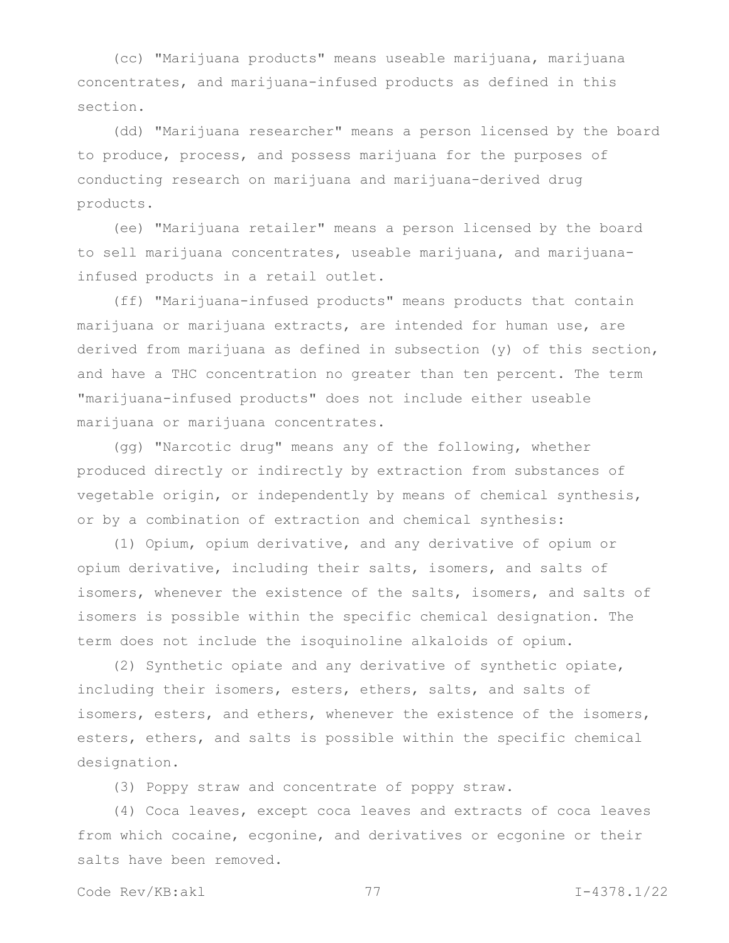(cc) "Marijuana products" means useable marijuana, marijuana concentrates, and marijuana-infused products as defined in this section.

(dd) "Marijuana researcher" means a person licensed by the board to produce, process, and possess marijuana for the purposes of conducting research on marijuana and marijuana-derived drug products.

(ee) "Marijuana retailer" means a person licensed by the board to sell marijuana concentrates, useable marijuana, and marijuanainfused products in a retail outlet.

(ff) "Marijuana-infused products" means products that contain marijuana or marijuana extracts, are intended for human use, are derived from marijuana as defined in subsection (y) of this section, and have a THC concentration no greater than ten percent. The term "marijuana-infused products" does not include either useable marijuana or marijuana concentrates.

(gg) "Narcotic drug" means any of the following, whether produced directly or indirectly by extraction from substances of vegetable origin, or independently by means of chemical synthesis, or by a combination of extraction and chemical synthesis:

(1) Opium, opium derivative, and any derivative of opium or opium derivative, including their salts, isomers, and salts of isomers, whenever the existence of the salts, isomers, and salts of isomers is possible within the specific chemical designation. The term does not include the isoquinoline alkaloids of opium.

(2) Synthetic opiate and any derivative of synthetic opiate, including their isomers, esters, ethers, salts, and salts of isomers, esters, and ethers, whenever the existence of the isomers, esters, ethers, and salts is possible within the specific chemical designation.

(3) Poppy straw and concentrate of poppy straw.

(4) Coca leaves, except coca leaves and extracts of coca leaves from which cocaine, ecgonine, and derivatives or ecgonine or their salts have been removed.

```
Code Rev/KB:akl 77 I-4378.1/22
```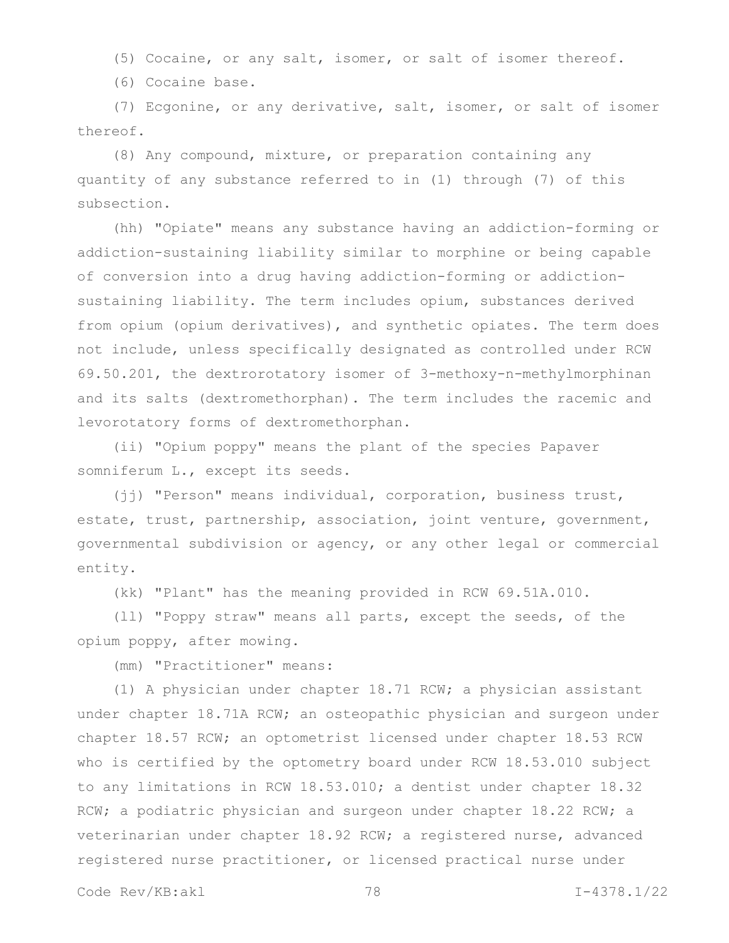(5) Cocaine, or any salt, isomer, or salt of isomer thereof.

(6) Cocaine base.

(7) Ecgonine, or any derivative, salt, isomer, or salt of isomer thereof.

(8) Any compound, mixture, or preparation containing any quantity of any substance referred to in (1) through (7) of this subsection.

(hh) "Opiate" means any substance having an addiction-forming or addiction-sustaining liability similar to morphine or being capable of conversion into a drug having addiction-forming or addictionsustaining liability. The term includes opium, substances derived from opium (opium derivatives), and synthetic opiates. The term does not include, unless specifically designated as controlled under RCW 69.50.201, the dextrorotatory isomer of 3-methoxy-n-methylmorphinan and its salts (dextromethorphan). The term includes the racemic and levorotatory forms of dextromethorphan.

(ii) "Opium poppy" means the plant of the species Papaver somniferum L., except its seeds.

(jj) "Person" means individual, corporation, business trust, estate, trust, partnership, association, joint venture, government, governmental subdivision or agency, or any other legal or commercial entity.

(kk) "Plant" has the meaning provided in RCW 69.51A.010.

(ll) "Poppy straw" means all parts, except the seeds, of the opium poppy, after mowing.

(mm) "Practitioner" means:

(1) A physician under chapter 18.71 RCW; a physician assistant under chapter 18.71A RCW; an osteopathic physician and surgeon under chapter 18.57 RCW; an optometrist licensed under chapter 18.53 RCW who is certified by the optometry board under RCW 18.53.010 subject to any limitations in RCW 18.53.010; a dentist under chapter 18.32 RCW; a podiatric physician and surgeon under chapter 18.22 RCW; a veterinarian under chapter 18.92 RCW; a registered nurse, advanced registered nurse practitioner, or licensed practical nurse under

Code Rev/KB:akl 78 I-4378.1/22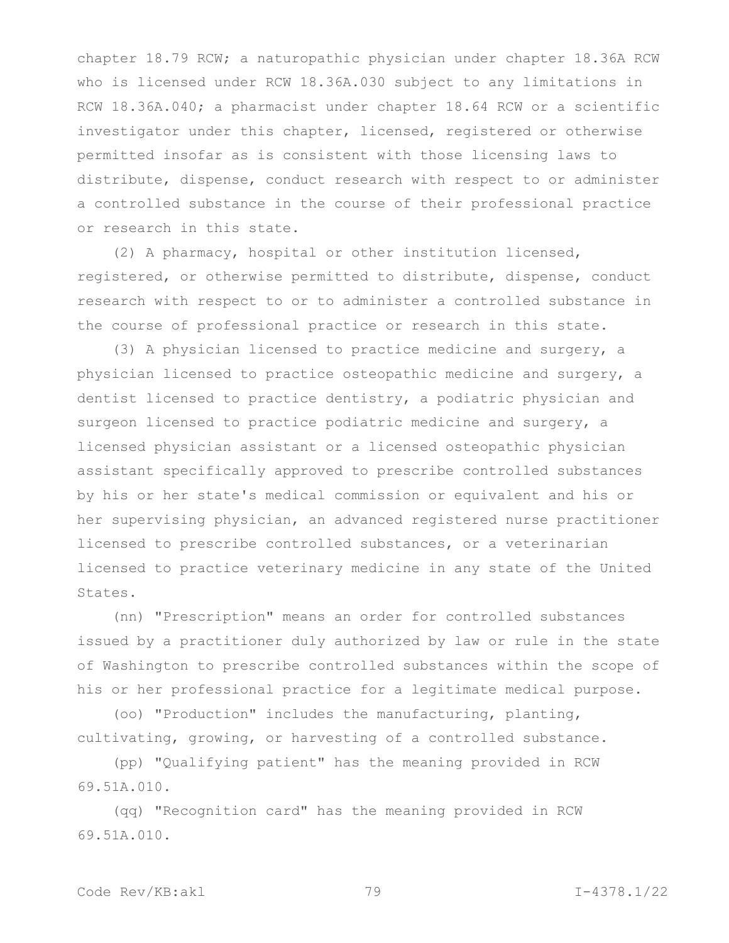chapter 18.79 RCW; a naturopathic physician under chapter 18.36A RCW who is licensed under RCW 18.36A.030 subject to any limitations in RCW 18.36A.040; a pharmacist under chapter 18.64 RCW or a scientific investigator under this chapter, licensed, registered or otherwise permitted insofar as is consistent with those licensing laws to distribute, dispense, conduct research with respect to or administer a controlled substance in the course of their professional practice or research in this state.

(2) A pharmacy, hospital or other institution licensed, registered, or otherwise permitted to distribute, dispense, conduct research with respect to or to administer a controlled substance in the course of professional practice or research in this state.

(3) A physician licensed to practice medicine and surgery, a physician licensed to practice osteopathic medicine and surgery, a dentist licensed to practice dentistry, a podiatric physician and surgeon licensed to practice podiatric medicine and surgery, a licensed physician assistant or a licensed osteopathic physician assistant specifically approved to prescribe controlled substances by his or her state's medical commission or equivalent and his or her supervising physician, an advanced registered nurse practitioner licensed to prescribe controlled substances, or a veterinarian licensed to practice veterinary medicine in any state of the United States.

(nn) "Prescription" means an order for controlled substances issued by a practitioner duly authorized by law or rule in the state of Washington to prescribe controlled substances within the scope of his or her professional practice for a legitimate medical purpose.

(oo) "Production" includes the manufacturing, planting, cultivating, growing, or harvesting of a controlled substance.

(pp) "Qualifying patient" has the meaning provided in RCW 69.51A.010.

(qq) "Recognition card" has the meaning provided in RCW 69.51A.010.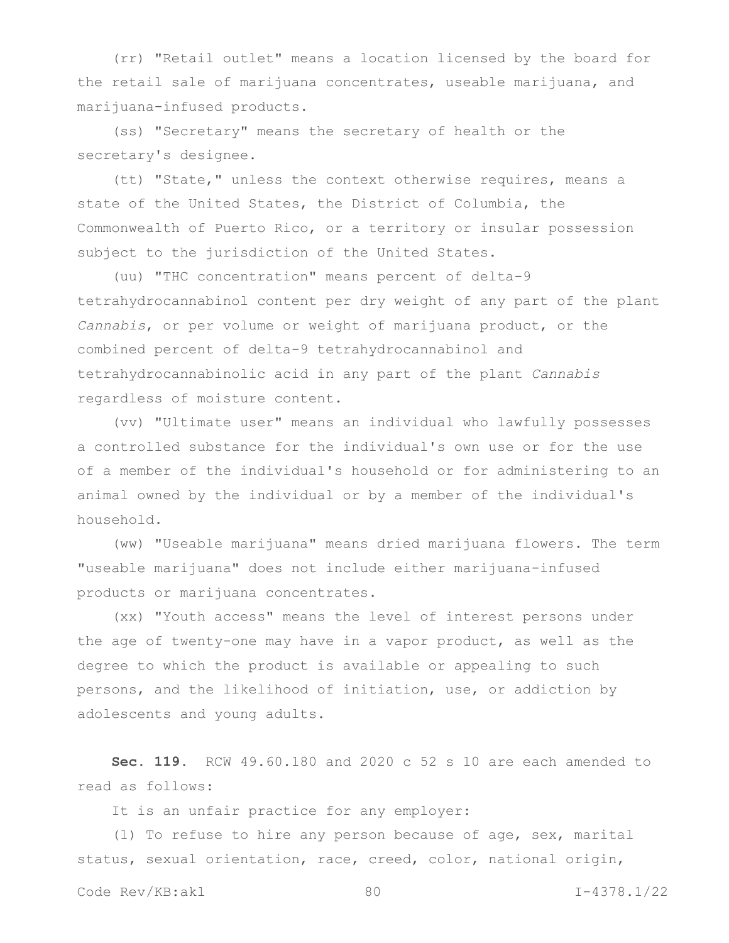(rr) "Retail outlet" means a location licensed by the board for the retail sale of marijuana concentrates, useable marijuana, and marijuana-infused products.

(ss) "Secretary" means the secretary of health or the secretary's designee.

(tt) "State," unless the context otherwise requires, means a state of the United States, the District of Columbia, the Commonwealth of Puerto Rico, or a territory or insular possession subject to the jurisdiction of the United States.

(uu) "THC concentration" means percent of delta-9 tetrahydrocannabinol content per dry weight of any part of the plant *Cannabis*, or per volume or weight of marijuana product, or the combined percent of delta-9 tetrahydrocannabinol and tetrahydrocannabinolic acid in any part of the plant *Cannabis* regardless of moisture content.

(vv) "Ultimate user" means an individual who lawfully possesses a controlled substance for the individual's own use or for the use of a member of the individual's household or for administering to an animal owned by the individual or by a member of the individual's household.

(ww) "Useable marijuana" means dried marijuana flowers. The term "useable marijuana" does not include either marijuana-infused products or marijuana concentrates.

(xx) "Youth access" means the level of interest persons under the age of twenty-one may have in a vapor product, as well as the degree to which the product is available or appealing to such persons, and the likelihood of initiation, use, or addiction by adolescents and young adults.

**Sec. 119.** RCW 49.60.180 and 2020 c 52 s 10 are each amended to read as follows:

It is an unfair practice for any employer:

(1) To refuse to hire any person because of age, sex, marital status, sexual orientation, race, creed, color, national origin,

Code Rev/KB:akl 80 I-4378.1/22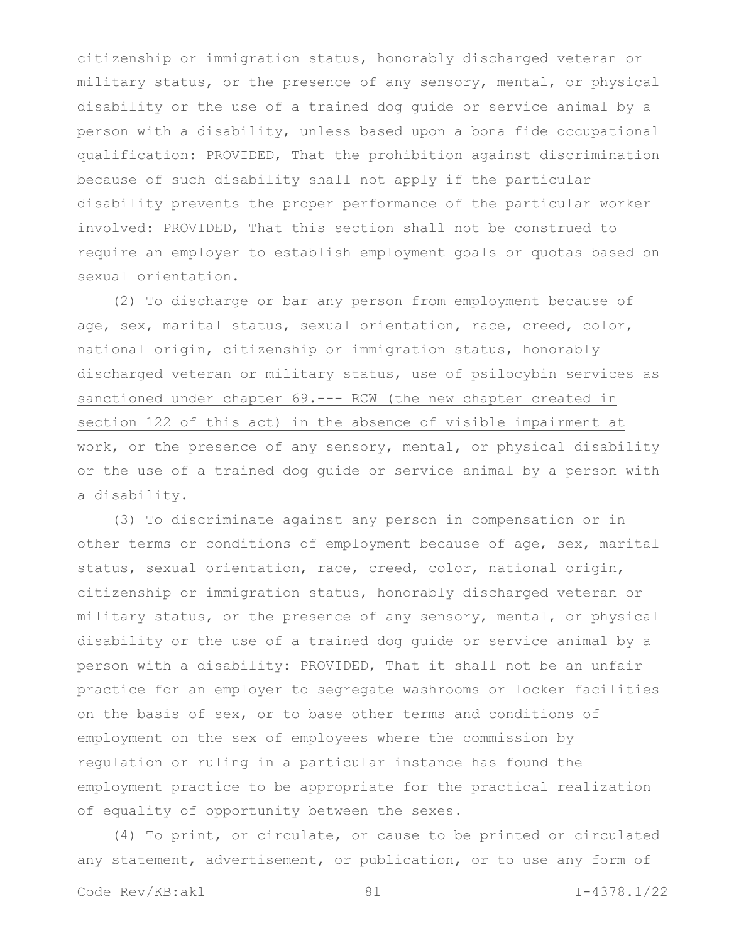citizenship or immigration status, honorably discharged veteran or military status, or the presence of any sensory, mental, or physical disability or the use of a trained dog guide or service animal by a person with a disability, unless based upon a bona fide occupational qualification: PROVIDED, That the prohibition against discrimination because of such disability shall not apply if the particular disability prevents the proper performance of the particular worker involved: PROVIDED, That this section shall not be construed to require an employer to establish employment goals or quotas based on sexual orientation.

(2) To discharge or bar any person from employment because of age, sex, marital status, sexual orientation, race, creed, color, national origin, citizenship or immigration status, honorably discharged veteran or military status, use of psilocybin services as sanctioned under chapter 69.--- RCW (the new chapter created in section 122 of this act) in the absence of visible impairment at work, or the presence of any sensory, mental, or physical disability or the use of a trained dog guide or service animal by a person with a disability.

(3) To discriminate against any person in compensation or in other terms or conditions of employment because of age, sex, marital status, sexual orientation, race, creed, color, national origin, citizenship or immigration status, honorably discharged veteran or military status, or the presence of any sensory, mental, or physical disability or the use of a trained dog guide or service animal by a person with a disability: PROVIDED, That it shall not be an unfair practice for an employer to segregate washrooms or locker facilities on the basis of sex, or to base other terms and conditions of employment on the sex of employees where the commission by regulation or ruling in a particular instance has found the employment practice to be appropriate for the practical realization of equality of opportunity between the sexes.

(4) To print, or circulate, or cause to be printed or circulated any statement, advertisement, or publication, or to use any form of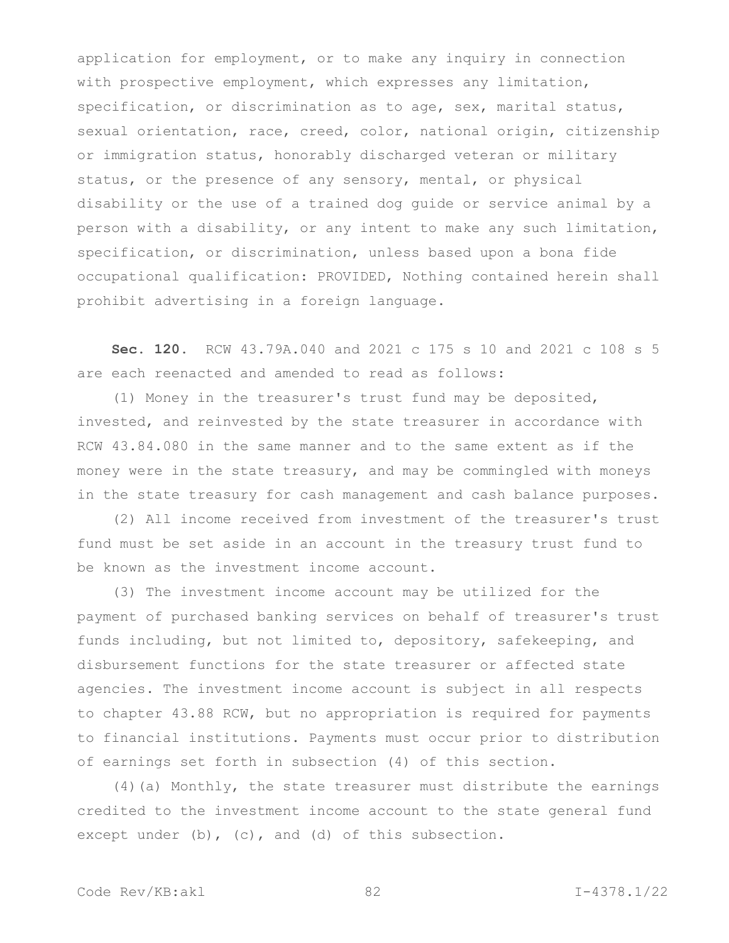application for employment, or to make any inquiry in connection with prospective employment, which expresses any limitation, specification, or discrimination as to age, sex, marital status, sexual orientation, race, creed, color, national origin, citizenship or immigration status, honorably discharged veteran or military status, or the presence of any sensory, mental, or physical disability or the use of a trained dog guide or service animal by a person with a disability, or any intent to make any such limitation, specification, or discrimination, unless based upon a bona fide occupational qualification: PROVIDED, Nothing contained herein shall prohibit advertising in a foreign language.

**Sec. 120.** RCW 43.79A.040 and 2021 c 175 s 10 and 2021 c 108 s 5 are each reenacted and amended to read as follows:

(1) Money in the treasurer's trust fund may be deposited, invested, and reinvested by the state treasurer in accordance with RCW 43.84.080 in the same manner and to the same extent as if the money were in the state treasury, and may be commingled with moneys in the state treasury for cash management and cash balance purposes.

(2) All income received from investment of the treasurer's trust fund must be set aside in an account in the treasury trust fund to be known as the investment income account.

(3) The investment income account may be utilized for the payment of purchased banking services on behalf of treasurer's trust funds including, but not limited to, depository, safekeeping, and disbursement functions for the state treasurer or affected state agencies. The investment income account is subject in all respects to chapter 43.88 RCW, but no appropriation is required for payments to financial institutions. Payments must occur prior to distribution of earnings set forth in subsection (4) of this section.

(4)(a) Monthly, the state treasurer must distribute the earnings credited to the investment income account to the state general fund except under (b), (c), and (d) of this subsection.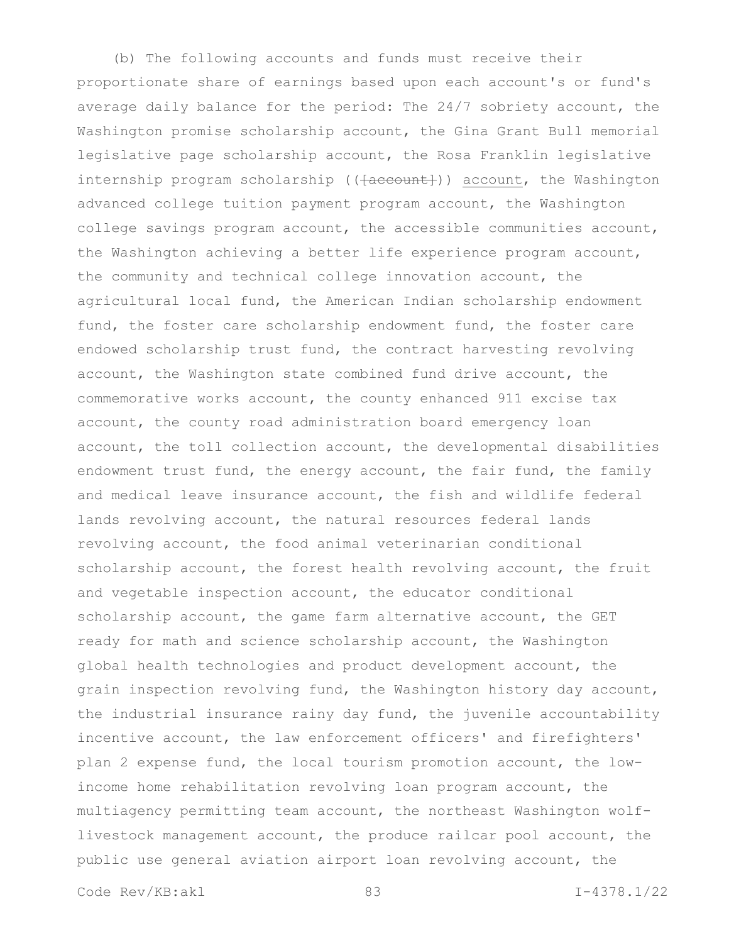(b) The following accounts and funds must receive their proportionate share of earnings based upon each account's or fund's average daily balance for the period: The 24/7 sobriety account, the Washington promise scholarship account, the Gina Grant Bull memorial legislative page scholarship account, the Rosa Franklin legislative internship program scholarship (( $\{a$ ccount)) account, the Washington advanced college tuition payment program account, the Washington college savings program account, the accessible communities account, the Washington achieving a better life experience program account, the community and technical college innovation account, the agricultural local fund, the American Indian scholarship endowment fund, the foster care scholarship endowment fund, the foster care endowed scholarship trust fund, the contract harvesting revolving account, the Washington state combined fund drive account, the commemorative works account, the county enhanced 911 excise tax account, the county road administration board emergency loan account, the toll collection account, the developmental disabilities endowment trust fund, the energy account, the fair fund, the family and medical leave insurance account, the fish and wildlife federal lands revolving account, the natural resources federal lands revolving account, the food animal veterinarian conditional scholarship account, the forest health revolving account, the fruit and vegetable inspection account, the educator conditional scholarship account, the game farm alternative account, the GET ready for math and science scholarship account, the Washington global health technologies and product development account, the grain inspection revolving fund, the Washington history day account, the industrial insurance rainy day fund, the juvenile accountability incentive account, the law enforcement officers' and firefighters' plan 2 expense fund, the local tourism promotion account, the lowincome home rehabilitation revolving loan program account, the multiagency permitting team account, the northeast Washington wolflivestock management account, the produce railcar pool account, the public use general aviation airport loan revolving account, the

Code Rev/KB:akl 83 I-4378.1/22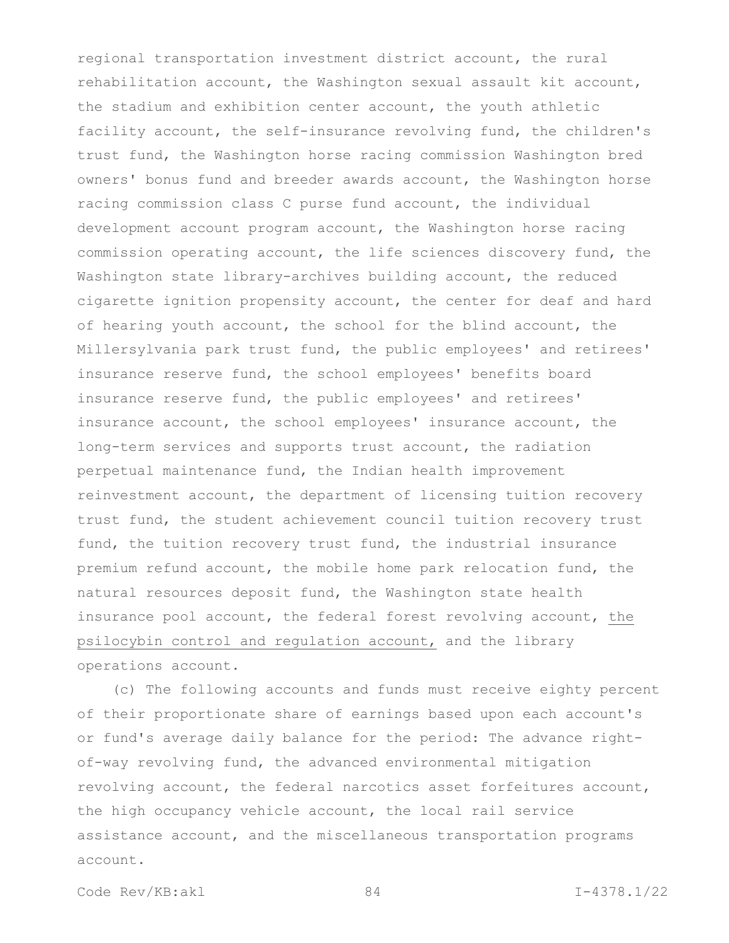regional transportation investment district account, the rural rehabilitation account, the Washington sexual assault kit account, the stadium and exhibition center account, the youth athletic facility account, the self-insurance revolving fund, the children's trust fund, the Washington horse racing commission Washington bred owners' bonus fund and breeder awards account, the Washington horse racing commission class C purse fund account, the individual development account program account, the Washington horse racing commission operating account, the life sciences discovery fund, the Washington state library-archives building account, the reduced cigarette ignition propensity account, the center for deaf and hard of hearing youth account, the school for the blind account, the Millersylvania park trust fund, the public employees' and retirees' insurance reserve fund, the school employees' benefits board insurance reserve fund, the public employees' and retirees' insurance account, the school employees' insurance account, the long-term services and supports trust account, the radiation perpetual maintenance fund, the Indian health improvement reinvestment account, the department of licensing tuition recovery trust fund, the student achievement council tuition recovery trust fund, the tuition recovery trust fund, the industrial insurance premium refund account, the mobile home park relocation fund, the natural resources deposit fund, the Washington state health insurance pool account, the federal forest revolving account, the psilocybin control and regulation account, and the library operations account.

(c) The following accounts and funds must receive eighty percent of their proportionate share of earnings based upon each account's or fund's average daily balance for the period: The advance rightof-way revolving fund, the advanced environmental mitigation revolving account, the federal narcotics asset forfeitures account, the high occupancy vehicle account, the local rail service assistance account, and the miscellaneous transportation programs account.

Code Rev/KB:akl 84 I-4378.1/22